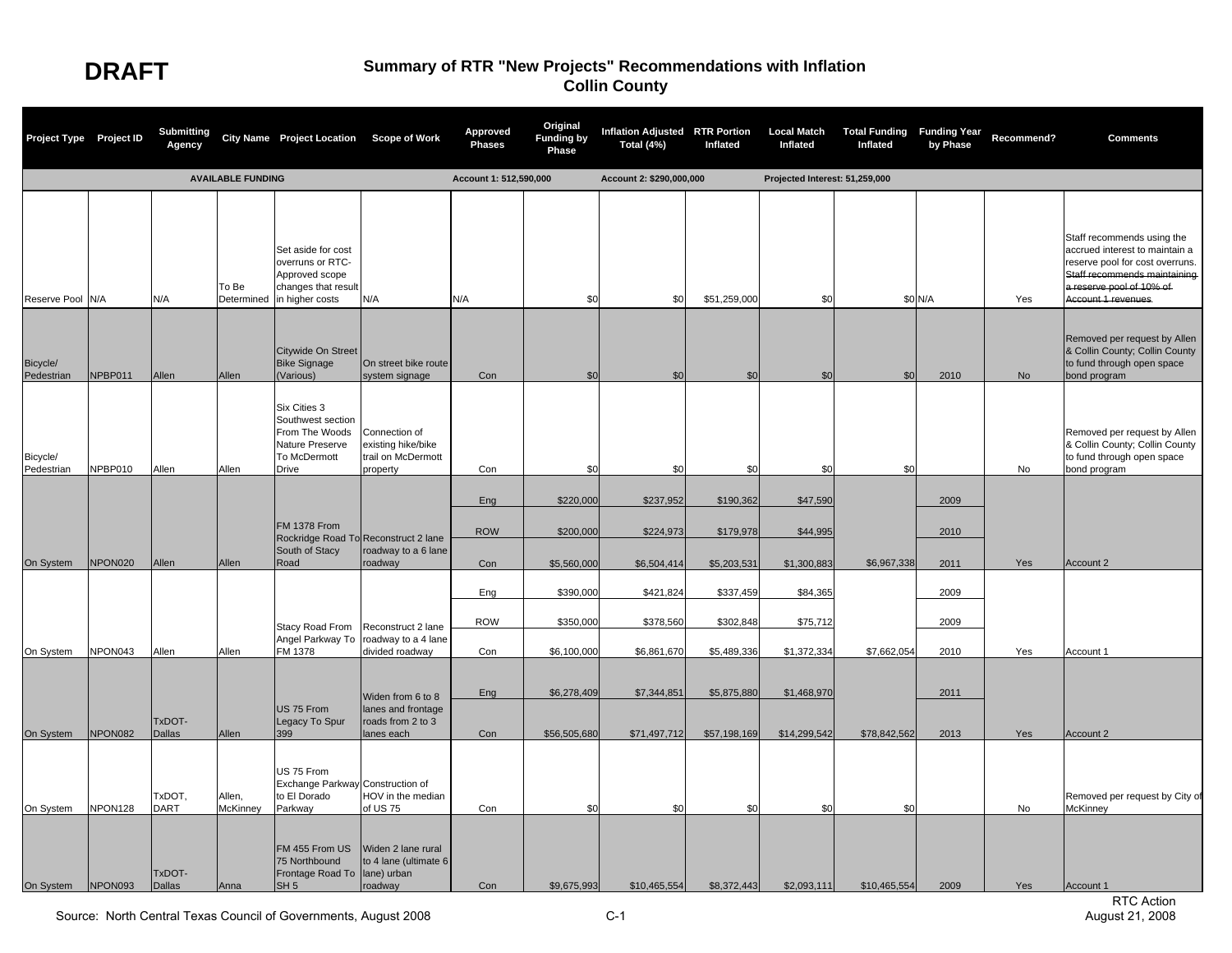| Project Type Project ID |         | <b>Submitting</b><br>Agency |                          | City Name Project Location Scope of Work                                                           |                                                                       | Approved<br><b>Phases</b> | Original<br><b>Funding by</b><br>Phase | Inflation Adjusted RTR Portion<br>Total (4%) | Inflated                 | <b>Local Match</b><br>Inflated | <b>Total Funding Funding Year</b><br>Inflated | by Phase     | Recommend? | <b>Comments</b>                                                                                                                                                                    |
|-------------------------|---------|-----------------------------|--------------------------|----------------------------------------------------------------------------------------------------|-----------------------------------------------------------------------|---------------------------|----------------------------------------|----------------------------------------------|--------------------------|--------------------------------|-----------------------------------------------|--------------|------------|------------------------------------------------------------------------------------------------------------------------------------------------------------------------------------|
|                         |         |                             | <b>AVAILABLE FUNDING</b> |                                                                                                    |                                                                       | Account 1: 512,590,000    |                                        | Account 2: \$290,000,000                     |                          | Projected Interest: 51,259,000 |                                               |              |            |                                                                                                                                                                                    |
| Reserve Pool N/A        |         | N/A                         | To Be<br>Determined      | Set aside for cost<br>overruns or RTC-<br>Approved scope<br>changes that result<br>in higher costs | N/A                                                                   | N/A                       | \$0                                    | \$0                                          | \$51,259,000             | \$0                            |                                               | \$0 N/A      | Yes        | Staff recommends using the<br>accrued interest to maintain a<br>reserve pool for cost overruns.<br>Staff recommends maintaining<br>a reserve pool of 10% of<br>Account 1 revenues. |
| Bicycle/<br>Pedestrian  | NPBP011 | Allen                       | Allen                    | Citywide On Street<br><b>Bike Signage</b><br>(Various)                                             | On street bike route<br>system signage                                | Con                       | \$C                                    | \$0                                          | \$0                      | \$0                            | \$0                                           | 2010         | <b>No</b>  | Removed per request by Allen<br>& Collin County; Collin County<br>to fund through open space<br>bond program                                                                       |
| Bicycle/<br>Pedestrian  | NPBP010 | Allen                       | Allen                    | Six Cities 3<br>Southwest section<br>From The Woods<br>Nature Preserve<br>To McDermott<br>Drive    | Connection of<br>existing hike/bike<br>trail on McDermott<br>property | Con                       | \$0                                    | \$0                                          | \$0                      | \$0                            | \$0                                           |              | No         | Removed per request by Allen<br>& Collin County; Collin County<br>to fund through open space<br>bond program                                                                       |
|                         |         |                             |                          | <b>FM 1378 From</b>                                                                                | Rockridge Road To Reconstruct 2 lane                                  | Eng<br><b>ROW</b>         | \$220,000<br>\$200,000                 | \$237,952<br>\$224,973                       | \$190,362<br>\$179,978   | \$47,590<br>\$44,995           |                                               | 2009<br>2010 |            |                                                                                                                                                                                    |
| On System               | NPON020 | Allen                       | Allen                    | South of Stacy<br>Road                                                                             | roadway to a 6 lane<br>roadway                                        | Con                       | \$5,560,000                            | \$6,504,414                                  | \$5,203,531              | \$1,300,883                    | \$6,967,338                                   | 2011         | Yes        | Account 2                                                                                                                                                                          |
|                         |         |                             |                          |                                                                                                    |                                                                       | Eng                       | \$390,000                              | \$421,824                                    | \$337,459                | \$84,365                       |                                               | 2009         |            |                                                                                                                                                                                    |
| On System               | NPON043 | Allen                       | Allen                    | Stacy Road From<br>Angel Parkway To<br>FM 1378                                                     | Reconstruct 2 lane<br>roadway to a 4 lane<br>divided roadway          | <b>ROW</b><br>Con         | \$350,000<br>\$6,100,000               | \$378,560<br>\$6,861,670                     | \$302,848<br>\$5,489,336 | \$75,712<br>\$1,372,334        | \$7,662,054                                   | 2009<br>2010 | Yes        | Account 1                                                                                                                                                                          |
|                         |         |                             |                          |                                                                                                    | Widen from 6 to 8                                                     | Eng                       | \$6,278,409                            | \$7,344,851                                  | \$5,875,880              | \$1,468,970                    |                                               | 2011         |            |                                                                                                                                                                                    |
| On System               | NPON082 | TxDOT-<br><b>Dallas</b>     | Allen                    | US 75 From<br>Legacy To Spur<br>399                                                                | lanes and frontage<br>roads from 2 to 3<br>lanes each                 | Con                       | \$56,505,680                           | \$71,497,712                                 | \$57,198,169             | \$14,299,542                   | \$78,842,562                                  | 2013         | Yes        | Account 2                                                                                                                                                                          |
| On System               | NPON128 | TxDOT,<br><b>DART</b>       | Allen,<br>McKinney       | US 75 From<br>Exchange Parkway Construction of<br>to El Dorado<br>Parkway                          | HOV in the median<br>of US 75                                         | Con                       | \$0                                    | \$0                                          | \$0                      | \$0                            | \$0                                           |              | No         | Removed per request by City of<br><b>McKinney</b>                                                                                                                                  |
| On System NPON093       |         | TxDOT-<br>Dallas            | Anna                     | FM 455 From US<br>75 Northbound<br>Frontage Road To<br>SH 5                                        | Widen 2 lane rural<br>to 4 lane (ultimate 6<br>lane) urban<br>roadway | Con                       | \$9,675,993                            | \$10,465,554                                 | \$8,372,443              | \$2,093,111                    | \$10,465,554                                  | 2009         | Yes        | Account 1                                                                                                                                                                          |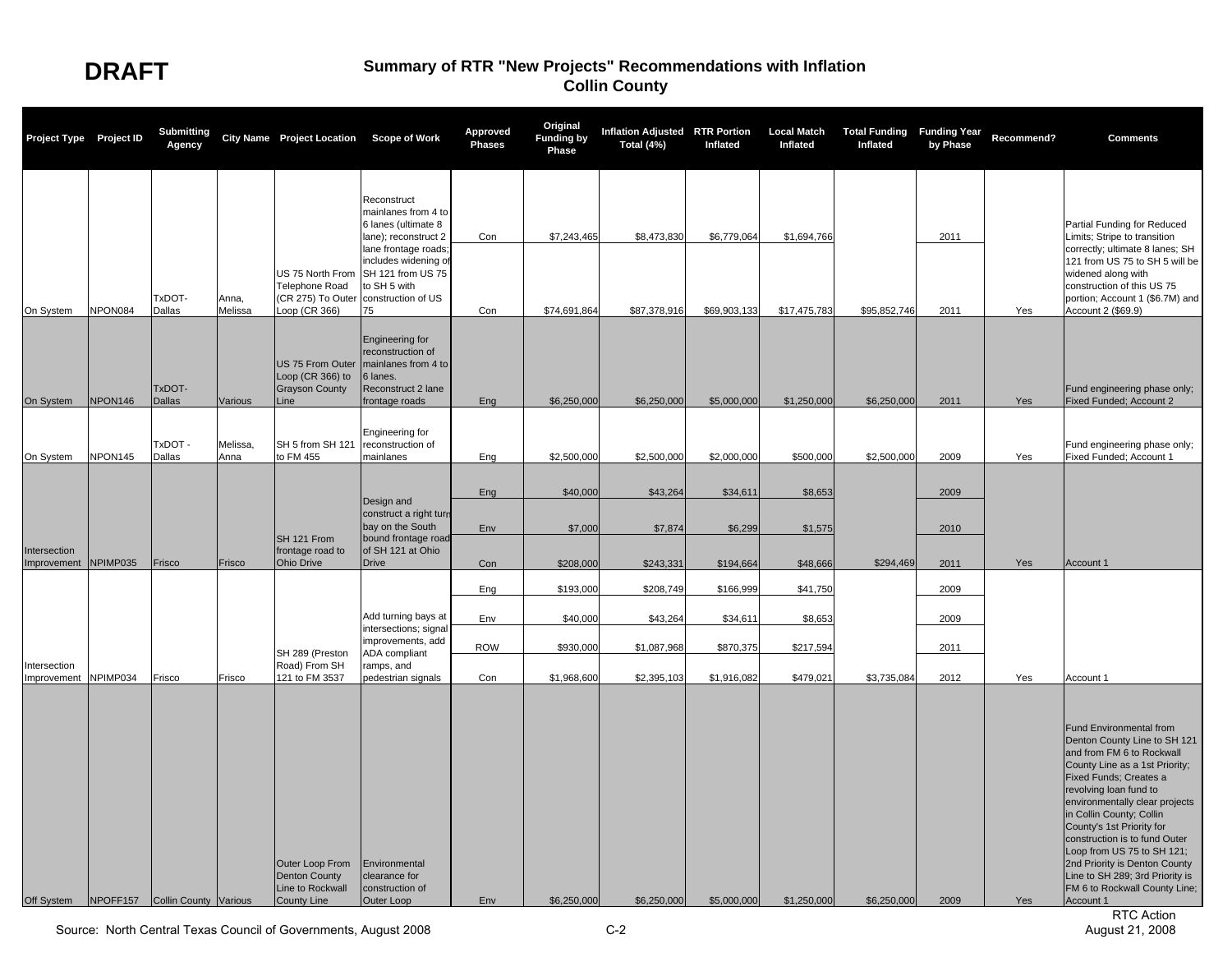| Project Type Project ID              |         | <b>Submitting</b><br>Agency              |                  | City Name Project Location Scope of Work                                                     |                                                                                                                                                                                                   | Approved<br><b>Phases</b> | Original<br><b>Funding by</b><br>Phase | <b>Inflation Adjusted RTR Portion</b><br>Total (4%) | Inflated                    | <b>Local Match</b><br>Inflated | <b>Total Funding Funding Year</b><br>Inflated | by Phase     | Recommend? | <b>Comments</b>                                                                                                                                                                                                                                                                                                                                                                                                                                                            |
|--------------------------------------|---------|------------------------------------------|------------------|----------------------------------------------------------------------------------------------|---------------------------------------------------------------------------------------------------------------------------------------------------------------------------------------------------|---------------------------|----------------------------------------|-----------------------------------------------------|-----------------------------|--------------------------------|-----------------------------------------------|--------------|------------|----------------------------------------------------------------------------------------------------------------------------------------------------------------------------------------------------------------------------------------------------------------------------------------------------------------------------------------------------------------------------------------------------------------------------------------------------------------------------|
| On System                            | NPON084 | TxDOT-<br>Dallas                         | Anna,<br>Melissa | US 75 North From<br><b>Telephone Road</b><br>(CR 275) To Outer<br>Loop (CR 366)              | Reconstruct<br>mainlanes from 4 to<br>6 lanes (ultimate 8<br>lane); reconstruct 2<br>lane frontage roads<br>includes widening of<br>SH 121 from US 75<br>to SH 5 with<br>construction of US<br>75 | Con<br>Con                | \$7,243,465<br>\$74,691,864            | \$8,473,830<br>\$87,378,916                         | \$6,779,064<br>\$69,903,133 | \$1,694,766<br>\$17,475,783    | \$95,852,746                                  | 2011<br>2011 | Yes        | Partial Funding for Reduced<br>Limits; Stripe to transition<br>correctly; ultimate 8 lanes; SH<br>121 from US 75 to SH 5 will be<br>widened along with<br>construction of this US 75<br>portion; Account 1 (\$6.7M) and<br>Account 2 (\$69.9)                                                                                                                                                                                                                              |
| On System                            | NPON146 | TxDOT-<br><b>Dallas</b>                  | Various          | Loop (CR 366) to<br><b>Grayson County</b><br>Line                                            | <b>Engineering for</b><br>reconstruction of<br>US 75 From Outer   mainlanes from 4 to<br>6 lanes.<br>Reconstruct 2 lane<br>frontage roads                                                         | Ena                       | \$6,250,000                            | \$6,250,000                                         | \$5,000,000                 | \$1,250,000                    | \$6,250,000                                   | 2011         | Yes        | Fund engineering phase only;<br>Fixed Funded; Account 2                                                                                                                                                                                                                                                                                                                                                                                                                    |
| On System                            | NPON145 | TxDOT -<br>Dallas                        | Melissa,<br>Anna | SH 5 from SH 121<br>to FM 455                                                                | Engineering for<br>reconstruction of<br>mainlanes                                                                                                                                                 | Eng                       | \$2,500,000                            | \$2,500,000                                         | \$2,000,000                 | \$500,000                      | \$2,500,000                                   | 2009         | Yes        | Fund engineering phase only;<br>Fixed Funded; Account 1                                                                                                                                                                                                                                                                                                                                                                                                                    |
|                                      |         |                                          |                  |                                                                                              | Design and<br>construct a right turn                                                                                                                                                              | Eng                       | \$40,000                               | \$43,264                                            | \$34,611                    | \$8,653                        |                                               | 2009         |            |                                                                                                                                                                                                                                                                                                                                                                                                                                                                            |
| Intersection<br>Improvement NPIMP035 |         | Frisco                                   | Frisco           | SH 121 From<br>frontage road to<br><b>Ohio Drive</b>                                         | bay on the South<br>bound frontage road<br>of SH 121 at Ohio<br><b>Drive</b>                                                                                                                      | Env<br>Con                | \$7,000<br>\$208,000                   | \$7,874<br>\$243,331                                | \$6,299<br>\$194,664        | \$1,575<br>\$48,666            | \$294,469                                     | 2010<br>2011 | Yes        | Account 1                                                                                                                                                                                                                                                                                                                                                                                                                                                                  |
|                                      |         |                                          |                  |                                                                                              | Add turning bays at                                                                                                                                                                               | Eng<br>Env                | \$193,000<br>\$40,000                  | \$208,749<br>\$43,264                               | \$166,999<br>\$34,611       | \$41,750<br>\$8,653            |                                               | 2009<br>2009 |            |                                                                                                                                                                                                                                                                                                                                                                                                                                                                            |
| Intersection                         |         |                                          |                  | SH 289 (Preston<br>Road) From SH                                                             | intersections; signal<br>improvements, add<br>ADA compliant<br>ramps, and                                                                                                                         | <b>ROW</b>                | \$930,000                              | \$1,087,968                                         | \$870,375                   | \$217,594                      |                                               | 2011         |            |                                                                                                                                                                                                                                                                                                                                                                                                                                                                            |
| Improvement NPIMP034<br>Off System   |         | Frisco<br>NPOFF157 Collin County Various | Frisco           | 121 to FM 3537<br>Outer Loop From<br><b>Denton County</b><br>Line to Rockwall<br>County Line | pedestrian signals<br>Environmental<br>clearance for<br>construction of<br>Outer Loop                                                                                                             | Con<br>Env                | \$1,968,600<br>\$6,250,000             | \$2,395,103<br>\$6,250,000                          | \$1,916,082<br>\$5,000,000  | \$479,021<br>\$1,250,000       | \$3,735,084<br>\$6,250,000                    | 2012<br>2009 | Yes<br>Yes | Account 1<br><b>Fund Environmental from</b><br>Denton County Line to SH 121<br>and from FM 6 to Rockwall<br>County Line as a 1st Priority;<br>Fixed Funds; Creates a<br>revolving loan fund to<br>environmentally clear projects<br>in Collin County; Collin<br>County's 1st Priority for<br>construction is to fund Outer<br>Loop from US 75 to SH 121;<br>2nd Priority is Denton County<br>Line to SH 289; 3rd Priority is<br>FM 6 to Rockwall County Line;<br>Account 1 |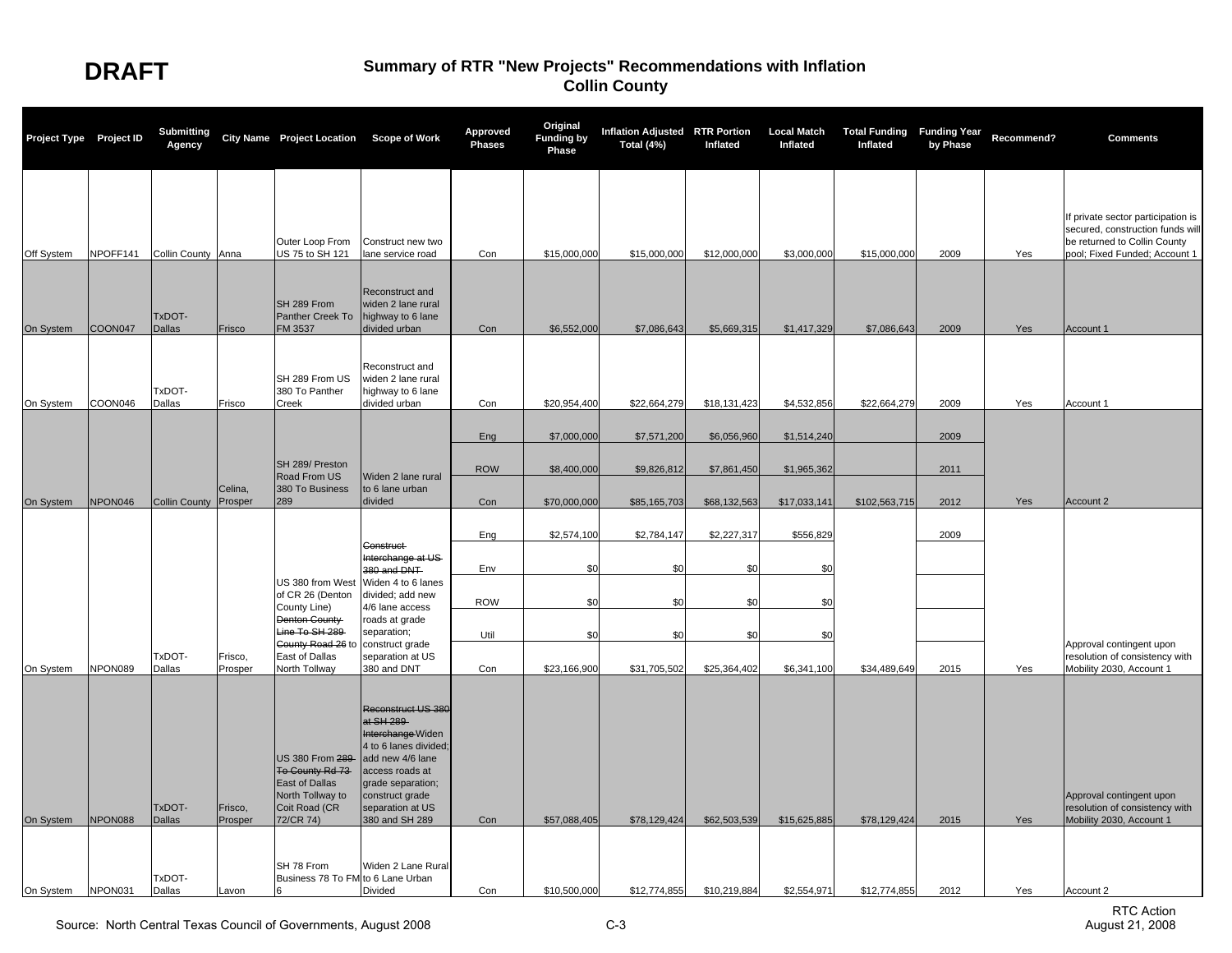| Project Type Project ID |          | <b>Submitting</b><br>Agency |                    | City Name Project Location Scope of Work                                                                      |                                                                                                                                                                                                     | <b>Approved</b><br>Phases | Original<br><b>Funding by</b><br>Phase | <b>Inflation Adjusted RTR Portion</b><br>Total (4%) | Inflated                    | <b>Local Match</b><br>Inflated | <b>Total Funding Funding Year</b><br>Inflated | by Phase     | Recommend? | <b>Comments</b>                                                                                                                         |
|-------------------------|----------|-----------------------------|--------------------|---------------------------------------------------------------------------------------------------------------|-----------------------------------------------------------------------------------------------------------------------------------------------------------------------------------------------------|---------------------------|----------------------------------------|-----------------------------------------------------|-----------------------------|--------------------------------|-----------------------------------------------|--------------|------------|-----------------------------------------------------------------------------------------------------------------------------------------|
| Off System              | NPOFF141 | Collin County Anna          |                    | Outer Loop From<br>US 75 to SH 121                                                                            | Construct new two<br>lane service road                                                                                                                                                              | Con                       | \$15,000,000                           | \$15,000,000                                        | \$12,000,000                | \$3,000,000                    | \$15,000,000                                  | 2009         | Yes        | If private sector participation is<br>secured, construction funds will<br>be returned to Collin County<br>pool; Fixed Funded; Account 1 |
| On System               | COON047  | TxDOT-<br><b>Dallas</b>     | Frisco             | SH 289 From<br>Panther Creek To<br>FM 3537                                                                    | Reconstruct and<br>widen 2 lane rural<br>highway to 6 lane<br>divided urban                                                                                                                         | Con                       | \$6,552,000                            | \$7,086,643                                         | \$5,669,315                 | \$1,417,329                    | \$7,086,643                                   | 2009         | Yes        | Account 1                                                                                                                               |
| On System               | COON046  | TxDOT-<br>Dallas            | Frisco             | SH 289 From US<br>380 To Panther<br>Creek                                                                     | Reconstruct and<br>widen 2 lane rural<br>highway to 6 lane<br>divided urban                                                                                                                         | Con                       | \$20,954,400                           | \$22,664,279                                        | \$18,131,423                | \$4,532,856                    | \$22,664,279                                  | 2009         | Yes        | Account 1                                                                                                                               |
|                         |          |                             |                    |                                                                                                               |                                                                                                                                                                                                     | Eng                       | \$7,000,000                            | \$7,571,200                                         | \$6,056,960                 | \$1,514,240                    |                                               | 2009         |            |                                                                                                                                         |
| On System               | NPON046  | Collin County Prosper       | Celina,            | SH 289/ Preston<br>Road From US<br>380 To Business<br>289                                                     | Widen 2 lane rural<br>to 6 lane urban<br>divided                                                                                                                                                    | <b>ROW</b><br>Con         | \$8,400,000<br>\$70,000,000            | \$9,826,812<br>\$85,165,703                         | \$7,861,450<br>\$68,132,563 | \$1,965,362<br>\$17,033,141    | \$102,563,715                                 | 2011<br>2012 | Yes        | Account 2                                                                                                                               |
|                         |          |                             |                    |                                                                                                               | Construct                                                                                                                                                                                           | Eng                       | \$2,574,100                            | \$2,784,147                                         | \$2,227,317                 | \$556,829                      |                                               | 2009         |            |                                                                                                                                         |
|                         |          |                             |                    | US 380 from West                                                                                              | Interchange at US-<br>380 and DNT<br>Widen 4 to 6 lanes                                                                                                                                             | Env                       | \$0                                    | \$C                                                 | \$0                         | \$0                            |                                               |              |            |                                                                                                                                         |
|                         |          |                             |                    | of CR 26 (Denton<br>County Line)<br>Denton County<br>Line To SH 289                                           | divided; add new<br>4/6 lane access<br>roads at grade<br>separation;                                                                                                                                | <b>ROW</b><br>Util        | \$0<br>\$0                             | \$C<br>\$0                                          | \$0<br>\$0                  | \$0<br>\$0                     |                                               |              |            |                                                                                                                                         |
| On System               | NPON089  | TxDOT-<br>Dallas            | Frisco,<br>Prosper | County Road 26 to<br>East of Dallas<br><b>North Tollway</b>                                                   | construct grade<br>separation at US<br>380 and DNT                                                                                                                                                  | Con                       | \$23,166,900                           | \$31,705,502                                        | \$25,364,402                | \$6,341,100                    | \$34,489,649                                  | 2015         | Yes        | Approval contingent upon<br>resolution of consistency with<br>Mobility 2030, Account 1                                                  |
| On System               | NPON088  | TxDOT-<br><b>Dallas</b>     | Frisco,<br>Prosper | US 380 From 289<br>To County Rd 73<br><b>East of Dallas</b><br>North Tollway to<br>Coit Road (CR<br>72/CR 74) | Reconstruct US 380<br>at SH 289-<br>Interchange Widen<br>4 to 6 lanes divided;<br>add new 4/6 lane<br>access roads at<br>grade separation;<br>construct grade<br>separation at US<br>380 and SH 289 | Con                       | \$57,088,405                           | \$78,129,424                                        | \$62,503,539                | \$15,625,885                   | \$78,129,424                                  | 2015         | Yes        | Approval contingent upon<br>resolution of consistency with<br>Mobility 2030, Account 1                                                  |
| On System               | NPON031  | TxDOT-<br>Dallas            | Lavon              | SH 78 From<br>Business 78 To FM to 6 Lane Urban                                                               | Widen 2 Lane Rural<br>Divided                                                                                                                                                                       | Con                       | \$10,500,000                           | \$12,774,855                                        | \$10,219,884                | \$2,554,971                    | \$12,774,855                                  | 2012         | Yes        | Account 2                                                                                                                               |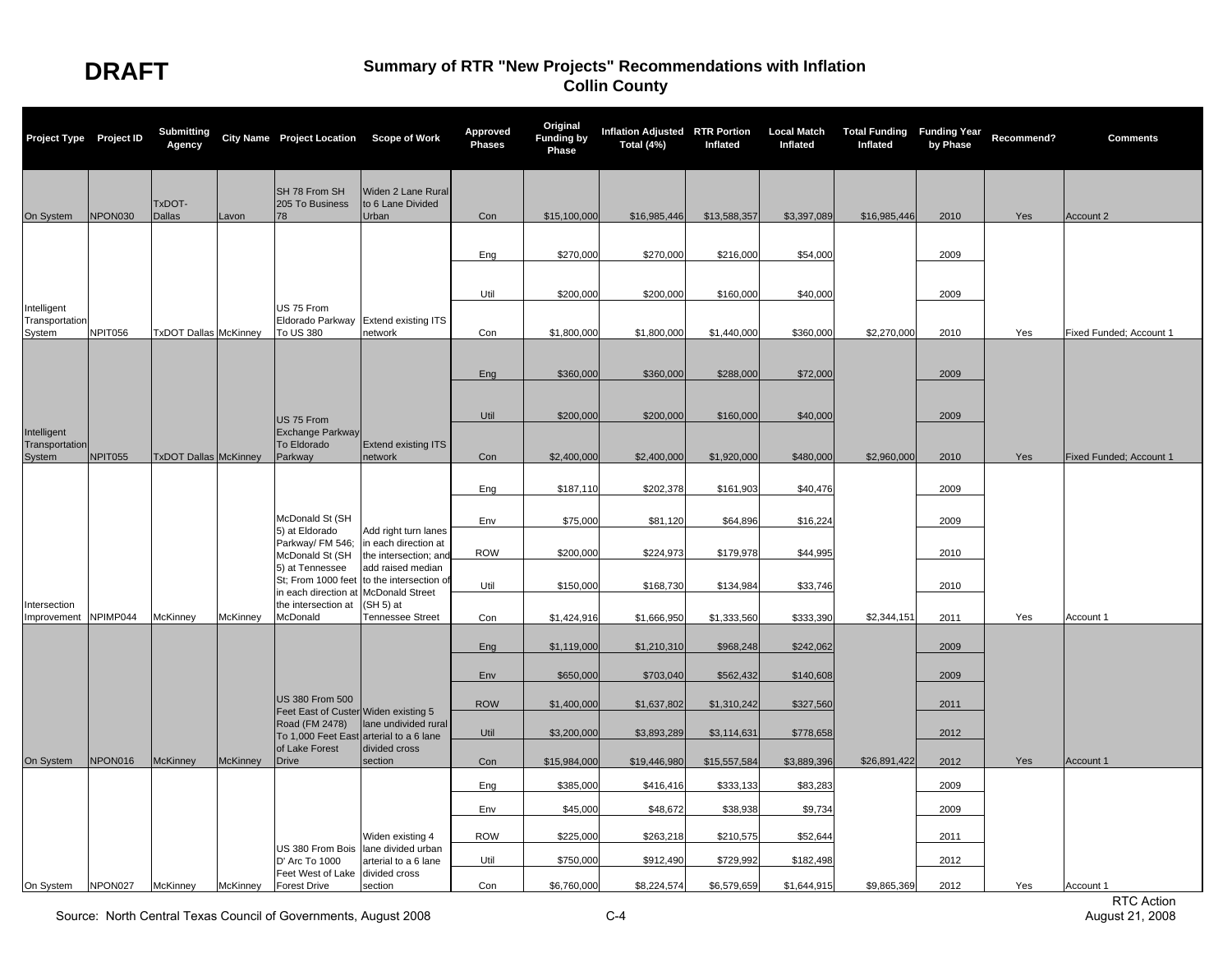| Project Type Project ID              |         | <b>Submitting</b><br>Agency  |                 | City Name Project Location Scope of Work               |                                                  | Approved<br><b>Phases</b> | Original<br><b>Funding by</b><br>Phase | Inflation Adjusted RTR Portion<br>Total (4%) | Inflated     | <b>Local Match</b><br>Inflated | <b>Total Funding Funding Year</b><br>Inflated | by Phase | Recommend? | <b>Comments</b>         |
|--------------------------------------|---------|------------------------------|-----------------|--------------------------------------------------------|--------------------------------------------------|---------------------------|----------------------------------------|----------------------------------------------|--------------|--------------------------------|-----------------------------------------------|----------|------------|-------------------------|
| On System                            | NPON030 | TxDOT-<br><b>Dallas</b>      | Lavon           | SH 78 From SH<br>205 To Business<br>78                 | Widen 2 Lane Rural<br>to 6 Lane Divided<br>Urban | Con                       | \$15,100,000                           | \$16,985,446                                 | \$13,588,357 | \$3,397,089                    | \$16,985,446                                  | 2010     | Yes        | Account 2               |
|                                      |         |                              |                 |                                                        |                                                  |                           |                                        |                                              |              |                                |                                               |          |            |                         |
|                                      |         |                              |                 |                                                        |                                                  | Eng                       | \$270,000                              | \$270,000                                    | \$216,000    | \$54,000                       |                                               | 2009     |            |                         |
|                                      |         |                              |                 |                                                        |                                                  |                           |                                        |                                              |              |                                |                                               |          |            |                         |
|                                      |         |                              |                 |                                                        |                                                  | Util                      | \$200,000                              | \$200,000                                    | \$160,000    | \$40,000                       |                                               | 2009     |            |                         |
| Intelligent<br>Transportation        |         |                              |                 | US 75 From<br>Eldorado Parkway                         | <b>Extend existing ITS</b>                       |                           |                                        |                                              |              |                                |                                               |          |            |                         |
| System                               | NPIT056 | <b>TxDOT Dallas McKinney</b> |                 | To US 380                                              | network                                          | Con                       | \$1,800,000                            | \$1,800,000                                  | \$1,440,000  | \$360,000                      | \$2,270,000                                   | 2010     | Yes        | Fixed Funded; Account 1 |
|                                      |         |                              |                 |                                                        |                                                  |                           |                                        |                                              |              |                                |                                               |          |            |                         |
|                                      |         |                              |                 |                                                        |                                                  | Eng                       | \$360,000                              | \$360,000                                    | \$288,000    | \$72,000                       |                                               | 2009     |            |                         |
|                                      |         |                              |                 |                                                        |                                                  |                           |                                        |                                              |              |                                |                                               |          |            |                         |
| Intelligent                          |         |                              |                 | US 75 From<br><b>Exchange Parkway</b>                  |                                                  | Util                      | \$200,000                              | \$200,000                                    | \$160,000    | \$40,000                       |                                               | 2009     |            |                         |
| Transportation                       |         |                              |                 | To Eldorado                                            | <b>Extend existing ITS</b>                       |                           |                                        |                                              |              |                                |                                               |          |            |                         |
| System                               | NPIT055 | <b>TxDOT Dallas McKinney</b> |                 | Parkway                                                | network                                          | Con                       | \$2,400,000                            | \$2,400,000                                  | \$1,920,000  | \$480,000                      | \$2,960,000                                   | 2010     | Yes        | Fixed Funded; Account 1 |
|                                      |         |                              |                 |                                                        |                                                  | Eng                       | \$187,110                              | \$202,378                                    | \$161,903    | \$40,476                       |                                               | 2009     |            |                         |
|                                      |         |                              |                 | McDonald St (SH                                        |                                                  |                           |                                        |                                              |              |                                |                                               |          |            |                         |
|                                      |         |                              |                 | 5) at Eldorado                                         | Add right turn lanes                             | Env                       | \$75,000                               | \$81,120                                     | \$64,896     | \$16,224                       |                                               | 2009     |            |                         |
|                                      |         |                              |                 | Parkway/ FM 546;<br>McDonald St (SH                    | in each direction at<br>the intersection; and    | <b>ROW</b>                | \$200,000                              | \$224,973                                    | \$179,978    | \$44,995                       |                                               | 2010     |            |                         |
|                                      |         |                              |                 | 5) at Tennessee<br>St; From 1000 feet                  | add raised median<br>to the intersection of      |                           |                                        |                                              |              |                                |                                               |          |            |                         |
|                                      |         |                              |                 | in each direction at                                   | <b>McDonald Street</b>                           | Util                      | \$150,000                              | \$168,730                                    | \$134,984    | \$33,746                       |                                               | 2010     |            |                         |
| Intersection<br>Improvement NPIMP044 |         | McKinney                     | McKinney        | the intersection at<br>McDonald                        | (SH 5) at<br>Tennessee Street                    | Con                       | \$1,424,916                            | \$1,666,950                                  | \$1,333,560  | \$333,390                      | \$2,344,151                                   | 2011     | Yes        | Account 1               |
|                                      |         |                              |                 |                                                        |                                                  |                           |                                        |                                              |              |                                |                                               |          |            |                         |
|                                      |         |                              |                 |                                                        |                                                  | Eng                       | \$1,119,000                            | \$1,210,310                                  | \$968,248    | \$242,062                      |                                               | 2009     |            |                         |
|                                      |         |                              |                 |                                                        |                                                  | Env                       | \$650,000                              | \$703,040                                    | \$562,432    | \$140,608                      |                                               | 2009     |            |                         |
|                                      |         |                              |                 | <b>US 380 From 500</b>                                 |                                                  | <b>ROW</b>                | \$1,400,000                            | \$1,637,802                                  | \$1,310,242  | \$327,560                      |                                               | 2011     |            |                         |
|                                      |         |                              |                 | Feet East of Custer Widen existing 5<br>Road (FM 2478) | lane undivided rural                             |                           |                                        |                                              |              |                                |                                               |          |            |                         |
|                                      |         |                              |                 | To 1,000 Feet East<br>of Lake Forest                   | arterial to a 6 lane<br>divided cross            | Util                      | \$3,200,000                            | \$3,893,289                                  | \$3,114,631  | \$778,658                      |                                               | 2012     |            |                         |
| On System                            | NPON016 | <b>McKinney</b>              | <b>McKinney</b> | <b>Drive</b>                                           | section                                          | Con                       | \$15,984,000                           | \$19,446,980                                 | \$15,557,584 | \$3,889,396                    | \$26,891,422                                  | 2012     | Yes        | Account 1               |
|                                      |         |                              |                 |                                                        |                                                  | Eng                       | \$385,000                              | \$416,416                                    | \$333,133    | \$83,283                       |                                               | 2009     |            |                         |
|                                      |         |                              |                 |                                                        |                                                  | Env                       | \$45,000                               | \$48,672                                     | \$38,938     | \$9,734                        |                                               | 2009     |            |                         |
|                                      |         |                              |                 |                                                        | Widen existing 4                                 | <b>ROW</b>                | \$225,000                              | \$263,218                                    | \$210,575    | \$52,644                       |                                               | 2011     |            |                         |
|                                      |         |                              |                 | US 380 From Bois                                       | lane divided urban                               |                           |                                        |                                              |              |                                |                                               |          |            |                         |
|                                      |         |                              |                 | D' Arc To 1000<br>Feet West of Lake                    | arterial to a 6 lane<br>divided cross            | Util                      | \$750,000                              | \$912,490                                    | \$729,992    | \$182,498                      |                                               | 2012     |            |                         |
| On System                            | NPON027 | McKinney                     | McKinney        | <b>Forest Drive</b>                                    | section                                          | Con                       | \$6,760,000                            | \$8,224,574                                  | \$6,579,659  | \$1,644,915                    | \$9,865,369                                   | 2012     | Yes        | Account 1               |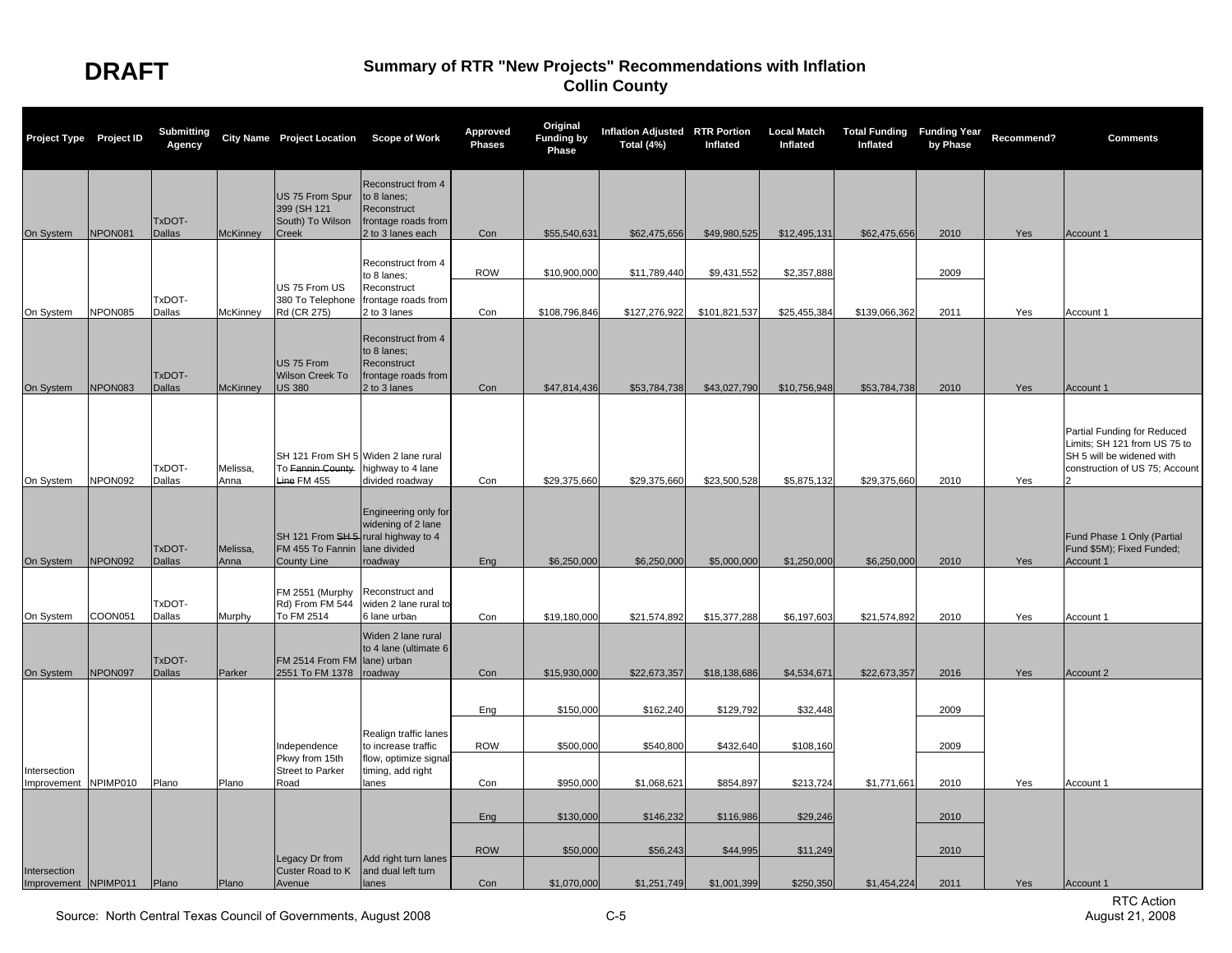| Reconstruct from 4<br>US 75 From Spur<br>to 8 lanes:<br>399 (SH 121<br>Reconstruct<br>TxDOT-<br>South) To Wilson<br>frontage roads from                                                                                                                                                                                 | Yes | Account 1                                                                                                                  |
|-------------------------------------------------------------------------------------------------------------------------------------------------------------------------------------------------------------------------------------------------------------------------------------------------------------------------|-----|----------------------------------------------------------------------------------------------------------------------------|
|                                                                                                                                                                                                                                                                                                                         |     |                                                                                                                            |
| On System<br>NPON081<br><b>Dallas</b><br><b>McKinney</b><br>Creek<br>2 to 3 lanes each<br>Con<br>\$55,540,631<br>\$62,475,656<br>\$49,980,525<br>\$12,495,131<br>\$62,475,656<br>2010                                                                                                                                   |     |                                                                                                                            |
| Reconstruct from 4<br><b>ROW</b><br>\$10,900,000<br>\$11,789,440<br>\$9,431,552<br>\$2,357,888<br>2009<br>to 8 lanes;<br>US 75 From US<br>Reconstruct                                                                                                                                                                   |     |                                                                                                                            |
| TxDOT-<br>380 To Telephone<br>frontage roads from                                                                                                                                                                                                                                                                       |     |                                                                                                                            |
| NPON085<br>Dallas<br>McKinney<br>Rd (CR 275)<br>2 to 3 lanes<br>Con<br>\$108,796,846<br>\$127,276,922<br>\$101,821,537<br>\$25,455,384<br>\$139,066,362<br>2011<br>On System                                                                                                                                            | Yes | Account 1                                                                                                                  |
| Reconstruct from 4<br>to 8 lanes;<br>US 75 From<br>Reconstruct<br>TxDOT-<br>Wilson Creek To<br>frontage roads from<br>NPON083<br>On System<br><b>Dallas</b><br><b>McKinney</b><br><b>US 380</b><br>2 to 3 lanes<br>Con<br>\$47,814,436<br>\$53,784,738<br>\$43,027,790<br>\$10,756,948<br>\$53,784,738<br>2010          | Yes | Account 1                                                                                                                  |
| SH 121 From SH 5 Widen 2 lane rural<br>TxDOT-<br>Melissa,<br>To Fannin County<br>highway to 4 lane<br>NPON092<br>Dallas<br>Line FM 455<br>divided roadway<br>\$29,375,660<br>\$29,375,660<br>\$23,500,528<br>\$5,875,132<br>\$29,375,660<br>2010<br>On System<br>Anna<br>Con                                            | Yes | Partial Funding for Reduced<br>Limits; SH 121 from US 75 to<br>SH 5 will be widened with<br>construction of US 75; Account |
|                                                                                                                                                                                                                                                                                                                         |     |                                                                                                                            |
| Engineering only for<br>widening of 2 lane<br>SH 121 From SH 5 rural highway to 4<br>TxDOT-<br>FM 455 To Fannin<br>lane divided<br>Melissa,<br>NPON092<br><b>Dallas</b><br>\$6,250,000<br>\$6,250,000<br>\$5,000,000<br>\$1,250,000<br>\$6,250,000<br>On System<br>Anna<br><b>County Line</b><br>roadwav<br>Ena<br>2010 | Yes | Fund Phase 1 Only (Partial<br>Fund \$5M); Fixed Funded;<br>Account 1                                                       |
| FM 2551 (Murphy<br>Reconstruct and<br>TxDOT-<br>Rd) From FM 544<br>widen 2 lane rural to<br>COON051<br>To FM 2514<br>\$15,377,288<br>\$6,197,603<br>\$21,574,892<br>2010<br>On System<br>Dallas<br>Murphy<br>6 lane urban<br>Con<br>\$19,180,000<br>\$21,574,892                                                        | Yes | Account 1                                                                                                                  |
| Widen 2 lane rural<br>to 4 lane (ultimate 6<br>TxDOT-<br>lane) urban<br>FM 2514 From FM<br>NPON097<br>2551 To FM 1378<br>On System<br><b>Dallas</b><br>Parker<br>roadway<br>Con<br>\$15,930,000<br>\$22,673,357<br>\$18,138,686<br>\$4,534,671<br>\$22,673,357<br>2016                                                  | Yes | Account 2                                                                                                                  |
|                                                                                                                                                                                                                                                                                                                         |     |                                                                                                                            |
| Eng<br>\$150,000<br>\$162,240<br>\$129,792<br>\$32,448<br>2009                                                                                                                                                                                                                                                          |     |                                                                                                                            |
| Realign traffic lanes<br><b>ROW</b><br>\$500,000<br>\$432,640<br>to increase traffic<br>\$540,800<br>\$108,160<br>2009<br>Independence                                                                                                                                                                                  |     |                                                                                                                            |
| Pkwy from 15th<br>flow, optimize signa<br><b>Street to Parker</b><br>timing, add right<br>Intersection                                                                                                                                                                                                                  |     |                                                                                                                            |
| NPIMP010<br>Plano<br>\$1,771,661<br>Plano<br>Road<br>lanes<br>Con<br>\$950,000<br>\$1,068,621<br>\$854,897<br>\$213,724<br>2010<br>Improvement                                                                                                                                                                          | Yes | Account 1                                                                                                                  |
| \$130,000<br>\$146,232<br>\$116,986<br>\$29,246<br>2010<br>Eng                                                                                                                                                                                                                                                          |     |                                                                                                                            |
| <b>ROW</b><br>\$50,000<br>\$44,995<br>\$11,249<br>2010<br>\$56,243                                                                                                                                                                                                                                                      |     |                                                                                                                            |
| Legacy Dr from<br>Add right turn lanes<br>and dual left turn<br>Custer Road to K<br>Intersection<br>Improvement NPIMP011<br>\$1,070,000<br>\$1,251,749<br>\$1,001,399<br>\$250,350<br>\$1,454,224<br>Plano<br>Plano<br>Avenue<br>lanes<br>Con<br>2011                                                                   | Yes | Account 1                                                                                                                  |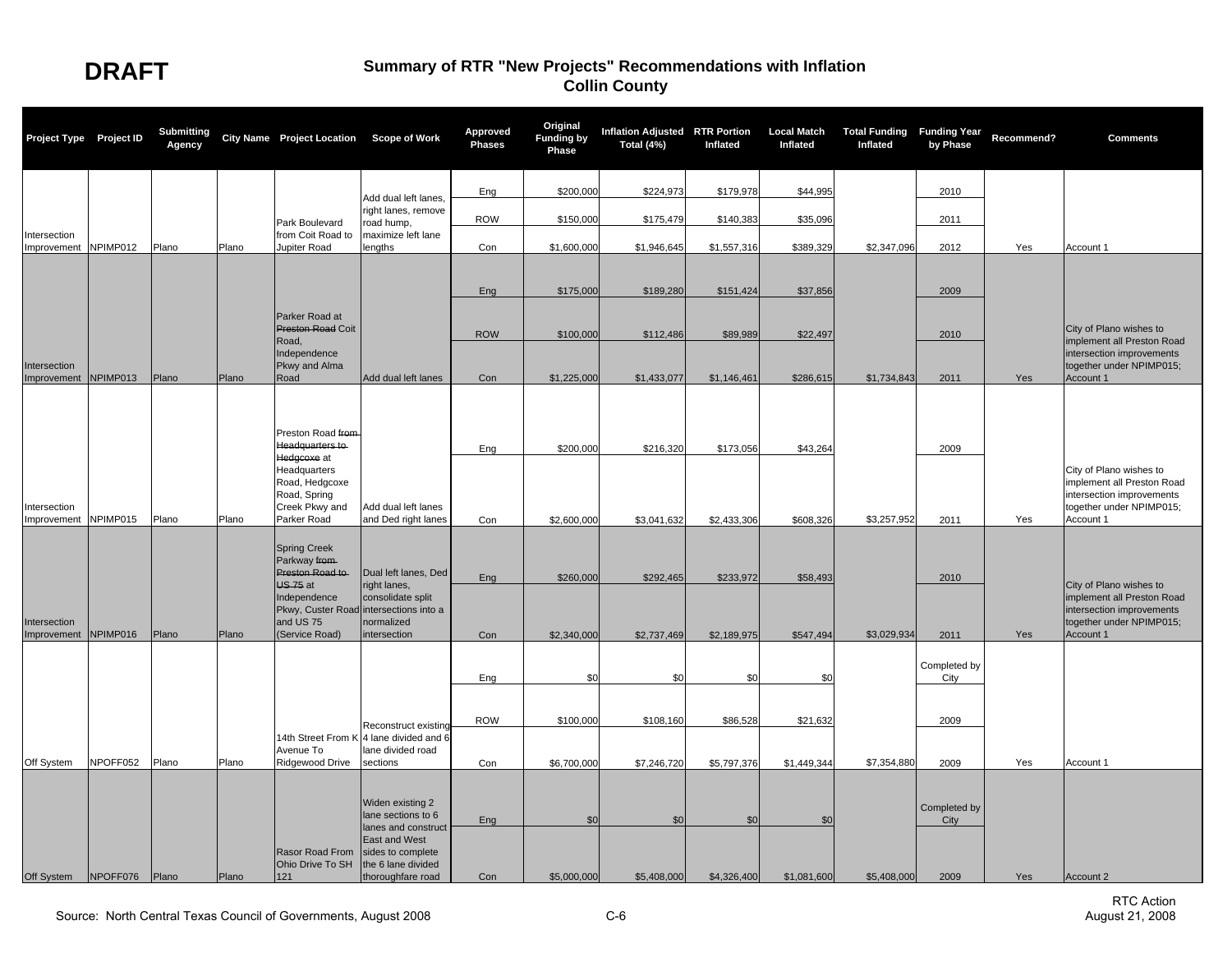| Project Type Project ID              |          | <b>Submitting</b><br>Agency |       | City Name Project Location Scope of Work                                                       |                                                                                                             | <b>Approved</b><br><b>Phases</b> | Original<br><b>Funding by</b><br>Phase | Inflation Adjusted RTR Portion<br>Total (4%) | Inflated    | <b>Local Match</b><br>Inflated | <b>Total Funding Funding Year</b><br>Inflated | by Phase             | Recommend? | <b>Comments</b>                                                                                                             |
|--------------------------------------|----------|-----------------------------|-------|------------------------------------------------------------------------------------------------|-------------------------------------------------------------------------------------------------------------|----------------------------------|----------------------------------------|----------------------------------------------|-------------|--------------------------------|-----------------------------------------------|----------------------|------------|-----------------------------------------------------------------------------------------------------------------------------|
|                                      |          |                             |       |                                                                                                |                                                                                                             | Eng                              | \$200,000                              | \$224,973                                    | \$179,978   | \$44,995                       |                                               | 2010                 |            |                                                                                                                             |
|                                      |          |                             |       |                                                                                                | Add dual left lanes.<br>right lanes, remove                                                                 |                                  |                                        |                                              |             |                                |                                               |                      |            |                                                                                                                             |
|                                      |          |                             |       | Park Boulevard                                                                                 | road hump,                                                                                                  | <b>ROW</b>                       | \$150,000                              | \$175,479                                    | \$140,383   | \$35,096                       |                                               | 2011                 |            |                                                                                                                             |
| Intersection<br>Improvement          | NPIMP012 | Plano                       | Plano | from Coit Road to<br>Jupiter Road                                                              | maximize left lane<br>lengths                                                                               | Con                              | \$1,600,000                            | \$1,946,645                                  | \$1,557,316 | \$389,329                      | \$2,347,096                                   | 2012                 | Yes        | Account 1                                                                                                                   |
|                                      |          |                             |       |                                                                                                |                                                                                                             |                                  |                                        |                                              |             |                                |                                               |                      |            |                                                                                                                             |
|                                      |          |                             |       |                                                                                                |                                                                                                             | Eng                              | \$175,000                              | \$189,280                                    | \$151,424   | \$37,856                       |                                               | 2009                 |            |                                                                                                                             |
|                                      |          |                             |       | Parker Road at<br>Preston Road Coit                                                            |                                                                                                             | <b>ROW</b>                       | \$100,000                              | \$112,486                                    | \$89,989    | \$22,497                       |                                               | 2010                 |            | City of Plano wishes to<br>implement all Preston Road                                                                       |
| Intersection                         |          |                             |       | Road,<br>Independence<br>Pkwy and Alma                                                         |                                                                                                             |                                  |                                        |                                              |             |                                |                                               |                      |            | intersection improvements<br>together under NPIMP015;                                                                       |
| Improvement NPIMP013                 |          | Plano                       | Plano | Road                                                                                           | Add dual left lanes                                                                                         | Con                              | \$1,225,000                            | \$1,433,077                                  | \$1,146,461 | \$286,615                      | \$1,734,843                                   | 2011                 | Yes        | Account 1                                                                                                                   |
|                                      |          |                             |       | Preston Road from<br>Headquarters to                                                           |                                                                                                             | Eng                              | \$200,000                              | \$216,320                                    | \$173,056   | \$43,264                       |                                               | 2009                 |            |                                                                                                                             |
| Intersection<br>Improvement NPIMP015 |          | Plano                       | Plano | Hedgcoxe at<br>Headquarters<br>Road, Hedgcoxe<br>Road, Spring<br>Creek Pkwy and<br>Parker Road | Add dual left lanes<br>and Ded right lanes                                                                  | Con                              | \$2,600,000                            | \$3,041,632                                  | \$2,433,306 | \$608,326                      | \$3,257,952                                   | 2011                 | Yes        | City of Plano wishes to<br>implement all Preston Road<br>intersection improvements<br>together under NPIMP015;<br>Account 1 |
|                                      |          |                             |       | <b>Spring Creek</b><br>Parkway from-                                                           |                                                                                                             |                                  |                                        |                                              |             |                                |                                               |                      |            |                                                                                                                             |
|                                      |          |                             |       | Preston Road to                                                                                | Dual left lanes, Ded                                                                                        | Eng                              | \$260,000                              | \$292,465                                    | \$233,972   | \$58,493                       |                                               | 2010                 |            |                                                                                                                             |
| Intersection                         |          |                             |       | US 75 at<br>Independence<br>and US 75                                                          | right lanes,<br>consolidate split<br>Pkwy, Custer Road intersections into a<br>normalized                   |                                  |                                        |                                              |             |                                |                                               |                      |            | City of Plano wishes to<br>implement all Preston Road<br>intersection improvements<br>together under NPIMP015;              |
| Improvement NPIMP016                 |          | Plano                       | Plano | (Service Road)                                                                                 | intersection                                                                                                | Con                              | \$2,340,000                            | \$2,737,469                                  | \$2,189,975 | \$547,494                      | \$3,029,934                                   | 2011                 | Yes        | Account 1                                                                                                                   |
|                                      |          |                             |       |                                                                                                |                                                                                                             | Eng                              | \$0                                    | \$0                                          | \$0         | \$0                            |                                               | Completed by<br>City |            |                                                                                                                             |
|                                      |          |                             |       |                                                                                                |                                                                                                             | <b>ROW</b>                       | \$100,000                              | \$108,160                                    | \$86,528    | \$21,632                       |                                               | 2009                 |            |                                                                                                                             |
|                                      |          |                             |       | Avenue To                                                                                      | Reconstruct existing<br>14th Street From K 4 lane divided and 6<br>lane divided road                        |                                  |                                        |                                              |             |                                |                                               |                      |            |                                                                                                                             |
| Off System                           | NPOFF052 | Plano                       | Plano | Ridgewood Drive                                                                                | sections                                                                                                    | Con                              | \$6,700,000                            | \$7,246,720                                  | \$5,797,376 | \$1,449,344                    | \$7,354,880                                   | 2009                 | Yes        | Account 1                                                                                                                   |
|                                      |          |                             |       |                                                                                                | Widen existing 2<br>lane sections to 6                                                                      | Eng                              | \$0                                    | \$0                                          | \$0         | \$0                            |                                               | Completed by<br>City |            |                                                                                                                             |
| Off System                           | NPOFF076 | Plano                       | Plano | Rasor Road From<br>Ohio Drive To SH<br>121                                                     | lanes and construct<br><b>East and West</b><br>sides to complete<br>the 6 lane divided<br>thoroughfare road | Con                              | \$5,000,000                            | \$5,408,000                                  | \$4,326,400 | \$1,081,600                    | \$5,408,000                                   | 2009                 | Yes        | Account 2                                                                                                                   |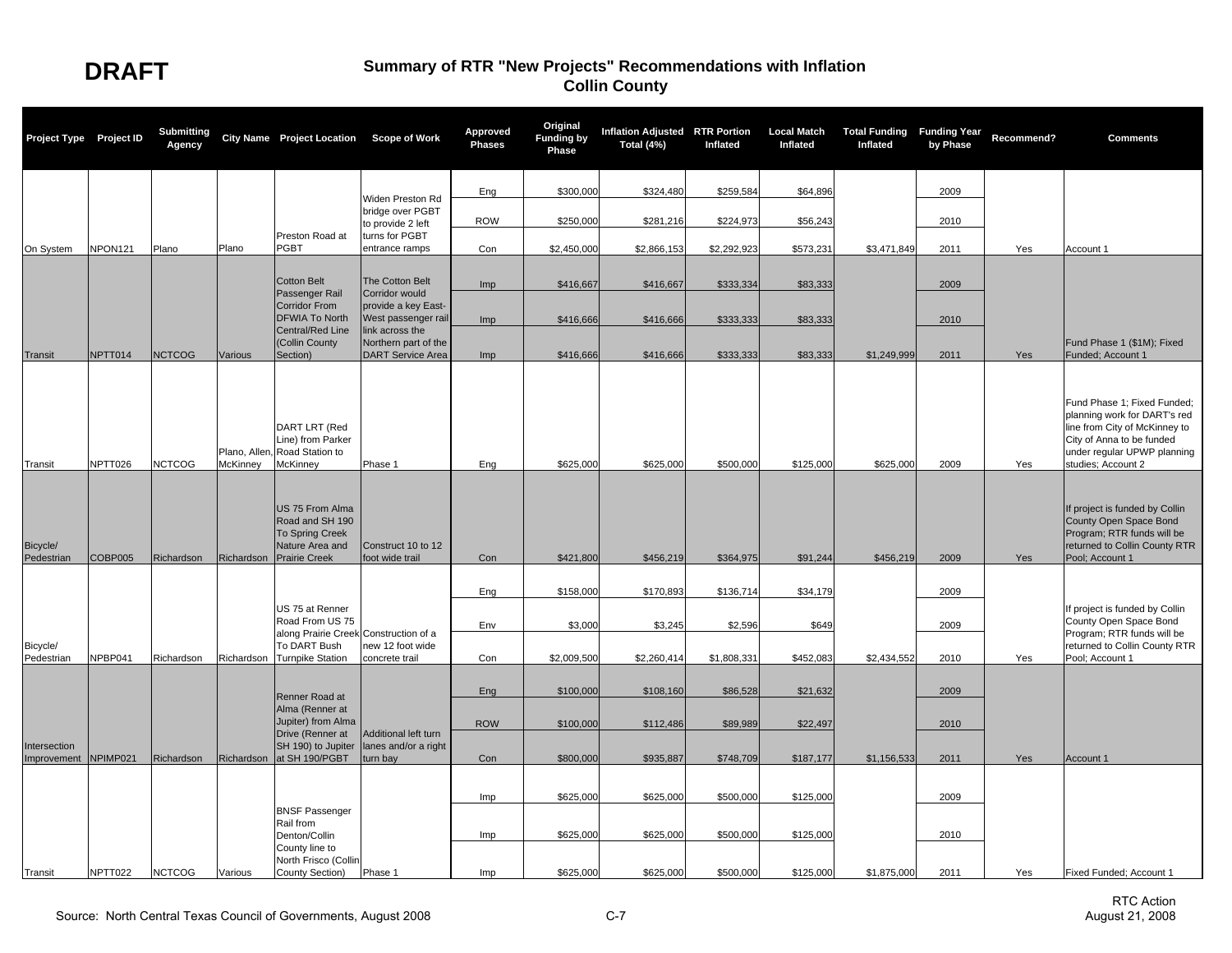| Project Type Project ID     |                     | <b>Submitting</b><br>Agency |                | City Name Project Location Scope of Work                                                                |                                                  | Approved<br><b>Phases</b> | Original<br><b>Funding by</b><br>Phase | Inflation Adjusted RTR Portion<br>Total (4%) | Inflated    | <b>Local Match</b><br>Inflated | <b>Total Funding Funding Year</b><br>Inflated | by Phase | Recommend? | <b>Comments</b>                                                                                                                                                                |
|-----------------------------|---------------------|-----------------------------|----------------|---------------------------------------------------------------------------------------------------------|--------------------------------------------------|---------------------------|----------------------------------------|----------------------------------------------|-------------|--------------------------------|-----------------------------------------------|----------|------------|--------------------------------------------------------------------------------------------------------------------------------------------------------------------------------|
|                             |                     |                             |                |                                                                                                         |                                                  |                           |                                        |                                              |             |                                |                                               |          |            |                                                                                                                                                                                |
|                             |                     |                             |                |                                                                                                         | Widen Preston Rd<br>bridge over PGBT             | Eng                       | \$300,000                              | \$324,480                                    | \$259,584   | \$64,896                       |                                               | 2009     |            |                                                                                                                                                                                |
|                             |                     |                             |                |                                                                                                         | to provide 2 left                                | <b>ROW</b>                | \$250,000                              | \$281,216                                    | \$224.973   | \$56,243                       |                                               | 2010     |            |                                                                                                                                                                                |
| On System                   | NPON <sub>121</sub> | Plano                       | Plano          | Preston Road at<br>PGBT                                                                                 | turns for PGBT<br>entrance ramps                 | Con                       | \$2,450,000                            | \$2,866,153                                  | \$2.292.923 | \$573,231                      | \$3,471,849                                   | 2011     | Yes        | Account 1                                                                                                                                                                      |
|                             |                     |                             |                |                                                                                                         |                                                  |                           |                                        |                                              |             |                                |                                               |          |            |                                                                                                                                                                                |
|                             |                     |                             |                | <b>Cotton Belt</b><br>Passenger Rail                                                                    | The Cotton Belt<br>Corridor would                | Imp                       | \$416,667                              | \$416,667                                    | \$333,334   | \$83,333                       |                                               | 2009     |            |                                                                                                                                                                                |
|                             |                     |                             |                | <b>Corridor From</b><br><b>DFWIA To North</b>                                                           | provide a key East-<br>West passenger rail       |                           |                                        |                                              |             |                                |                                               |          |            |                                                                                                                                                                                |
|                             |                     |                             |                | Central/Red Line                                                                                        | link across the                                  | Imp                       | \$416,666                              | \$416,666                                    | \$333,333   | \$83,333                       |                                               | 2010     |            |                                                                                                                                                                                |
| Transit                     | NPTT014             | <b>NCTCOG</b>               | <b>Various</b> | (Collin County<br>Section)                                                                              | Northern part of the<br><b>DART Service Area</b> | Imp                       | \$416,666                              | \$416,666                                    | \$333,333   | \$83,333                       | \$1,249,999                                   | 2011     | Yes        | Fund Phase 1 (\$1M); Fixed<br>Funded; Account 1                                                                                                                                |
| Transit                     | NPTT026             | <b>NCTCOG</b>               | McKinney       | DART LRT (Red<br>Line) from Parker<br>Plano, Allen, Road Station to<br>McKinney                         | Phase 1                                          | Eng                       | \$625,000                              | \$625,000                                    | \$500,000   | \$125,000                      | \$625,000                                     | 2009     | Yes        | Fund Phase 1; Fixed Funded;<br>planning work for DART's red<br>line from City of McKinney to<br>City of Anna to be funded<br>under regular UPWP planning<br>studies; Account 2 |
| Bicycle/<br>Pedestrian      | COBP005             | Richardson                  | Richardson     | US 75 From Alma<br>Road and SH 190<br><b>To Spring Creek</b><br>Nature Area and<br><b>Prairie Creek</b> | Construct 10 to 12<br>foot wide trail            | Con                       | \$421,800                              | \$456,219                                    | \$364,975   | \$91,244                       | \$456,219                                     | 2009     | Yes        | If project is funded by Collin<br>County Open Space Bond<br>Program; RTR funds will be<br>returned to Collin County RTR<br>Pool; Account 1                                     |
|                             |                     |                             |                |                                                                                                         |                                                  |                           |                                        |                                              |             |                                |                                               |          |            |                                                                                                                                                                                |
|                             |                     |                             |                | US 75 at Renner                                                                                         |                                                  | Eng                       | \$158,000                              | \$170,893                                    | \$136,714   | \$34,179                       |                                               | 2009     |            | If project is funded by Collin                                                                                                                                                 |
|                             |                     |                             |                | Road From US 75                                                                                         |                                                  | Env                       | \$3,000                                | \$3,245                                      | \$2,596     | \$649                          |                                               | 2009     |            | County Open Space Bond                                                                                                                                                         |
| Bicycle/                    |                     |                             |                | along Prairie Creek Construction of a<br>To DART Bush                                                   | new 12 foot wide                                 |                           |                                        |                                              |             |                                |                                               |          |            | Program; RTR funds will be<br>returned to Collin County RTR                                                                                                                    |
| Pedestrian                  | NPBP041             | Richardson                  | Richardson     | <b>Turnpike Station</b>                                                                                 | concrete trail                                   | Con                       | \$2,009,500                            | \$2,260,414                                  | \$1,808,331 | \$452,083                      | \$2,434,552                                   | 2010     | Yes        | Pool; Account 1                                                                                                                                                                |
|                             |                     |                             |                | Renner Road at                                                                                          |                                                  | Eng                       | \$100,000                              | \$108,160                                    | \$86,528    | \$21,632                       |                                               | 2009     |            |                                                                                                                                                                                |
|                             |                     |                             |                | Alma (Renner at<br>Jupiter) from Alma                                                                   |                                                  |                           |                                        |                                              |             |                                |                                               |          |            |                                                                                                                                                                                |
|                             |                     |                             |                | Drive (Renner at                                                                                        | Additional left turn                             | <b>ROW</b>                | \$100,000                              | \$112,486                                    | \$89,989    | \$22,497                       |                                               | 2010     |            |                                                                                                                                                                                |
| Intersection<br>Improvement | NPIMP021            | Richardson                  | Richardson     | SH 190) to Jupiter<br>at SH 190/PGBT                                                                    | lanes and/or a right<br>turn bay                 | Con                       | \$800,000                              | \$935,887                                    | \$748,709   | \$187,177                      | \$1,156,533                                   | 2011     | Yes        | Account 1                                                                                                                                                                      |
|                             |                     |                             |                |                                                                                                         |                                                  |                           |                                        |                                              |             |                                |                                               |          |            |                                                                                                                                                                                |
|                             |                     |                             |                | <b>BNSF Passenger</b>                                                                                   |                                                  | Imp                       | \$625,000                              | \$625,000                                    | \$500,000   | \$125,000                      |                                               | 2009     |            |                                                                                                                                                                                |
|                             |                     |                             |                | Rail from                                                                                               |                                                  |                           | \$625,000                              | \$625,000                                    | \$500,000   | \$125,000                      |                                               | 2010     |            |                                                                                                                                                                                |
|                             |                     |                             |                | Denton/Collin<br>County line to                                                                         |                                                  | Imp                       |                                        |                                              |             |                                |                                               |          |            |                                                                                                                                                                                |
| Transit                     | NPTT022             | <b>NCTCOG</b>               | Various        | North Frisco (Collin<br>County Section)                                                                 | Phase 1                                          | Imp                       | \$625,000                              | \$625,000                                    | \$500,000   | \$125,000                      | \$1,875,000                                   | 2011     | Yes        | Fixed Funded; Account 1                                                                                                                                                        |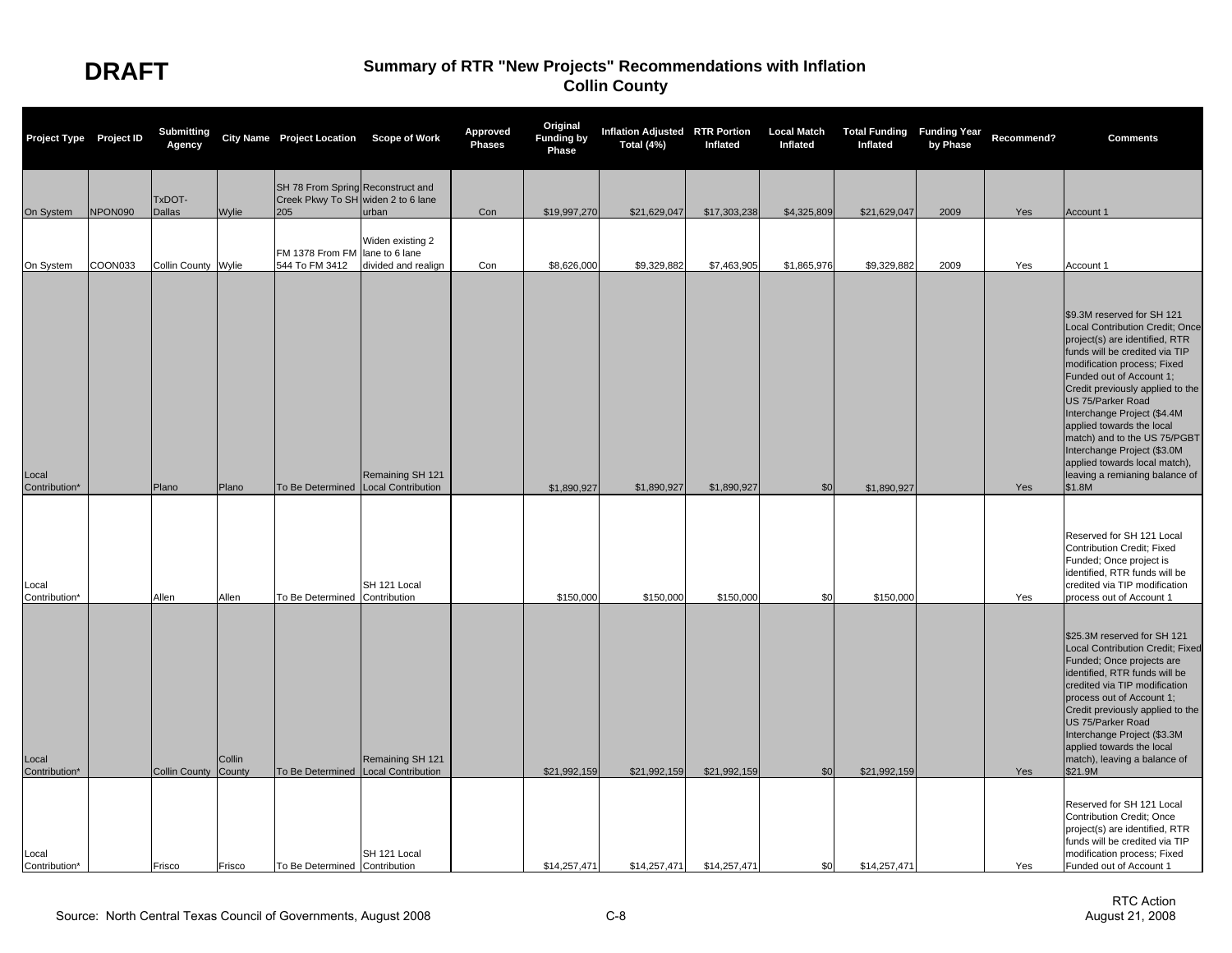| Project Type Project ID |         | <b>Submitting</b><br>Agency |                  | City Name Project Location Scope of Work                                       |                                               | Approved<br><b>Phases</b> | Original<br><b>Funding by</b><br>Phase | Inflation Adjusted RTR Portion<br>Total (4%) | Inflated     | <b>Local Match</b><br>Inflated | <b>Total Funding Funding Year</b><br>Inflated | by Phase | Recommend? | <b>Comments</b>                                                                                                                                                                                                                                                                                                                                                                                                                                               |
|-------------------------|---------|-----------------------------|------------------|--------------------------------------------------------------------------------|-----------------------------------------------|---------------------------|----------------------------------------|----------------------------------------------|--------------|--------------------------------|-----------------------------------------------|----------|------------|---------------------------------------------------------------------------------------------------------------------------------------------------------------------------------------------------------------------------------------------------------------------------------------------------------------------------------------------------------------------------------------------------------------------------------------------------------------|
| On System               | NPON090 | TxDOT-<br><b>Dallas</b>     | Wylie            | SH 78 From Spring Reconstruct and<br>Creek Pkwy To SH widen 2 to 6 lane<br>205 | urban                                         | Con                       | \$19,997,270                           | \$21,629,047                                 | \$17,303,238 | \$4,325,809                    | \$21,629,047                                  | 2009     | Yes        | Account 1                                                                                                                                                                                                                                                                                                                                                                                                                                                     |
| On System               | COON033 | Collin County Wylie         |                  | FM 1378 From FM lane to 6 lane<br>544 To FM 3412                               | Widen existing 2<br>divided and realign       | Con                       | \$8,626,000                            | \$9,329,882                                  | \$7,463,905  | \$1,865,976                    | \$9,329,882                                   | 2009     | Yes        | Account 1                                                                                                                                                                                                                                                                                                                                                                                                                                                     |
| Local<br>Contribution*  |         | Plano                       | Plano            | To Be Determined                                                               | Remaining SH 121<br>Local Contribution        |                           | \$1,890,927                            | \$1,890,927                                  | \$1,890,927  | \$0                            | \$1,890,927                                   |          | Yes        | \$9.3M reserved for SH 121<br>Local Contribution Credit; Once<br>project(s) are identified, RTR<br>funds will be credited via TIP<br>modification process; Fixed<br>Funded out of Account 1;<br>Credit previously applied to the<br>US 75/Parker Road<br>Interchange Project (\$4.4M<br>applied towards the local<br>match) and to the US 75/PGBT<br>Interchange Project (\$3.0M<br>applied towards local match),<br>leaving a remianing balance of<br>\$1.8M |
| Local<br>Contribution*  |         | Allen                       | Allen            | To Be Determined Contribution                                                  | SH 121 Local                                  |                           | \$150,000                              | \$150,000                                    | \$150,000    | \$0                            | \$150,000                                     |          | Yes        | Reserved for SH 121 Local<br>Contribution Credit; Fixed<br>Funded; Once project is<br>identified, RTR funds will be<br>credited via TIP modification<br>process out of Account 1                                                                                                                                                                                                                                                                              |
| Local<br>Contribution*  |         | <b>Collin County</b>        | Collin<br>County | To Be Determined                                                               | Remaining SH 121<br><b>Local Contribution</b> |                           | \$21,992,159                           | \$21,992,159                                 | \$21,992,159 | \$0                            | \$21,992,159                                  |          | Yes        | \$25.3M reserved for SH 121<br>Local Contribution Credit; Fixed<br>Funded; Once projects are<br>identified, RTR funds will be<br>credited via TIP modification<br>process out of Account 1;<br>Credit previously applied to the<br>US 75/Parker Road<br>Interchange Project (\$3.3M<br>applied towards the local<br>match), leaving a balance of<br>\$21.9M                                                                                                   |
| Local<br>Contribution*  |         | Frisco                      | Frisco           | To Be Determined Contribution                                                  | SH 121 Local                                  |                           | \$14,257,471                           | \$14,257,471                                 | \$14,257,471 | \$0                            | \$14,257,471                                  |          | Yes        | Reserved for SH 121 Local<br>Contribution Credit; Once<br>project(s) are identified, RTR<br>funds will be credited via TIP<br>modification process; Fixed<br>Funded out of Account 1                                                                                                                                                                                                                                                                          |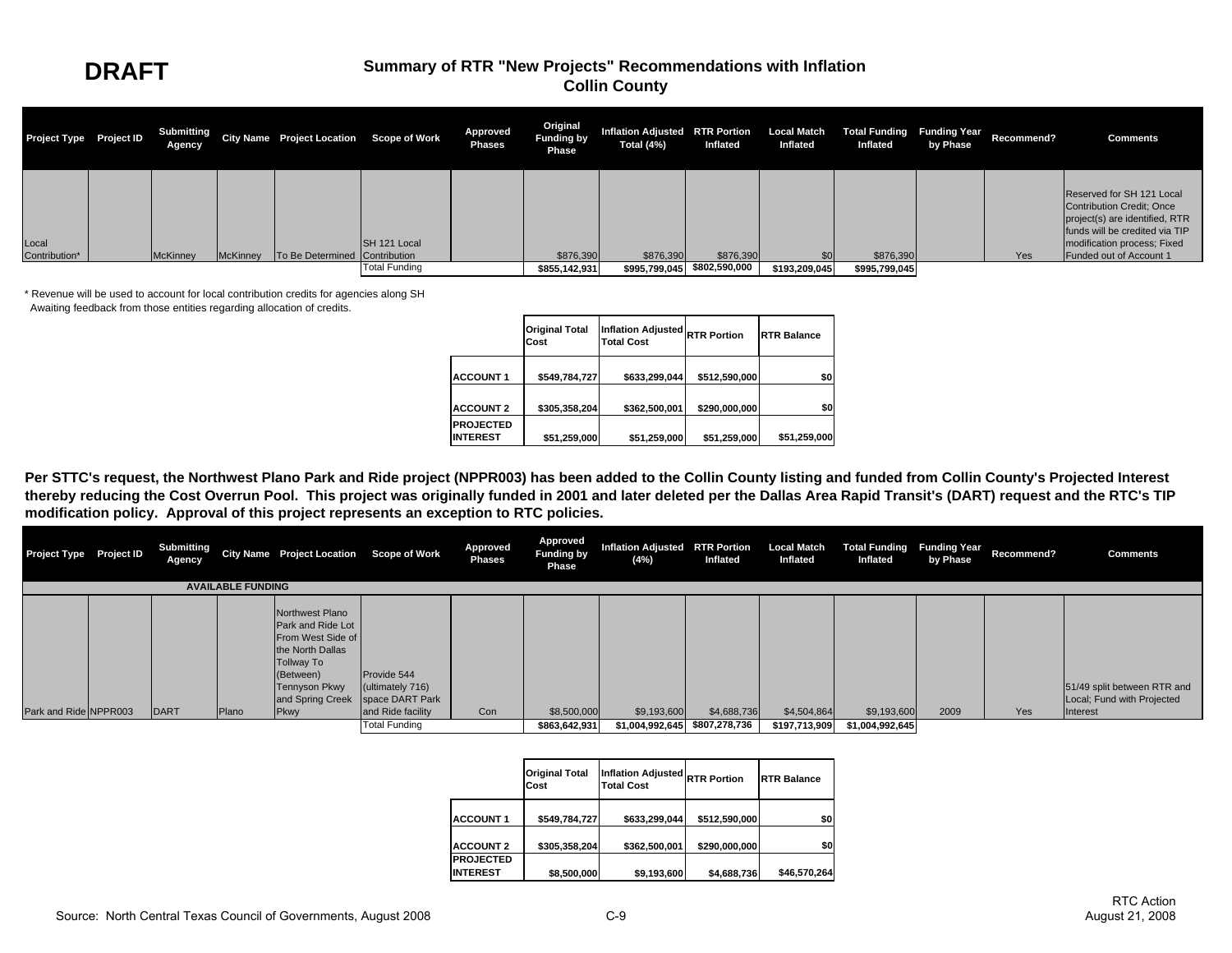| Project Type Project ID | Submitting<br>Agency |          | City Name Project Location Scope of Work |                      | Approved<br><b>Phases</b> | Original<br><b>Funding by</b><br>Phase | Inflation Adjusted RTR Portion Local Match Total Funding Funding Year<br>Total (4%) | Inflated      | Inflated      | Inflated      | by Phase | Recommend? | <b>Comments</b>                                                                                                                                                                             |
|-------------------------|----------------------|----------|------------------------------------------|----------------------|---------------------------|----------------------------------------|-------------------------------------------------------------------------------------|---------------|---------------|---------------|----------|------------|---------------------------------------------------------------------------------------------------------------------------------------------------------------------------------------------|
| Local<br>Contribution*  | <b>McKinney</b>      | McKinney | To Be Determined Contribution            | SH 121 Local         |                           | \$876,390                              | \$876,390                                                                           | \$876,390     |               | \$876,390     |          | Yes        | Reserved for SH 121 Local<br><b>Contribution Credit: Once</b><br>project(s) are identified, RTR<br>funds will be credited via TIP<br>modification process; Fixed<br>Funded out of Account 1 |
|                         |                      |          |                                          | <b>Total Funding</b> |                           | \$855,142,931                          | \$995,799,045                                                                       | \$802,590,000 | \$193,209,045 | \$995,799,045 |          |            |                                                                                                                                                                                             |

\* Revenue will be used to account for local contribution credits for agencies along SH Awaiting feedback from those entities regarding allocation of credits.

|                                     | <b>Original Total</b><br>Cost | <b>Inflation Adjusted</b><br><b>Total Cost</b> | <b>RTR Portion</b> | <b>RTR Balance</b> |
|-------------------------------------|-------------------------------|------------------------------------------------|--------------------|--------------------|
| <b>ACCOUNT 1</b>                    | \$549,784,727                 | \$633.299.044                                  | \$512,590,000      | \$0                |
| <b>ACCOUNT 2</b>                    | \$305,358,204                 | \$362,500,001                                  | \$290,000,000      | \$0                |
| <b>PROJECTED</b><br><b>INTEREST</b> | \$51,259,000                  | \$51,259,000                                   | \$51,259,000       | \$51,259,000       |

Per STTC's request, the Northwest Plano Park and Ride project (NPPR003) has been added to the Collin County listing and funded from Collin County's Projected Interest **thereby reducing the Cost Overrun Pool. This project was originally funded in 2001 and later deleted per the Dallas Area Rapid Transit's (DART) request and the RTC's TIP modification policy. Approval of this project represents an exception to RTC policies.**

| Project Type Project ID |  | <b>Submitting</b><br><b>Agency</b> |                          | City Name Project Location Scope of Work                                                                                                                                     |                                                      | Approved<br><b>Phases</b> | Approved<br><b>Funding by</b><br>Phase | Inflation Adjusted RTR Portion<br>(4%) | Inflated      | Inflated      | Local Match Total Funding Funding Year<br>Inflated | by Phase | Recommend? | <b>Comments</b>                                                       |
|-------------------------|--|------------------------------------|--------------------------|------------------------------------------------------------------------------------------------------------------------------------------------------------------------------|------------------------------------------------------|---------------------------|----------------------------------------|----------------------------------------|---------------|---------------|----------------------------------------------------|----------|------------|-----------------------------------------------------------------------|
|                         |  |                                    | <b>AVAILABLE FUNDING</b> |                                                                                                                                                                              |                                                      |                           |                                        |                                        |               |               |                                                    |          |            |                                                                       |
| Park and Ride NPPR003   |  | <b>DART</b>                        | Plano                    | Northwest Plano<br><b>Park and Ride Lot</b><br>From West Side of<br>the North Dallas<br>Tollway To<br>(Between)<br>Tennyson Pkwy<br>and Spring Creek Space DART Park<br>Pkwy | Provide 544<br>(ultimately 716)<br>and Ride facility | Con                       | \$8,500,000                            | \$9,193,600                            | \$4,688,736   | \$4,504,864   | \$9,193,600                                        | 2009     | Yes        | 51/49 split between RTR and<br>Local; Fund with Projected<br>Interest |
|                         |  |                                    |                          |                                                                                                                                                                              | <b>Total Funding</b>                                 |                           | \$863,642,931                          | \$1,004,992,645                        | \$807,278,736 | \$197,713,909 | \$1,004,992,645                                    |          |            |                                                                       |

|                                     | <b>Original Total</b><br>Cost | <b>Inflation Adjusted</b><br><b>Total Cost</b> | <b>RTR Portion</b> | <b>RTR Balance</b> |
|-------------------------------------|-------------------------------|------------------------------------------------|--------------------|--------------------|
| <b>ACCOUNT 1</b>                    | \$549,784,727                 | \$633,299,044                                  | \$512,590,000      | \$0                |
| <b>ACCOUNT 2</b>                    | \$305,358,204                 | \$362,500,001                                  | \$290,000,000      | \$0                |
| <b>PROJECTED</b><br><b>INTEREST</b> | \$8,500,000                   | \$9,193,600                                    | \$4,688,736        | \$46,570,264       |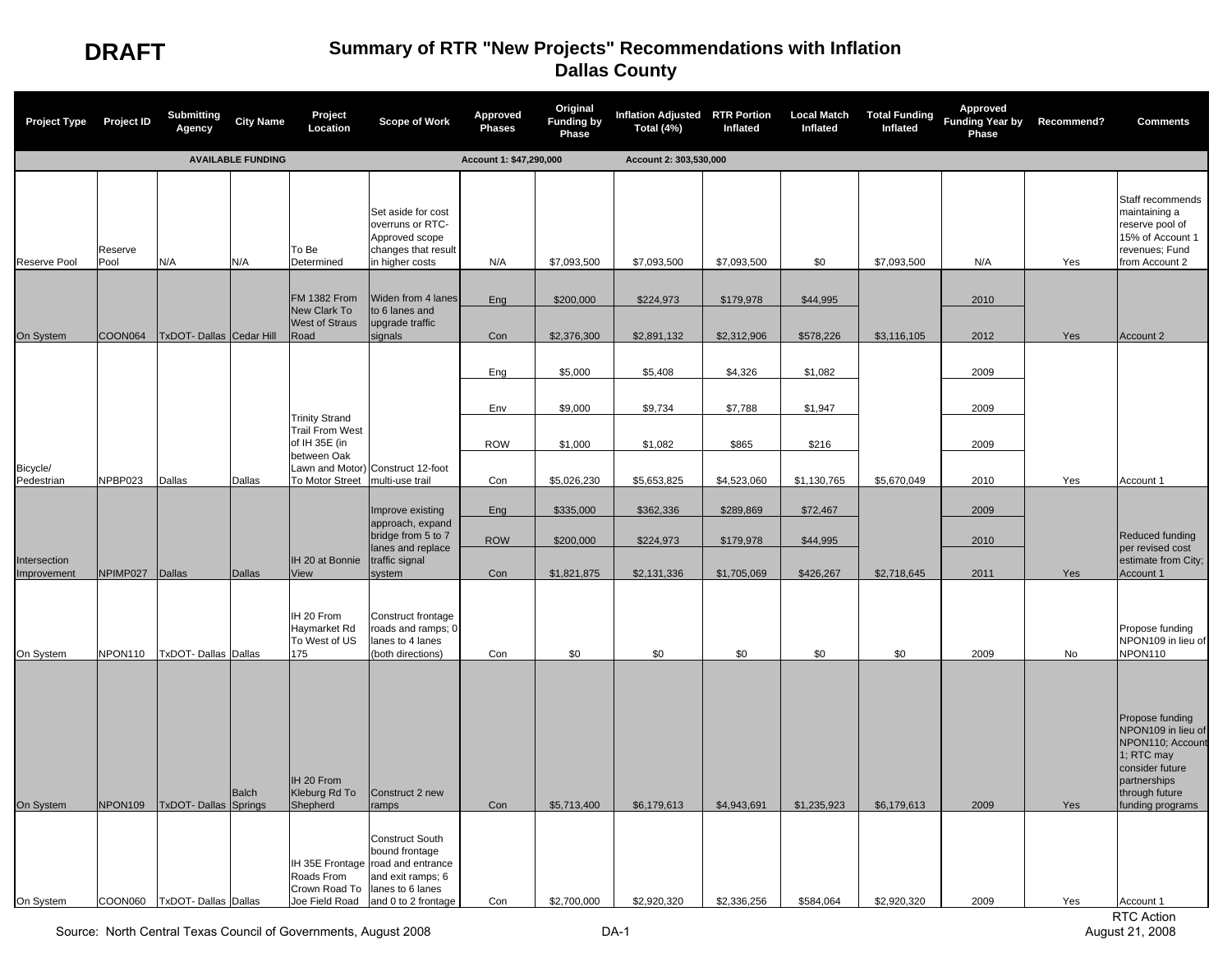| Project Type Project ID     |                 | Submitting<br>Agency                                | <b>City Name</b>         | Project<br>Location                                                    | <b>Scope of Work</b>                                                                                                                                                                     | Approved<br><b>Phases</b> | Original<br><b>Funding by</b><br>Phase | Inflation Adjusted RTR Portion<br>Total (4%) | Inflated                   | <b>Local Match</b><br>Inflated | <b>Total Funding</b><br>Inflated | Approved<br>Funding Year by Recommend?<br>Phase |            | <b>Comments</b>                                                                                                                                               |
|-----------------------------|-----------------|-----------------------------------------------------|--------------------------|------------------------------------------------------------------------|------------------------------------------------------------------------------------------------------------------------------------------------------------------------------------------|---------------------------|----------------------------------------|----------------------------------------------|----------------------------|--------------------------------|----------------------------------|-------------------------------------------------|------------|---------------------------------------------------------------------------------------------------------------------------------------------------------------|
|                             |                 |                                                     | <b>AVAILABLE FUNDING</b> |                                                                        |                                                                                                                                                                                          | Account 1: \$47,290,000   |                                        | Account 2: 303,530,000                       |                            |                                |                                  |                                                 |            |                                                                                                                                                               |
| Reserve Pool                | Reserve<br>Pool | N/A                                                 | N/A                      | To Be<br>Determined                                                    | Set aside for cost<br>overruns or RTC-<br>Approved scope<br>changes that result<br>in higher costs                                                                                       | N/A                       | \$7,093,500                            | \$7,093,500                                  | \$7,093,500                | \$0                            | \$7,093,500                      | N/A                                             | Yes        | Staff recommends<br>maintaining a<br>reserve pool of<br>15% of Account 1<br>revenues; Fund<br>from Account 2                                                  |
|                             |                 |                                                     |                          | <b>FM 1382 From</b><br>New Clark To                                    | Widen from 4 lanes<br>to 6 lanes and                                                                                                                                                     | Eng                       | \$200,000                              | \$224,973                                    | \$179,978                  | \$44,995                       |                                  | 2010                                            |            |                                                                                                                                                               |
| On System                   |                 | COON064   TxDOT- Dallas   Cedar Hill                |                          | <b>West of Straus</b><br>Road                                          | upgrade traffic<br>signals                                                                                                                                                               | Con                       | \$2,376,300                            | \$2,891,132                                  | \$2,312,906                | \$578,226                      | \$3,116,105                      | 2012                                            | Yes        | Account 2                                                                                                                                                     |
|                             |                 |                                                     |                          |                                                                        |                                                                                                                                                                                          | Eng                       | \$5,000                                | \$5,408                                      | \$4,326                    | \$1,082                        |                                  | 2009                                            |            |                                                                                                                                                               |
|                             |                 |                                                     |                          | <b>Trinity Strand</b>                                                  |                                                                                                                                                                                          | Env                       | \$9,000                                | \$9,734                                      | \$7,788                    | \$1,947                        |                                  | 2009                                            |            |                                                                                                                                                               |
|                             |                 |                                                     |                          | <b>Trail From West</b><br>of IH 35E (in<br>between Oak                 |                                                                                                                                                                                          | <b>ROW</b>                | \$1,000                                | \$1,082                                      | \$865                      | \$216                          |                                  | 2009                                            |            |                                                                                                                                                               |
| Bicycle/<br>Pedestrian      | NPBP023         | Dallas                                              | Dallas                   | To Motor Street                                                        | Lawn and Motor) Construct 12-foot<br>multi-use trail                                                                                                                                     | Con                       | \$5,026,230                            | \$5,653,825                                  | \$4,523,060                | \$1,130,765                    | \$5,670,049                      | 2010                                            | Yes        | Account 1                                                                                                                                                     |
|                             |                 |                                                     |                          |                                                                        | Improve existing                                                                                                                                                                         | Eng                       | \$335,000                              | \$362,336                                    | \$289,869                  | \$72,467                       |                                  | 2009                                            |            |                                                                                                                                                               |
|                             |                 |                                                     |                          |                                                                        | approach, expand<br>bridge from 5 to 7<br>lanes and replace                                                                                                                              | <b>ROW</b>                | \$200,000                              | \$224,973                                    | \$179,978                  | \$44,995                       |                                  | 2010                                            |            | Reduced funding<br>per revised cost                                                                                                                           |
| Intersection<br>Improvement | NPIMP027 Dallas |                                                     | Dallas                   | IH 20 at Bonnie<br>View                                                | traffic signal<br>system                                                                                                                                                                 | Con                       | \$1,821,875                            | \$2,131,336                                  | \$1,705,069                | \$426,267                      | \$2,718,645                      | 2011                                            | Yes        | estimate from City;<br>Account 1                                                                                                                              |
| On System                   | NPON110         | <b>TxDOT-Dallas Dallas</b>                          |                          | IH 20 From<br>Haymarket Rd<br>To West of US<br>175                     | Construct frontage<br>roads and ramps; 0<br>lanes to 4 lanes<br>(both directions)                                                                                                        | Con                       | \$0                                    | \$0                                          | \$0                        | \$0                            | \$0                              | 2009                                            | No         | Propose funding<br>NPON109 in lieu of<br>NPON110                                                                                                              |
| On System<br>On System      | NPON109         | TxDOT-Dallas Springs<br>COON060 TxDOT-Dallas Dallas | Balch                    | IH 20 From<br>Kleburg Rd To<br>Shepherd<br>Roads From<br>Crown Road To | Construct 2 new<br>ramps<br><b>Construct South</b><br>bound frontage<br>IH 35E Frontage road and entrance<br>and exit ramps; 6<br>lanes to 6 lanes<br>Joe Field Road and 0 to 2 frontage | Con<br>Con                | \$5,713,400<br>\$2,700,000             | \$6,179,613<br>\$2,920,320                   | \$4,943,691<br>\$2,336,256 | \$1,235,923<br>\$584,064       | \$6,179,613<br>\$2,920,320       | 2009<br>2009                                    | Yes<br>Yes | Propose funding<br>NPON109 in lieu of<br>NPON110; Account<br>1; RTC may<br>consider future<br>partnerships<br>through future<br>funding programs<br>Account 1 |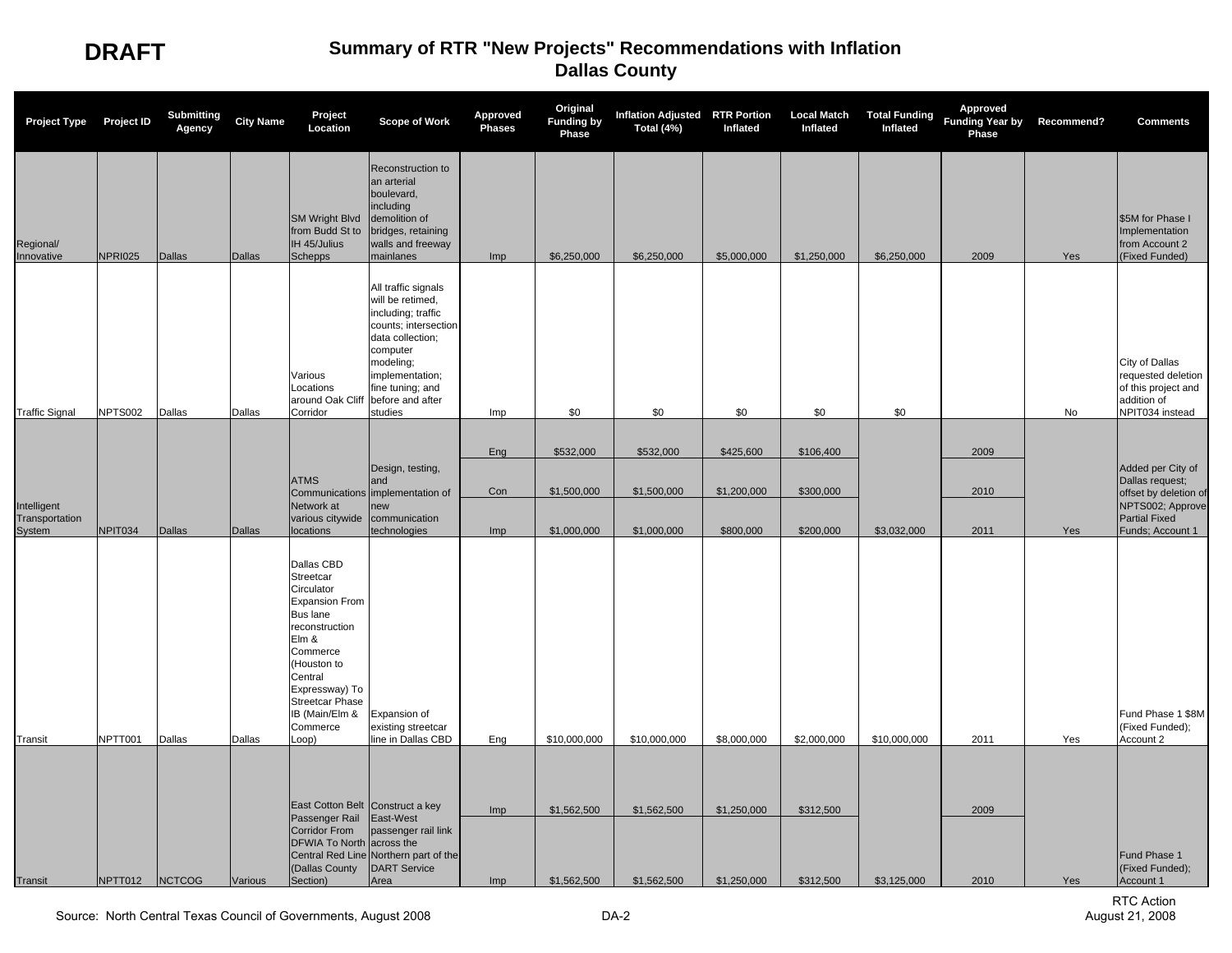| <b>Project Type</b>                     | <b>Project ID</b> | <b>Submitting</b><br>Agency | <b>City Name</b> | Project<br>Location                                                                                                                                                                                                            | <b>Scope of Work</b>                                                                                                                                                                                     | <b>Approved</b><br><b>Phases</b> | Original<br><b>Funding by</b><br>Phase | Inflation Adjusted RTR Portion<br>Total (4%) | Inflated    | <b>Local Match</b><br>Inflated | Inflated     | Approved<br>Total Funding Funding Year by Recommend?<br>Phase |     | <b>Comments</b>                                                                               |
|-----------------------------------------|-------------------|-----------------------------|------------------|--------------------------------------------------------------------------------------------------------------------------------------------------------------------------------------------------------------------------------|----------------------------------------------------------------------------------------------------------------------------------------------------------------------------------------------------------|----------------------------------|----------------------------------------|----------------------------------------------|-------------|--------------------------------|--------------|---------------------------------------------------------------|-----|-----------------------------------------------------------------------------------------------|
| Regional/<br>Innovative                 | <b>NPRI025</b>    | <b>Dallas</b>               | <b>Dallas</b>    | <b>SM Wright Blvd</b><br>from Budd St to<br>IH 45/Julius<br><b>Schepps</b>                                                                                                                                                     | Reconstruction to<br>an arterial<br>boulevard,<br>including<br>demolition of<br>bridges, retaining<br>walls and freeway<br>mainlanes                                                                     | Imp                              | \$6,250,000                            | \$6,250,000                                  | \$5,000,000 | \$1,250,000                    | \$6,250,000  | 2009                                                          | Yes | \$5M for Phase I<br>Implementation<br>from Account 2<br>(Fixed Funded)                        |
| <b>Traffic Signal</b>                   | NPTS002           | Dallas                      | Dallas           | Various<br>Locations<br>around Oak Cliff<br>Corridor                                                                                                                                                                           | All traffic signals<br>will be retimed,<br>including; traffic<br>counts; intersection<br>data collection;<br>computer<br>modeling;<br>implementation;<br>fine tuning; and<br>before and after<br>studies | Imp                              | \$0                                    | \$0                                          | \$0         | \$0                            | \$0          |                                                               | No  | City of Dallas<br>requested deletion<br>of this project and<br>addition of<br>NPIT034 instead |
|                                         |                   |                             |                  |                                                                                                                                                                                                                                |                                                                                                                                                                                                          |                                  |                                        |                                              |             |                                |              |                                                               |     |                                                                                               |
|                                         |                   |                             |                  |                                                                                                                                                                                                                                | Design, testing,                                                                                                                                                                                         | Eng                              | \$532,000                              | \$532,000                                    | \$425,600   | \$106,400                      |              | 2009                                                          |     | Added per City of                                                                             |
|                                         |                   |                             |                  | <b>ATMS</b>                                                                                                                                                                                                                    | and<br>Communications implementation of                                                                                                                                                                  | Con                              | \$1,500,000                            | \$1,500,000                                  | \$1,200,000 | \$300,000                      |              | 2010                                                          |     | Dallas request;<br>offset by deletion of                                                      |
| Intelligent<br>Transportation<br>System | NPIT034           | Dallas                      | <b>Dallas</b>    | Network at<br>various citywide<br>locations                                                                                                                                                                                    | new<br>communication<br>technologies                                                                                                                                                                     | Imp                              | \$1,000,000                            | \$1,000,000                                  | \$800,000   | \$200,000                      | \$3,032,000  | 2011                                                          | Yes | NPTS002; Approve<br><b>Partial Fixed</b><br>Funds; Account 1                                  |
| Transit                                 | NPTT001           | Dallas                      | Dallas           | Dallas CBD<br>Streetcar<br>Circulator<br><b>Expansion From</b><br>Bus lane<br>reconstruction<br>Elm &<br>Commerce<br>(Houston to<br>Central<br>Expressway) To<br><b>Streetcar Phase</b><br>IB (Main/Elm &<br>Commerce<br>Loop) | Expansion of<br>existing streetcar<br>line in Dallas CBD                                                                                                                                                 | Eng                              | \$10,000,000                           | \$10,000,000                                 | \$8,000,000 | \$2,000,000                    | \$10,000,000 | 2011                                                          | Yes | Fund Phase 1 \$8M<br>(Fixed Funded);<br>Account 2                                             |
|                                         |                   |                             |                  | East Cotton Belt Construct a key                                                                                                                                                                                               |                                                                                                                                                                                                          |                                  |                                        |                                              |             |                                |              |                                                               |     |                                                                                               |
|                                         |                   |                             |                  | Passenger Rail<br>Corridor From<br><b>DFWIA To North</b><br>(Dallas County                                                                                                                                                     | East-West<br>passenger rail link<br>across the<br>Central Red Line Northern part of the<br><b>DART Service</b>                                                                                           | Imp                              | \$1,562,500                            | \$1,562,500                                  | \$1,250,000 | \$312,500                      |              | 2009                                                          |     | Fund Phase 1<br>(Fixed Funded);                                                               |
| Transit                                 | NPTT012           | <b>NCTCOG</b>               | Various          | Section)                                                                                                                                                                                                                       | Area                                                                                                                                                                                                     | <b>Imp</b>                       | \$1,562,500                            | \$1,562,500                                  | \$1,250,000 | \$312,500                      | \$3,125,000  | 2010                                                          | Yes | Account 1                                                                                     |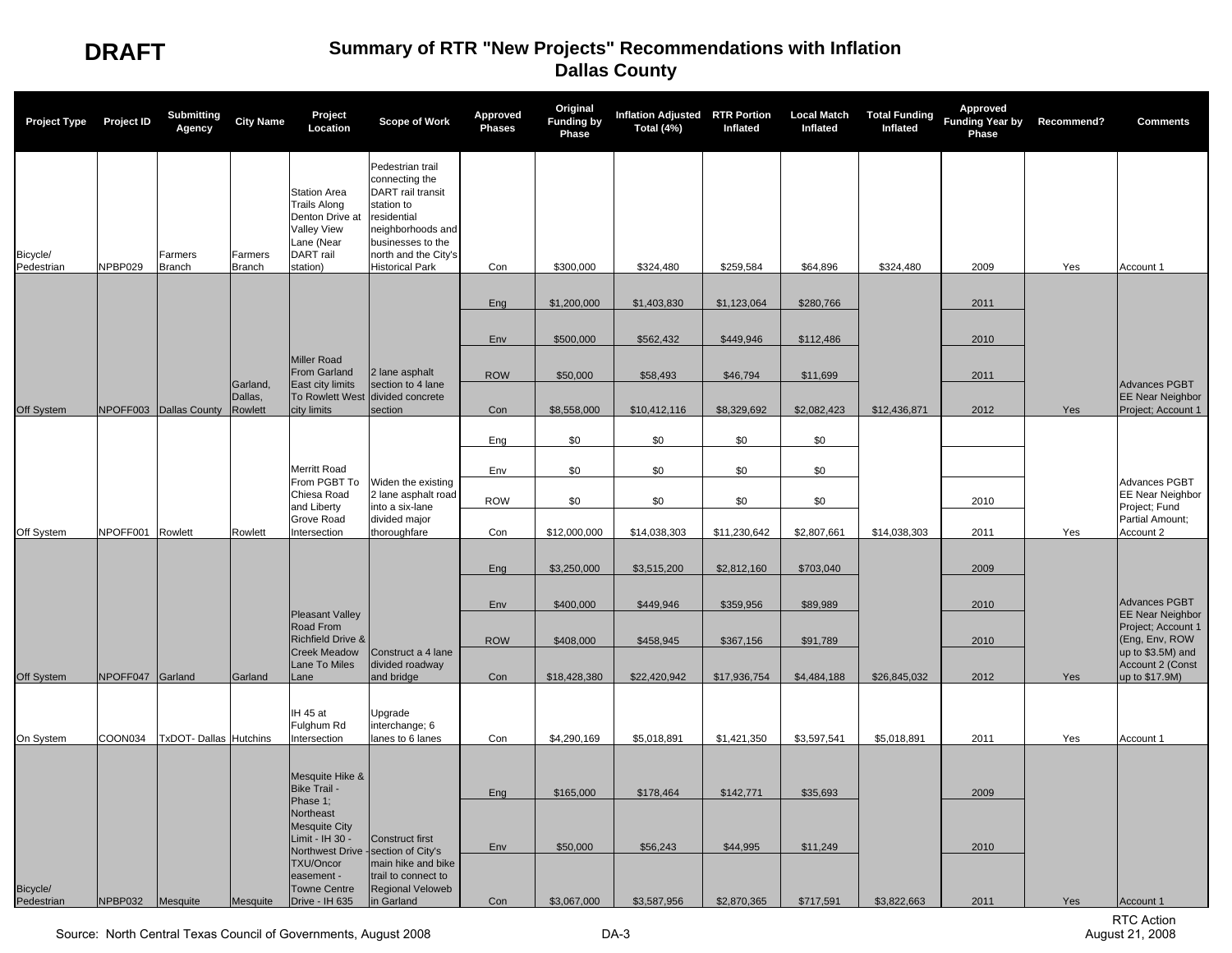| <b>Project Type</b>    | <b>Project ID</b> | <b>Submitting</b><br>Agency   | <b>City Name</b>         | Project<br>Location                                                                                                        | <b>Scope of Work</b>                                                                                                                                                            | <b>Approved</b><br><b>Phases</b> | Original<br><b>Funding by</b><br>Phase | Inflation Adjusted RTR Portion<br>Total (4%) | Inflated     | <b>Local Match</b><br>Inflated | <b>Total Funding</b><br>Inflated | Approved<br>Funding Year by Recommend?<br>Phase |     | <b>Comments</b>                                                  |
|------------------------|-------------------|-------------------------------|--------------------------|----------------------------------------------------------------------------------------------------------------------------|---------------------------------------------------------------------------------------------------------------------------------------------------------------------------------|----------------------------------|----------------------------------------|----------------------------------------------|--------------|--------------------------------|----------------------------------|-------------------------------------------------|-----|------------------------------------------------------------------|
| Bicycle/<br>Pedestrian | NPBP029           | Farmers<br><b>Branch</b>      | Farmers<br><b>Branch</b> | <b>Station Area</b><br><b>Trails Along</b><br>Denton Drive at<br><b>Valley View</b><br>Lane (Near<br>DART rail<br>station) | Pedestrian trail<br>connecting the<br>DART rail transit<br>station to<br>esidential<br>neighborhoods and<br>businesses to the<br>north and the City's<br><b>Historical Park</b> | Con                              | \$300,000                              | \$324,480                                    | \$259,584    | \$64,896                       | \$324,480                        | 2009                                            | Yes | Account 1                                                        |
|                        |                   |                               |                          |                                                                                                                            |                                                                                                                                                                                 | Eng                              | \$1,200,000                            | \$1,403,830                                  | \$1,123,064  | \$280,766                      |                                  | 2011                                            |     |                                                                  |
|                        |                   |                               |                          |                                                                                                                            |                                                                                                                                                                                 |                                  |                                        |                                              |              |                                |                                  |                                                 |     |                                                                  |
|                        |                   |                               |                          | <b>Miller Road</b>                                                                                                         |                                                                                                                                                                                 | Env                              | \$500,000                              | \$562,432                                    | \$449,946    | \$112,486                      |                                  | 2010                                            |     |                                                                  |
|                        |                   |                               | Garland,                 | From Garland<br>East city limits                                                                                           | 2 lane asphalt<br>section to 4 lane                                                                                                                                             | <b>ROW</b>                       | \$50,000                               | \$58,493                                     | \$46,794     | \$11,699                       |                                  | 2011                                            |     | Advances PGBT                                                    |
| Off System             |                   | NPOFF003 Dallas County        | Dallas.<br>Rowlett       | <b>To Rowlett West</b><br>city limits                                                                                      | divided concrete<br>section                                                                                                                                                     | Con                              | \$8,558,000                            | \$10,412,116                                 | \$8,329,692  | \$2,082,423                    | \$12,436,871                     | 2012                                            | Yes | <b>EE Near Neighbor</b><br>Project; Account 1                    |
|                        |                   |                               |                          |                                                                                                                            |                                                                                                                                                                                 | Eng                              | \$0                                    | \$0                                          | \$0          | \$0                            |                                  |                                                 |     |                                                                  |
|                        |                   |                               |                          | <b>Merritt Road</b>                                                                                                        |                                                                                                                                                                                 | Env                              | \$0                                    | \$0                                          | \$0          | \$0                            |                                  |                                                 |     |                                                                  |
|                        |                   |                               |                          | From PGBT To<br>Chiesa Road<br>and Liberty                                                                                 | Widen the existing<br>2 lane asphalt road<br>into a six-lane                                                                                                                    | <b>ROW</b>                       | \$0                                    | \$0                                          | \$0          | \$0                            |                                  | 2010                                            |     | <b>Advances PGBT</b><br><b>EE Near Neighbor</b><br>Project; Fund |
| Off System             | NPOFF001 Rowlett  |                               | Rowlett                  | <b>Grove Road</b><br>ntersection                                                                                           | divided major<br>thoroughfare                                                                                                                                                   | Con                              | \$12,000,000                           | \$14,038,303                                 | \$11,230,642 | \$2,807,661                    | \$14,038,303                     | 2011                                            | Yes | Partial Amount:<br>Account 2                                     |
|                        |                   |                               |                          |                                                                                                                            |                                                                                                                                                                                 | Eng                              | \$3,250,000                            | \$3,515,200                                  | \$2,812,160  | \$703,040                      |                                  | 2009                                            |     |                                                                  |
|                        |                   |                               |                          | <b>Pleasant Valley</b>                                                                                                     |                                                                                                                                                                                 | Env                              | \$400,000                              | \$449,946                                    | \$359,956    | \$89,989                       |                                  | 2010                                            |     | Advances PGBT<br><b>EE Near Neighbor</b>                         |
|                        |                   |                               |                          | Road From<br><b>Richfield Drive &amp;</b>                                                                                  |                                                                                                                                                                                 | <b>ROW</b>                       | \$408,000                              | \$458,945                                    | \$367,156    | \$91,789                       |                                  | 2010                                            |     | Project; Account 1<br>(Eng, Env, ROW                             |
| Off System             | NPOFF047 Garland  |                               | Garland                  | <b>Creek Meadow</b><br>Lane To Miles<br>ane                                                                                | Construct a 4 lane<br>divided roadway<br>and bridge                                                                                                                             | Con                              | \$18,428,380                           | \$22,420,942                                 | \$17,936,754 | \$4,484,188                    | \$26,845,032                     | 2012                                            | Yes | up to \$3.5M) and<br>Account 2 (Const<br>up to \$17.9M)          |
|                        |                   |                               |                          | IH 45 at<br>Fulghum Rd                                                                                                     | Upgrade<br>interchange; 6                                                                                                                                                       |                                  |                                        |                                              |              |                                |                                  |                                                 |     |                                                                  |
| On System              | COON034           | <b>TxDOT- Dallas Hutchins</b> |                          | ntersection                                                                                                                | lanes to 6 lanes                                                                                                                                                                | Con                              | \$4,290,169                            | \$5,018,891                                  | \$1,421,350  | \$3,597,541                    | \$5,018,891                      | 2011                                            | Yes | Account 1                                                        |
|                        |                   |                               |                          | Mesquite Hike &<br><b>Bike Trail -</b>                                                                                     |                                                                                                                                                                                 |                                  |                                        |                                              |              |                                |                                  |                                                 |     |                                                                  |
|                        |                   |                               |                          | Phase 1;<br>Northeast                                                                                                      |                                                                                                                                                                                 | Eng                              | \$165,000                              | \$178,464                                    | \$142,771    | \$35,693                       |                                  | 2009                                            |     |                                                                  |
|                        |                   |                               |                          | <b>Mesquite City</b><br>Limit - IH 30 -<br>Northwest Drive - section of City's                                             | <b>Construct first</b>                                                                                                                                                          | Env                              | \$50,000                               | \$56,243                                     | \$44,995     | \$11,249                       |                                  | 2010                                            |     |                                                                  |
|                        |                   |                               |                          | TXU/Oncor<br>easement -<br><b>Towne Centre</b>                                                                             | main hike and bike<br>trail to connect to<br><b>Regional Veloweb</b>                                                                                                            |                                  |                                        |                                              |              |                                |                                  |                                                 |     |                                                                  |
| Bicycle/<br>Pedestrian | NPBP032           | Mesquite                      | Mesquite                 | Drive - IH 635                                                                                                             | in Garland                                                                                                                                                                      | Con                              | \$3,067,000                            | \$3,587,956                                  | \$2,870,365  | \$717,591                      | \$3,822,663                      | 2011                                            | Yes | Account 1                                                        |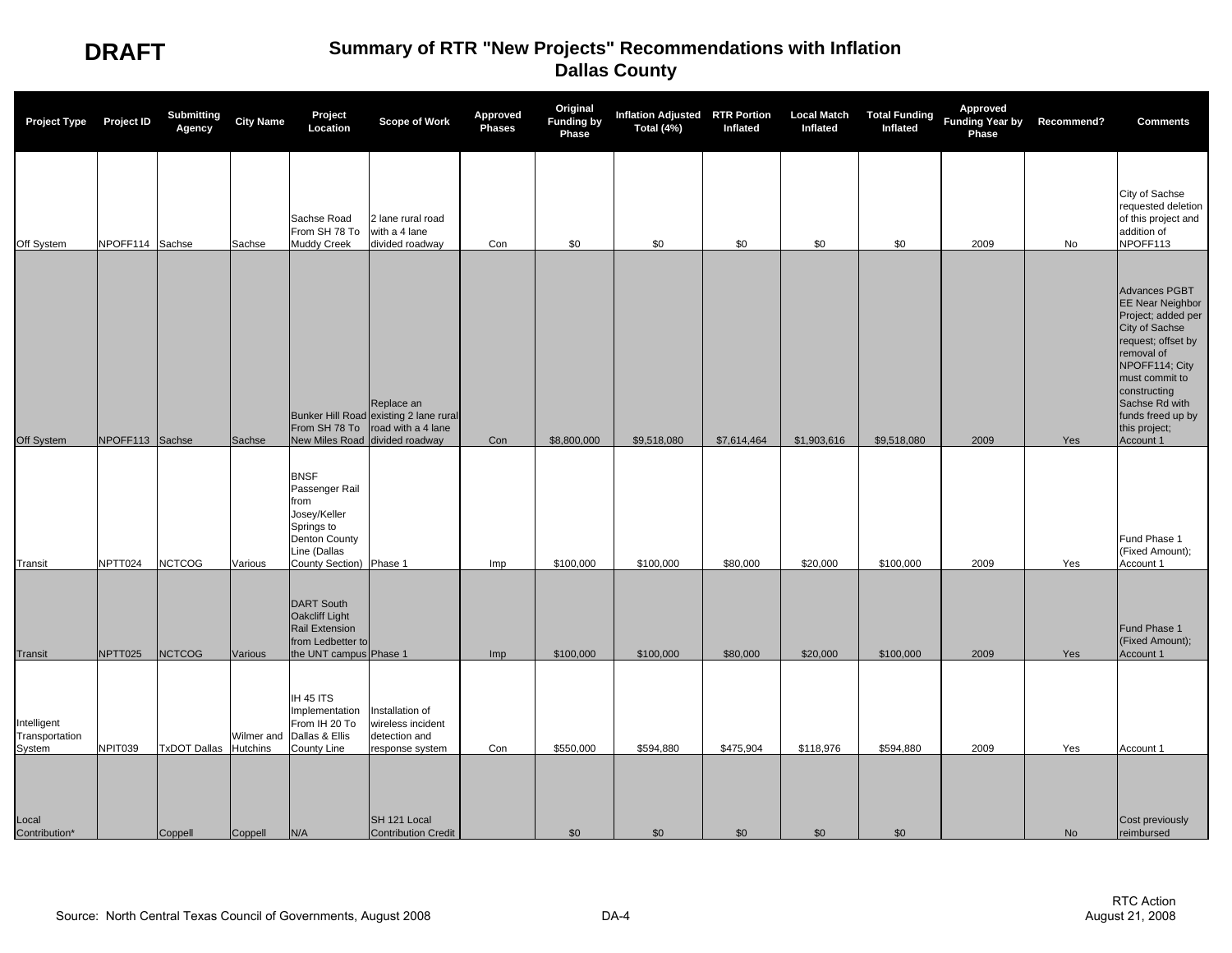| <b>Project Type</b>                     | <b>Project ID</b> | <b>Submitting</b><br>Agency | <b>City Name</b> | Project<br>Location                                                                                                             | Scope of Work                                                                                                | Approved<br><b>Phases</b> | Original<br><b>Funding by</b><br>Phase | Inflation Adjusted RTR Portion<br>Total (4%) | Inflated    | <b>Local Match</b><br>Inflated | <b>Total Funding</b><br>Inflated | Approved<br>Funding Year by Recommend?<br>Phase |     | <b>Comments</b>                                                                                                                                                                                                                               |
|-----------------------------------------|-------------------|-----------------------------|------------------|---------------------------------------------------------------------------------------------------------------------------------|--------------------------------------------------------------------------------------------------------------|---------------------------|----------------------------------------|----------------------------------------------|-------------|--------------------------------|----------------------------------|-------------------------------------------------|-----|-----------------------------------------------------------------------------------------------------------------------------------------------------------------------------------------------------------------------------------------------|
| Off System                              | NPOFF114 Sachse   |                             | Sachse           | Sachse Road<br>From SH 78 To<br><b>Muddy Creek</b>                                                                              | 2 lane rural road<br>with a 4 lane<br>divided roadway                                                        | Con                       | \$0                                    | \$0                                          | \$0         | \$0                            | \$0                              | 2009                                            | No  | City of Sachse<br>requested deletion<br>of this project and<br>addition of<br>NPOFF113                                                                                                                                                        |
| Off System                              | NPOFF113 Sachse   |                             | Sachse           | From SH 78 To                                                                                                                   | Replace an<br>Bunker Hill Road existing 2 lane rural<br>road with a 4 lane<br>New Miles Road divided roadway | Con                       | \$8,800,000                            | \$9,518,080                                  | \$7,614,464 | \$1,903,616                    | \$9,518,080                      | 2009                                            | Yes | Advances PGBT<br><b>EE Near Neighbor</b><br>Project; added per<br>City of Sachse<br>request; offset by<br>removal of<br>NPOFF114; City<br>must commit to<br>constructing<br>Sachse Rd with<br>funds freed up by<br>this project;<br>Account 1 |
| Transit                                 | NPTT024           | <b>NCTCOG</b>               | Various          | <b>BNSF</b><br>Passenger Rail<br>from<br>Josey/Keller<br>Springs to<br>Denton County<br>Line (Dallas<br>County Section) Phase 1 |                                                                                                              | Imp                       | \$100,000                              | \$100,000                                    | \$80,000    | \$20,000                       | \$100,000                        | 2009                                            | Yes | Fund Phase 1<br>(Fixed Amount);<br>Account 1                                                                                                                                                                                                  |
| <b>Transit</b>                          | NPTT025           | <b>NCTCOG</b>               | Various          | <b>DART South</b><br>Oakcliff Light<br>Rail Extension<br>from Ledbetter to<br>the UNT campus Phase 1                            |                                                                                                              | Imp                       | \$100,000                              | \$100,000                                    | \$80,000    | \$20,000                       | \$100,000                        | 2009                                            | Yes | Fund Phase 1<br>(Fixed Amount);<br>Account 1                                                                                                                                                                                                  |
| Intelligent<br>Transportation<br>System | NPIT039           | TxDOT Dallas Hutchins       | Wilmer and       | IH 45 ITS<br>Implementation<br>From IH 20 To<br>Dallas & Ellis<br>County Line                                                   | Installation of<br>wireless incident<br>detection and<br>esponse system                                      | Con                       | \$550,000                              | \$594,880                                    | \$475,904   | \$118,976                      | \$594,880                        | 2009                                            | Yes | Account 1                                                                                                                                                                                                                                     |
| Local<br>Contribution*                  |                   | Coppell                     | Coppell          | N/A                                                                                                                             | SH 121 Local<br>Contribution Credit                                                                          |                           | \$0                                    | \$0                                          | \$0         | \$0                            | \$0                              |                                                 | No  | Cost previously<br>reimbursed                                                                                                                                                                                                                 |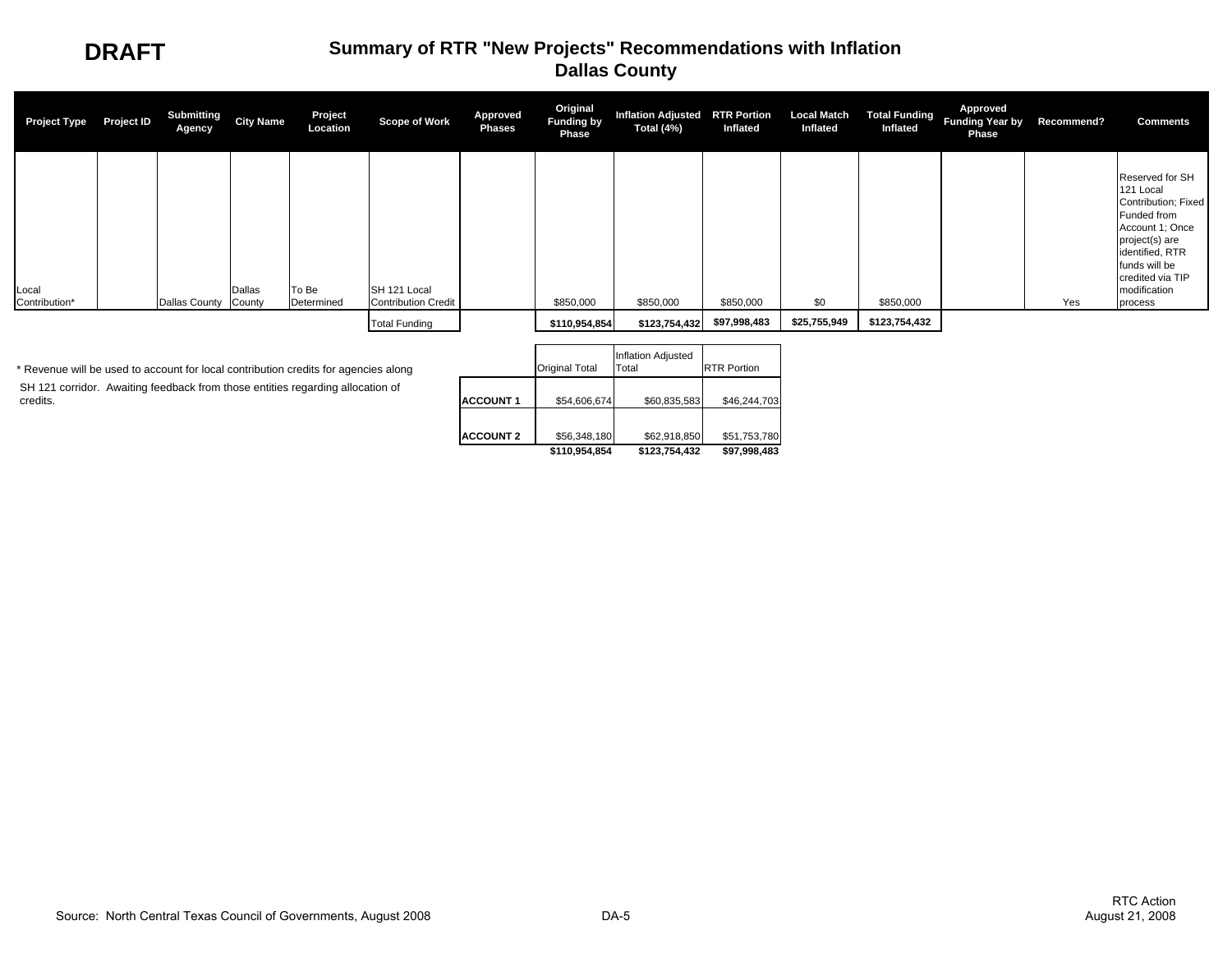

| <b>Project Type</b>    | Project ID | Submitting<br>Agency | <b>City Name</b> | Project<br>Location | Scope of Work                              | Approved<br><b>Phases</b> | Original<br><b>Funding by</b><br>Phase | Inflation Adjusted RTR Portion<br>Total (4%) | Inflated     | <b>Local Match</b><br>Inflated | Inflated      | Approved<br>Total Funding Funding Year by<br><b>Phase</b> | Recommend? | <b>Comments</b>                                                                                                                                                                            |
|------------------------|------------|----------------------|------------------|---------------------|--------------------------------------------|---------------------------|----------------------------------------|----------------------------------------------|--------------|--------------------------------|---------------|-----------------------------------------------------------|------------|--------------------------------------------------------------------------------------------------------------------------------------------------------------------------------------------|
| Local<br>Contribution* |            | Dallas County        | Dallas<br>County | To Be<br>Determined | SH 121 Local<br><b>Contribution Credit</b> |                           | \$850,000                              | \$850,000                                    | \$850,000    | \$0                            | \$850,000     |                                                           | Yes        | Reserved for SH<br>121 Local<br>Contribution; Fixed<br>Funded from<br>Account 1; Once<br>project(s) are<br>identified, RTR<br>funds will be<br>credited via TIP<br>modification<br>process |
|                        |            |                      |                  |                     | <b>Total Funding</b>                       |                           | \$110,954,854                          | \$123,754,432                                | \$97,998,483 | \$25,755,949                   | \$123,754,432 |                                                           |            |                                                                                                                                                                                            |
|                        |            |                      |                  |                     |                                            |                           |                                        | the contract of the contract of the          |              |                                |               |                                                           |            |                                                                                                                                                                                            |

 SH 121 corridor. Awaiting feedback from those entities regarding allocation of credits. \* Revenue will be used to account for local contribution credits for agencies along

|                  | <b>Original Total</b> | <b>Inflation Adjusted</b><br>Total | <b>RTR Portion</b> |
|------------------|-----------------------|------------------------------------|--------------------|
| <b>ACCOUNT 1</b> | \$54,606,674          | \$60,835,583                       | \$46,244,703       |
| <b>ACCOUNT 2</b> | \$56,348,180          | \$62,918,850                       | \$51,753,780       |
|                  | \$110.954.854         | \$123,754,432                      | \$97.998.483       |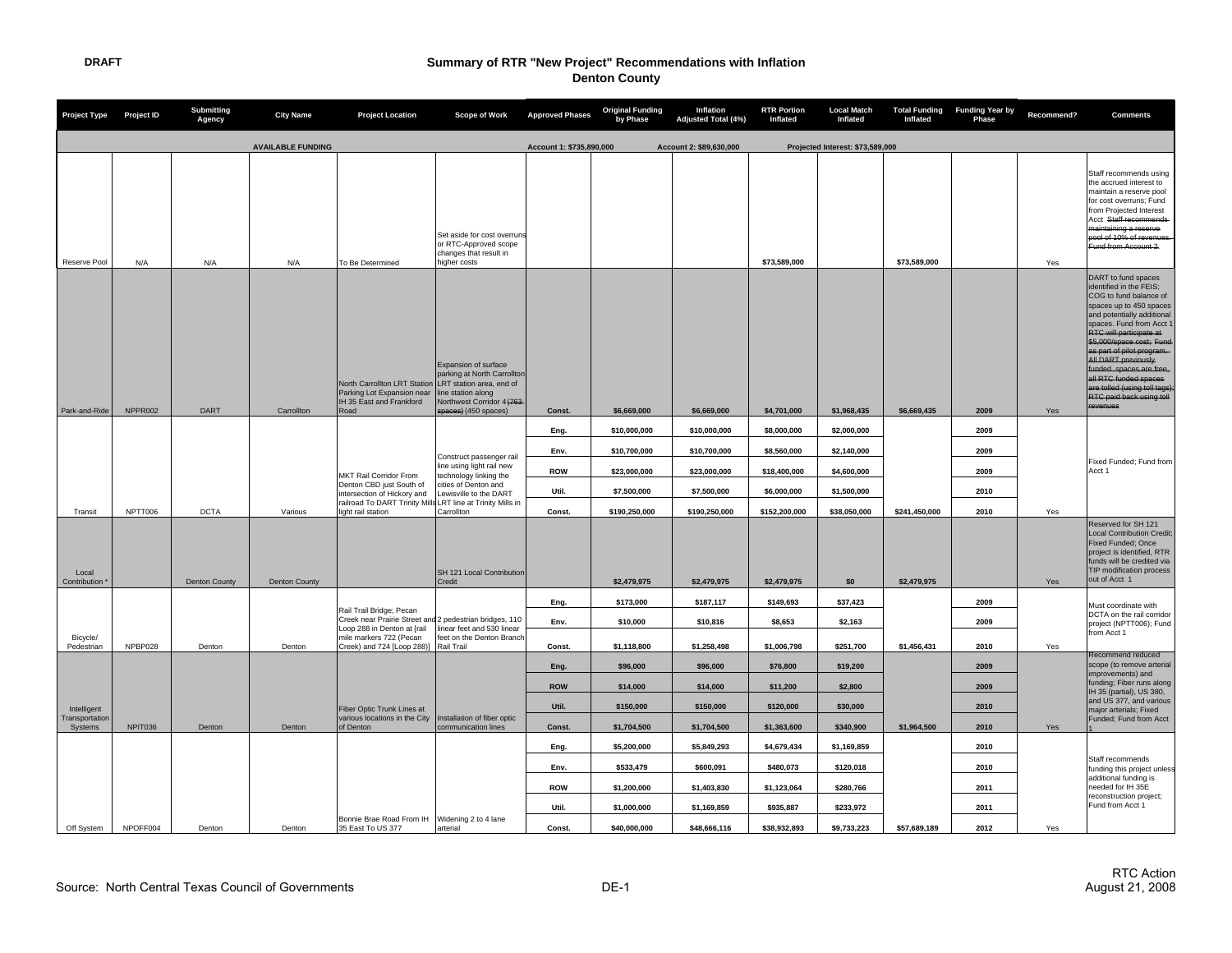| Project Type Project ID                  |          | <b>Submitting</b><br>Agency | <b>City Name</b>         | <b>Project Location</b>                                                                                                                       | Scope of Work                                                                                                                   | <b>Approved Phases</b>   | <b>Original Funding</b><br>by Phase | Inflation<br>Adjusted Total (4%) | <b>RTR Portion</b><br>Inflated | <b>Local Match</b><br>Inflated   | <b>Total Funding</b><br>Inflated | <b>Funding Year by</b><br><b>Phase</b> | Recommend? | <b>Comments</b>                                                                                                                                                                                                                                                                                                                                                                                           |
|------------------------------------------|----------|-----------------------------|--------------------------|-----------------------------------------------------------------------------------------------------------------------------------------------|---------------------------------------------------------------------------------------------------------------------------------|--------------------------|-------------------------------------|----------------------------------|--------------------------------|----------------------------------|----------------------------------|----------------------------------------|------------|-----------------------------------------------------------------------------------------------------------------------------------------------------------------------------------------------------------------------------------------------------------------------------------------------------------------------------------------------------------------------------------------------------------|
|                                          |          |                             | <b>AVAILABLE FUNDING</b> |                                                                                                                                               |                                                                                                                                 | Account 1: \$735,890,000 |                                     | Account 2: \$89,630,000          |                                | Projected Interest: \$73,589,000 |                                  |                                        |            |                                                                                                                                                                                                                                                                                                                                                                                                           |
| Reserve Pool                             | N/A      | N/A                         | N/A                      | To Be Determined                                                                                                                              | Set aside for cost overruns<br>or RTC-Approved scope<br>changes that result in<br>higher costs                                  |                          |                                     |                                  | \$73,589,000                   |                                  | \$73,589,000                     |                                        | Yes        | Staff recommends using<br>the accrued interest to<br>maintain a reserve pool<br>for cost overruns; Fund<br>from Projected Interest<br>Acct Staff recommends<br>maintaining a reserve<br>pool of 10% of revenues.<br>Fund from Account 2.                                                                                                                                                                  |
| Park-and-Ride                            | NPPR002  | DART                        | Carrollton               | North Carrollton LRT Station LRT station area, end of<br>Parking Lot Expansion near<br>IH 35 East and Frankford<br>Road                       | Expansion of surface<br>parking at North Carrollton<br>line station along<br>Northwest Corridor 4 (763)<br>spaces) (450 spaces) | Const.                   | \$6,669,000                         | \$6,669,000                      | \$4,701,000                    | \$1,968,435                      | \$6,669,435                      | 2009                                   | Yes        | DART to fund spaces<br>identified in the FEIS:<br>COG to fund balance of<br>spaces up to 450 spaces<br>and potentially additional<br>spaces. Fund from Acct<br>RTC will participate at<br>\$5,000/space cost: Fund<br>as part of pilot program.<br>All DART previously<br>funded spaces are free,<br>all RTC funded spaces<br>are tolled (using toll tags)<br><b>RTC paid back using toll</b><br>revenues |
|                                          |          |                             |                          |                                                                                                                                               |                                                                                                                                 | Eng.                     | \$10,000,000                        | \$10,000,000                     | \$8,000,000                    | \$2,000,000                      |                                  | 2009                                   |            |                                                                                                                                                                                                                                                                                                                                                                                                           |
|                                          |          |                             |                          |                                                                                                                                               |                                                                                                                                 | Env.                     | \$10,700,000                        | \$10,700,000                     | \$8,560,000                    | \$2,140,000                      |                                  | 2009                                   |            |                                                                                                                                                                                                                                                                                                                                                                                                           |
|                                          |          |                             |                          | MKT Rail Corridor From                                                                                                                        | Construct passenger rail<br>line using light rail new<br>technology linking the                                                 | <b>ROW</b>               | \$23,000,000                        | \$23,000,000                     | \$18,400,000                   | \$4,600,000                      |                                  | 2009                                   |            | Fixed Funded; Fund from<br>Acct 1                                                                                                                                                                                                                                                                                                                                                                         |
|                                          |          |                             |                          | Denton CBD just South of<br>intersection of Hickory and                                                                                       | cities of Denton and<br>ewisville to the DART                                                                                   | Util.                    | \$7,500,000                         | \$7,500,000                      | \$6,000,000                    | \$1,500,000                      |                                  | 2010                                   |            |                                                                                                                                                                                                                                                                                                                                                                                                           |
| Transit                                  | NPTT006  | <b>DCTA</b>                 | Various                  | railroad To DART Trinity Mills LRT line at Trinity Mills in<br>light rail station                                                             | Carrollton                                                                                                                      | Const.                   | \$190,250,000                       | \$190,250,000                    | \$152,200,000                  | \$38,050,000                     | \$241,450,000                    | 2010                                   | Yes        |                                                                                                                                                                                                                                                                                                                                                                                                           |
| Local<br>Contribution                    |          | <b>Denton County</b>        | <b>Denton County</b>     |                                                                                                                                               | SH 121 Local Contribution<br>Credit                                                                                             |                          | \$2,479,975                         | \$2,479,975                      | \$2,479,975                    | \$0                              | \$2,479,975                      |                                        | Yes        | Reserved for SH 121<br><b>Local Contribution Credit</b><br>Fixed Funded; Once<br>project is identified, RTR<br>funds will be credited via<br>TIP modification process<br>out of Acct 1                                                                                                                                                                                                                    |
|                                          |          |                             |                          |                                                                                                                                               |                                                                                                                                 | Eng.                     | \$173,000                           | \$187,117                        | \$149,693                      | \$37,423                         |                                  | 2009                                   |            |                                                                                                                                                                                                                                                                                                                                                                                                           |
| Bicycle/                                 |          |                             |                          | Rail Trail Bridge; Pecan<br>Creek near Prairie Street and 2 pedestrian bridges, 110<br>Loop 288 in Denton at [rail<br>mile markers 722 (Pecan | linear feet and 530 linear<br>feet on the Denton Branch                                                                         | Env.                     | \$10,000                            | \$10,816                         | \$8,653                        | \$2,163                          |                                  | 2009                                   |            | Must coordinate with<br>DCTA on the rail corridor<br>project (NPTT006); Fund<br>from Acct 1                                                                                                                                                                                                                                                                                                               |
| Pedestrian                               | NPBP028  | Denton                      | Denton                   | Creek) and 724 [Loop 288)]                                                                                                                    | Rail Trail                                                                                                                      | Const.                   | \$1,118,800                         | \$1,258,498                      | \$1,006,798                    | \$251,700                        | \$1,456,431                      | 2010                                   | Yes        | Recommend reduced                                                                                                                                                                                                                                                                                                                                                                                         |
|                                          |          |                             |                          |                                                                                                                                               |                                                                                                                                 | Eng.<br><b>ROW</b>       | \$96,000<br>\$14,000                | \$96,000<br>\$14,000             | \$76,800<br>\$11,200           | \$19,200<br>\$2,800              |                                  | 2009<br>2009                           |            | scope (to remove arterial<br>improvements) and<br>funding; Fiber runs along                                                                                                                                                                                                                                                                                                                               |
|                                          |          |                             |                          |                                                                                                                                               |                                                                                                                                 | Util.                    | \$150,000                           | \$150,000                        | \$120,000                      | \$30,000                         |                                  | 2010                                   |            | IH 35 (partial), US 380,<br>and US 377, and various                                                                                                                                                                                                                                                                                                                                                       |
| Intelligent<br>Transportation<br>Systems | NPIT036  | Denton                      | Denton                   | Fiber Optic Trunk Lines at<br>various locations in the City                                                                                   | Installation of fiber optic                                                                                                     | Const.                   | \$1,704,500                         | \$1,704,500                      | \$1,363,600                    | \$340.900                        | \$1,964,500                      | 2010                                   |            | maior arterials: Fixed<br>Funded; Fund from Acct                                                                                                                                                                                                                                                                                                                                                          |
|                                          |          |                             |                          | of Denton                                                                                                                                     | communication lines                                                                                                             | Eng.                     | \$5,200,000                         | \$5,849,293                      | \$4,679,434                    | \$1,169,859                      |                                  | 2010                                   | Yes        |                                                                                                                                                                                                                                                                                                                                                                                                           |
|                                          |          |                             |                          |                                                                                                                                               |                                                                                                                                 | Env.                     | \$533,479                           | \$600,091                        | \$480,073                      | \$120,018                        |                                  | 2010                                   |            | Staff recommends<br>funding this project unless                                                                                                                                                                                                                                                                                                                                                           |
|                                          |          |                             |                          |                                                                                                                                               |                                                                                                                                 | <b>ROW</b>               | \$1,200,000                         | \$1,403,830                      | \$1,123,064                    | \$280,766                        |                                  | 2011                                   |            | additional funding is<br>needed for IH 35E                                                                                                                                                                                                                                                                                                                                                                |
|                                          |          |                             |                          |                                                                                                                                               |                                                                                                                                 | Util.                    | \$1,000,000                         | \$1,169,859                      | \$935,887                      | \$233,972                        |                                  | 2011                                   |            | reconstruction project;<br>Fund from Acct 1                                                                                                                                                                                                                                                                                                                                                               |
| Off System                               | NPOFF004 | Denton                      | Denton                   | Bonnie Brae Road From IH<br>35 East To US 377                                                                                                 | Widening 2 to 4 lane<br>arterial                                                                                                | Const.                   | \$40,000,000                        | \$48,666,116                     | \$38,932,893                   | \$9,733,223                      | \$57,689,189                     | 2012                                   | Yes        |                                                                                                                                                                                                                                                                                                                                                                                                           |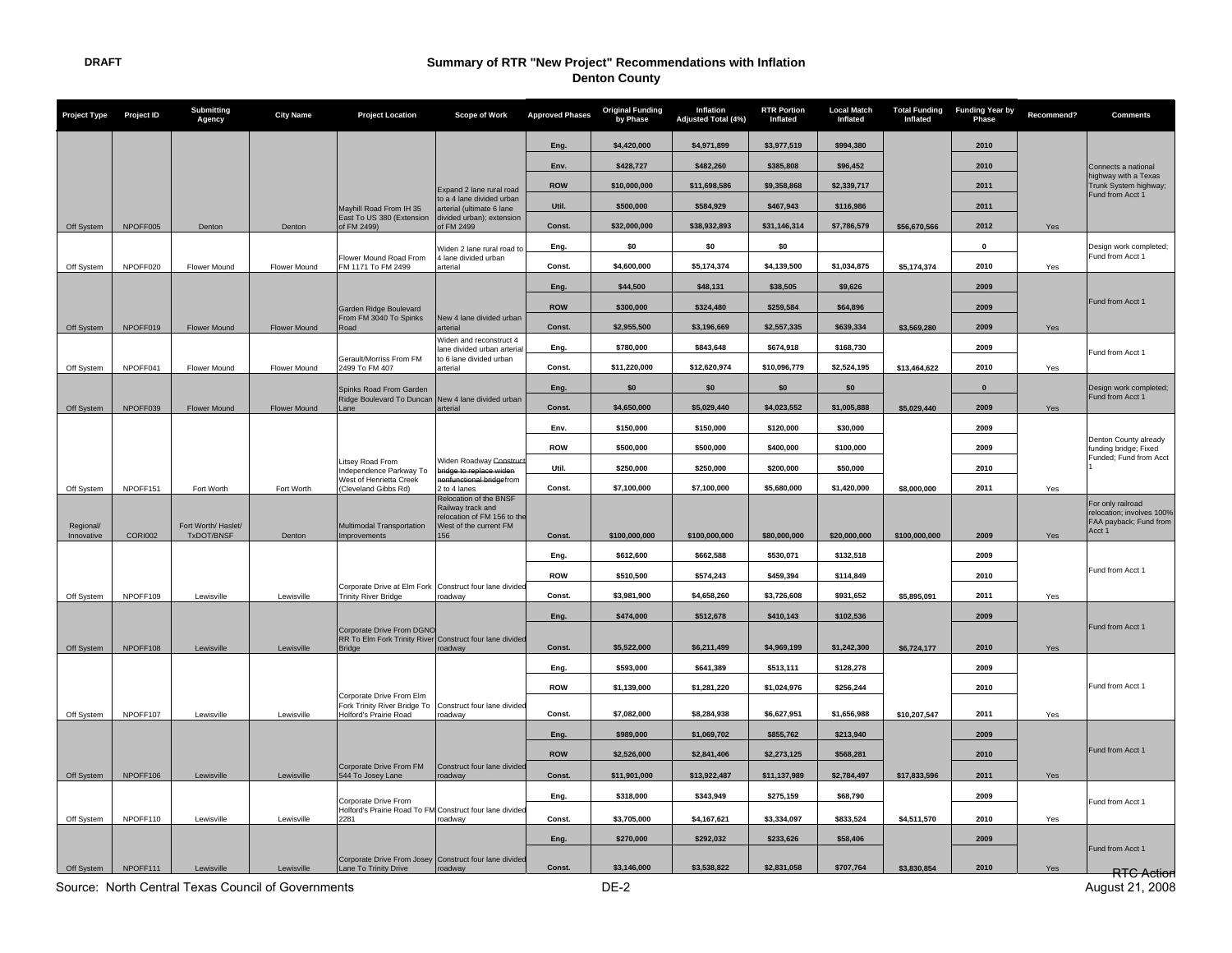| <b>Project Type</b>     | <b>Project ID</b> | <b>Submitting</b><br>Agency       | <b>City Name</b>    | <b>Project Location</b>                                                                | <b>Scope of Work</b>                                                       | <b>Approved Phases</b> | <b>Original Funding</b><br>by Phase | Inflation<br><b>Adjusted Total (4%)</b> | <b>RTR Portion</b><br>Inflated | <b>Local Match</b><br>Inflated | <b>Total Funding</b><br>Inflated | <b>Funding Year by</b><br>Phase | Recommend? | <b>Comments</b>                                                          |
|-------------------------|-------------------|-----------------------------------|---------------------|----------------------------------------------------------------------------------------|----------------------------------------------------------------------------|------------------------|-------------------------------------|-----------------------------------------|--------------------------------|--------------------------------|----------------------------------|---------------------------------|------------|--------------------------------------------------------------------------|
|                         |                   |                                   |                     |                                                                                        |                                                                            | Eng.                   | \$4,420,000                         | \$4,971,899                             | \$3,977,519                    | \$994,380                      |                                  | 2010                            |            |                                                                          |
|                         |                   |                                   |                     |                                                                                        |                                                                            | Env.                   | \$428,727                           | \$482,260                               | \$385,808                      | \$96,452                       |                                  | 2010                            |            | Connects a national                                                      |
|                         |                   |                                   |                     |                                                                                        | Expand 2 lane rural road                                                   | <b>ROW</b>             | \$10,000,000                        | \$11,698,586                            | \$9,358,868                    | \$2,339,717                    |                                  | 2011                            |            | highway with a Texas<br>Trunk System highway;                            |
|                         |                   |                                   |                     | Mayhill Road From IH 35                                                                | to a 4 lane divided urban<br>arterial (ultimate 6 lane                     | Util.                  | \$500,000                           | \$584,929                               | \$467,943                      | \$116,986                      |                                  | 2011                            |            | Fund from Acct 1                                                         |
| Off System              | NPOFF005          | Denton                            | Denton              | East To US 380 (Extension<br>of FM 2499)                                               | divided urban); extension<br>of FM 2499                                    | Const.                 | \$32,000,000                        | \$38,932,893                            | \$31,146,314                   | \$7,786,579                    | \$56,670,566                     | 2012                            | Yes        |                                                                          |
|                         |                   |                                   |                     |                                                                                        | Widen 2 lane rural road to                                                 | Eng.                   | \$0                                 | \$0                                     | \$0                            |                                |                                  | 0                               |            | Design work completed;                                                   |
| Off System              | NPOFF020          | Flower Mound                      | Flower Mound        | Flower Mound Road From<br>FM 1171 To FM 2499                                           | 4 lane divided urban<br>arterial                                           | Const.                 | \$4,600,000                         | \$5,174,374                             | \$4,139,500                    | \$1,034,875                    | \$5,174,374                      | 2010                            | Yes        | Fund from Acct 1                                                         |
|                         |                   |                                   |                     |                                                                                        |                                                                            | Eng.                   | \$44.500                            | \$48,131                                | \$38,505                       | \$9.626                        |                                  | 2009                            |            |                                                                          |
|                         |                   |                                   |                     | Garden Ridge Boulevard                                                                 |                                                                            | <b>ROW</b>             | \$300,000                           | \$324,480                               | \$259,584                      | \$64,896                       |                                  | 2009                            |            | Fund from Acct 1                                                         |
| Off System              | NPOFF019          | Flower Mound                      | Flower Mound        | From FM 3040 To Spinks<br>Road                                                         | New 4 lane divided urban<br>arterial                                       | Const.                 | \$2,955,500                         | \$3,196,669                             | \$2,557,335                    | \$639,334                      | \$3,569,280                      | 2009                            | Yes        |                                                                          |
|                         |                   |                                   |                     |                                                                                        | <b>Niden and reconstruct 4</b><br>lane divided urban arteria               | Eng.                   | \$780,000                           | \$843,648                               | \$674,918                      | \$168,730                      |                                  | 2009                            |            | Fund from Acct 1                                                         |
| Off System              | NPOFF041          | Flower Mound                      | Flower Mound        | Gerault/Morriss From FM<br>2499 To FM 407                                              | to 6 lane divided urban<br>arterial                                        | Const.                 | \$11,220,000                        | \$12,620,974                            | \$10,096,779                   | \$2,524,195                    | \$13,464,622                     | 2010                            | Yes        |                                                                          |
|                         |                   |                                   |                     | Spinks Road From Garden                                                                |                                                                            | Eng.                   | \$0                                 | \$0                                     | \$0                            | \$0                            |                                  | $\bf{0}$                        |            | Design work completed;                                                   |
| Off System              | NPOFF039          | <b>Flower Mound</b>               | <b>Flower Mound</b> | Ridge Boulevard To Duncan New 4 lane divided urban<br>Lane                             | arterial                                                                   | Const.                 | \$4,650,000                         | \$5.029.440                             | \$4.023.552                    | \$1,005,888                    | \$5.029.440                      | 2009                            | Yes        | Fund from Acct 1                                                         |
|                         |                   |                                   |                     |                                                                                        |                                                                            | Env.                   | \$150,000                           | \$150,000                               | \$120,000                      | \$30,000                       |                                  | 2009                            |            |                                                                          |
|                         |                   |                                   |                     |                                                                                        |                                                                            | <b>ROW</b>             | \$500,000                           | \$500,000                               | \$400,000                      | \$100,000                      |                                  | 2009                            |            | Denton County already<br>funding bridge; Fixed                           |
|                         |                   |                                   |                     | Litsey Road From<br>Independence Parkway To                                            | Widen Roadway <del>Constru</del><br>bridge to replace widen                | Util.                  | \$250,000                           | \$250,000                               | \$200,000                      | \$50,000                       |                                  | 2010                            |            | Funded; Fund from Acct                                                   |
| Off System              | NPOFF151          | Fort Worth                        | Fort Worth          | West of Henrietta Creek<br>(Cleveland Gibbs Rd)                                        | enfunctional bridgefrom<br>2 to 4 lanes                                    | Const.                 | \$7,100,000                         | \$7,100,000                             | \$5,680,000                    | \$1,420,000                    | \$8,000,000                      | 2011                            | Yes        |                                                                          |
|                         |                   |                                   |                     |                                                                                        | Relocation of the BNSF<br>Railway track and<br>relocation of FM 156 to the |                        |                                     |                                         |                                |                                |                                  |                                 |            | For only railroad<br>relocation; involves 100%<br>FAA payback; Fund from |
| Regional/<br>Innovative | <b>CORI002</b>    | Fort Worth/ Haslet/<br>TxDOT/BNSF | Denton              | Multimodal Transportation<br>Improvements                                              | West of the current FM<br>156                                              | Const.                 | \$100,000,000                       | \$100,000,000                           | \$80,000,000                   | \$20,000,000                   | \$100,000,000                    | 2009                            | Yes        | Acct 1                                                                   |
|                         |                   |                                   |                     |                                                                                        |                                                                            | Eng.                   | \$612,600                           | \$662,588                               | \$530,071                      | \$132,518                      |                                  | 2009                            |            |                                                                          |
|                         |                   |                                   |                     |                                                                                        |                                                                            | <b>ROW</b>             | \$510,500                           | \$574,243                               | \$459,394                      | \$114,849                      |                                  | 2010                            |            | Fund from Acct 1                                                         |
| Off System              | NPOFF109          | Lewisville                        | Lewisville          | Corporate Drive at Elm Fork Construct four lane divided<br><b>Trinity River Bridge</b> | roadway                                                                    | Const.                 | \$3,981,900                         | \$4,658,260                             | \$3,726,608                    | \$931,652                      | \$5,895,091                      | 2011                            | Yes        |                                                                          |
|                         |                   |                                   |                     |                                                                                        |                                                                            | Eng.                   | \$474,000                           | \$512,678                               | \$410,143                      | \$102,536                      |                                  | 2009                            |            |                                                                          |
|                         |                   |                                   |                     | Corporate Drive From DGNO<br>RR To Elm Fork Trinity River Construct four lane divided  |                                                                            |                        |                                     |                                         |                                |                                |                                  |                                 |            | Fund from Acct 1                                                         |
| Off System              | NPOFF108          | Lewisville                        | Lewisville          | <b>Bridge</b>                                                                          | roadway                                                                    | Const.                 | \$5,522,000                         | \$6,211,499                             | \$4,969,199                    | \$1,242,300                    | \$6,724,177                      | 2010                            | Yes        |                                                                          |
|                         |                   |                                   |                     |                                                                                        |                                                                            | Eng.                   | \$593,000                           | \$641,389                               | \$513,111                      | \$128,278                      |                                  | 2009                            |            |                                                                          |
|                         |                   |                                   |                     | Corporate Drive From Elm                                                               |                                                                            | <b>ROW</b>             | \$1,139,000                         | \$1,281,220                             | \$1,024,976                    | \$256,244                      |                                  | 2010                            |            | Fund from Acct 1                                                         |
| Off System              | NPOFF107          | Lewisville                        | Lewisville          | Fork Trinity River Bridge To<br>Holford's Prairie Road                                 | Construct four lane divided<br>roadway                                     | Const.                 | \$7,082,000                         | \$8,284,938                             | \$6,627,951                    | \$1,656,988                    | \$10,207,547                     | 2011                            | Yes        |                                                                          |
|                         |                   |                                   |                     |                                                                                        |                                                                            | Eng.                   | \$989,000                           | \$1,069,702                             | \$855,762                      | \$213,940                      |                                  | 2009                            |            |                                                                          |
|                         |                   |                                   |                     |                                                                                        |                                                                            | <b>ROW</b>             | \$2,526,000                         | \$2,841,406                             | \$2,273,125                    | \$568,281                      |                                  | 2010                            |            | Fund from Acct 1                                                         |
| Off System              | NPOFF106          | Lewisville                        | Lewisville          | Corporate Drive From FM<br>544 To Josey Lane                                           | Construct four lane divided<br>roadway                                     | Const.                 | \$11,901,000                        | \$13,922,487                            | \$11,137,989                   | \$2,784,497                    | \$17,833,596                     | 2011                            | Yes        |                                                                          |
|                         |                   |                                   |                     | Corporate Drive From                                                                   |                                                                            | Eng.                   | \$318,000                           | \$343,949                               | \$275,159                      | \$68,790                       |                                  | 2009                            |            | Fund from Acct 1                                                         |
| Off System              | NPOFF110          | Lewisville                        | Lewisville          | Holford's Prairie Road To FM Construct four lane divide<br>2281                        | roadway                                                                    | Const.                 | \$3,705,000                         | \$4,167,621                             | \$3,334,097                    | \$833,524                      | \$4,511,570                      | 2010                            | Yes        |                                                                          |
|                         |                   |                                   |                     |                                                                                        |                                                                            | Eng.                   | \$270,000                           | \$292,032                               | \$233,626                      | \$58,406                       |                                  | 2009                            |            |                                                                          |
|                         |                   |                                   |                     | Corporate Drive From Josey Construct four lane divided                                 |                                                                            |                        |                                     |                                         |                                |                                |                                  |                                 |            | Fund from Acct 1                                                         |
| Off System              | NPOFF111          | Lewisville                        | Lewisville          | Lane To Trinity Drive                                                                  | roadway                                                                    | Const.                 | \$3.146.000                         | \$3,538,822                             | \$2,831,058                    | \$707.764                      | \$3,830,854                      | 2010                            | Yes        | RTC: Action                                                              |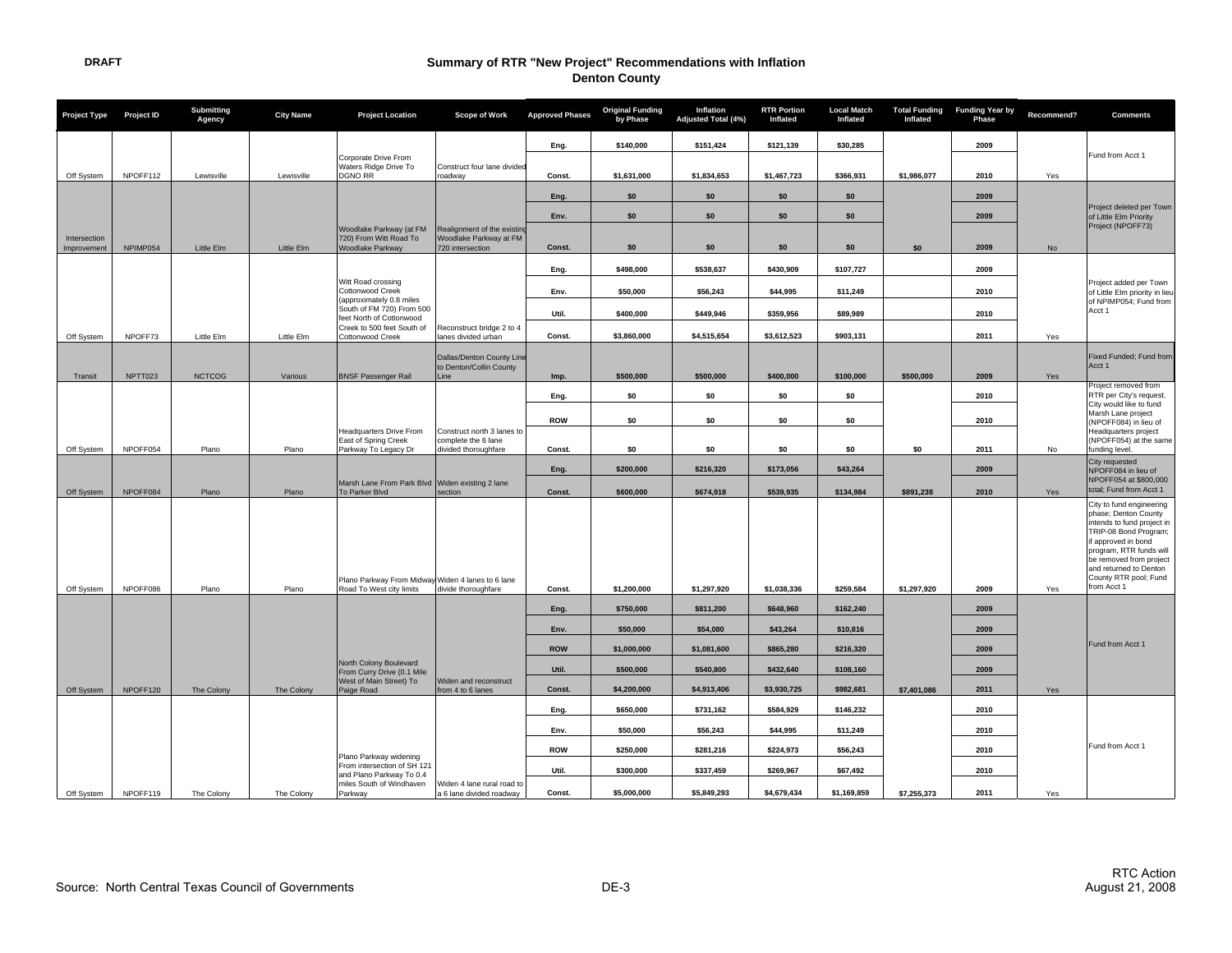| Project Type                | Project ID | Submitting<br>Agency | <b>City Name</b> | <b>Project Location</b>                                                       | Scope of Work                                                             | <b>Approved Phases</b> | <b>Original Funding</b><br>by Phase | Inflation<br>Adjusted Total (4%) | <b>RTR Portion</b><br>Inflated | <b>Local Match</b><br>Inflated | Inflated    | Total Funding Funding Year by<br>Phase | Recommend?    | <b>Comments</b>                                                                                                                                                                                                            |
|-----------------------------|------------|----------------------|------------------|-------------------------------------------------------------------------------|---------------------------------------------------------------------------|------------------------|-------------------------------------|----------------------------------|--------------------------------|--------------------------------|-------------|----------------------------------------|---------------|----------------------------------------------------------------------------------------------------------------------------------------------------------------------------------------------------------------------------|
|                             |            |                      |                  |                                                                               |                                                                           | Eng.                   | \$140,000                           | \$151,424                        | \$121,139                      | \$30,285                       |             | 2009                                   |               |                                                                                                                                                                                                                            |
|                             |            |                      |                  | Corporate Drive From<br>Waters Ridge Drive To                                 | Construct four lane divided                                               |                        |                                     |                                  |                                |                                |             |                                        |               | Fund from Acct 1                                                                                                                                                                                                           |
| Off System                  | NPOFF112   | Lewisville           | Lewisville       | <b>DGNO RR</b>                                                                | roadway                                                                   | Const.                 | \$1,631,000                         | \$1,834,653                      | \$1,467,723                    | \$366,931                      | \$1,986,077 | 2010                                   | Yes           |                                                                                                                                                                                                                            |
|                             |            |                      |                  |                                                                               |                                                                           | Eng.                   | \$0                                 | \$0                              | \$0                            | \$0                            |             | 2009                                   |               | Project deleted per Town                                                                                                                                                                                                   |
|                             |            |                      |                  |                                                                               |                                                                           | Env.                   | \$0                                 | \$0                              | \$0                            | \$0                            |             | 2009                                   |               | of Little Elm Priority                                                                                                                                                                                                     |
| Intersection<br>Improvement | NPIMP054   | Little Elm           | Little Elm       | Woodlake Parkway (at FM<br>720) From Witt Road To<br>Woodlake Parkway         | Realignment of the existing<br>Woodlake Parkway at FM<br>720 intersection | Const.                 | \$0                                 | \$0                              | \$0                            | \$0                            | \$0         | 2009                                   | $\mathsf{No}$ | Project (NPOFF73)                                                                                                                                                                                                          |
|                             |            |                      |                  |                                                                               |                                                                           | Eng.                   | \$498,000                           | \$538,637                        | \$430,909                      | \$107,727                      |             | 2009                                   |               |                                                                                                                                                                                                                            |
|                             |            |                      |                  | Witt Road crossing<br>Cottonwood Creek                                        |                                                                           | Env.                   | \$50.000                            | \$56,243                         | \$44.995                       | \$11,249                       |             | 2010                                   |               | Project added per Town<br>of Little Elm priority in lieu                                                                                                                                                                   |
|                             |            |                      |                  | (approximately 0.8 miles<br>South of FM 720) From 500                         |                                                                           |                        |                                     |                                  |                                |                                |             |                                        |               | of NPIMP054; Fund from<br>Acct 1                                                                                                                                                                                           |
|                             |            |                      |                  | feet North of Cottonwood<br>Creek to 500 feet South of                        | Reconstruct bridge 2 to 4                                                 | Util.                  | \$400,000                           | \$449,946                        | \$359,956                      | \$89,989                       |             | 2010                                   |               |                                                                                                                                                                                                                            |
| Off System                  | NPOFF73    | Little Elm           | Little Elm       | Cottonwood Creek                                                              | lanes divided urban                                                       | Const.                 | \$3,860,000                         | \$4,515,654                      | \$3,612,523                    | \$903,131                      |             | 2011                                   | Yes           |                                                                                                                                                                                                                            |
|                             |            |                      |                  |                                                                               | Dallas/Denton County Line                                                 |                        |                                     |                                  |                                |                                |             |                                        |               | Fixed Funded; Fund from<br>Acct 1                                                                                                                                                                                          |
| Transit                     | NPTT023    | <b>NCTCOG</b>        | Various          | <b>BNSF Passenger Rail</b>                                                    | to Denton/Collin County<br>Line                                           | Imp.                   | \$500,000                           | \$500,000                        | \$400,000                      | \$100,000                      | \$500,000   | 2009                                   | Yes           |                                                                                                                                                                                                                            |
|                             |            |                      |                  |                                                                               |                                                                           | Eng.                   | \$0                                 | \$0                              | \$0                            | \$0                            |             | 2010                                   |               | Project removed from<br>RTR per City's request.                                                                                                                                                                            |
|                             |            |                      |                  |                                                                               |                                                                           | <b>ROW</b>             | \$0                                 | \$0                              | \$0                            | \$0                            |             | 2010                                   |               | City would like to fund<br>Marsh Lane project<br>(NPOFF084) in lieu of                                                                                                                                                     |
|                             |            |                      |                  | <b>Headquarters Drive From</b><br>East of Spring Creek                        | Construct north 3 lanes to<br>complete the 6 lane                         |                        |                                     |                                  |                                |                                |             |                                        |               | Headquarters project<br>(NPOFF054) at the same                                                                                                                                                                             |
| Off System                  | NPOFF054   | Plano                | Plano            | Parkway To Legacy Dr                                                          | divided thoroughfare                                                      | Const.                 | \$0                                 | \$O                              | \$0                            | \$0                            | \$O         | 2011                                   | No            | funding level.<br>City requested                                                                                                                                                                                           |
|                             |            |                      |                  | Marsh Lane From Park Blvd Widen existing 2 lane                               |                                                                           | Eng.                   | \$200,000                           | \$216,320                        | \$173,056                      | \$43.264                       |             | 2009                                   |               | NPOFF084 in lieu of<br>NPOFF054 at \$800,000                                                                                                                                                                               |
| Off System                  | NPOFF084   | Plano                | Plano            | To Parker Blvd                                                                | section                                                                   | Const.                 | \$600,000                           | \$674,918                        | \$539,935                      | \$134,984                      | \$891,238   | 2010                                   | Yes           | total; Fund from Acct 1<br>City to fund engineering                                                                                                                                                                        |
| Off System                  | NPOFF086   | Plano                | Plano            | Plano Parkway From Midway Widen 4 lanes to 6 lane<br>Road To West city limits | divide thoroughfare                                                       | Const.                 | \$1,200,000                         | \$1,297,920                      | \$1,038,336                    | \$259,584                      | \$1,297,920 | 2009                                   | Yes           | phase; Denton County<br>intends to fund project in<br>TRIP-08 Bond Program;<br>if approved in bond<br>program, RTR funds will<br>be removed from project<br>and returned to Denton<br>County RTR pool; Fund<br>from Acct 1 |
|                             |            |                      |                  |                                                                               |                                                                           |                        |                                     |                                  |                                |                                |             |                                        |               |                                                                                                                                                                                                                            |
|                             |            |                      |                  |                                                                               |                                                                           | Eng.                   | \$750,000                           | \$811,200                        | \$648,960                      | \$162,240                      |             | 2009                                   |               |                                                                                                                                                                                                                            |
|                             |            |                      |                  |                                                                               |                                                                           | Env.                   | \$50,000                            | \$54,080                         | \$43,264                       | \$10,816                       |             | 2009                                   |               | Fund from Acct 1                                                                                                                                                                                                           |
|                             |            |                      |                  | North Colony Boulevard                                                        |                                                                           | <b>ROW</b>             | \$1,000,000                         | \$1,081,600                      | \$865.280                      | \$216,320                      |             | 2009                                   |               |                                                                                                                                                                                                                            |
|                             |            |                      |                  | From Curry Drive (0.1 Mile<br>West of Main Street) To                         | Widen and reconstruct                                                     | Util.                  | \$500,000                           | \$540,800                        | \$432,640                      | \$108,160                      |             | 2009                                   |               |                                                                                                                                                                                                                            |
| Off System                  | NPOFF120   | The Colony           | The Colony       | Paige Road                                                                    | from 4 to 6 lanes                                                         | Const.                 | \$4,200,000                         | \$4,913,406                      | \$3,930,725                    | \$982,681                      | \$7,401,086 | 2011                                   | Yes           |                                                                                                                                                                                                                            |
|                             |            |                      |                  |                                                                               |                                                                           | Eng.                   | \$650,000                           | \$731,162                        | \$584,929                      | \$146,232                      |             | 2010                                   |               |                                                                                                                                                                                                                            |
|                             |            |                      |                  |                                                                               |                                                                           | Env.                   | \$50,000                            | \$56,243                         | \$44,995                       | \$11,249                       |             | 2010                                   |               |                                                                                                                                                                                                                            |
|                             |            |                      |                  | Plano Parkway widening                                                        |                                                                           | <b>ROW</b>             | \$250,000                           | \$281,216                        | \$224,973                      | \$56,243                       |             | 2010                                   |               | Fund from Acct 1                                                                                                                                                                                                           |
|                             |            |                      |                  | From intersection of SH 121<br>and Plano Parkway To 0.4                       |                                                                           | Util.                  | \$300,000                           | \$337,459                        | \$269,967                      | \$67,492                       |             | 2010                                   |               |                                                                                                                                                                                                                            |
| Off System                  | NPOFF119   | The Colony           | The Colony       | miles South of Windhaven<br>Parkway                                           | Widen 4 lane rural road to<br>a 6 lane divided roadway                    | Const.                 | \$5,000,000                         | \$5,849,293                      | \$4,679,434                    | \$1,169,859                    | \$7,255,373 | 2011                                   | Yes           |                                                                                                                                                                                                                            |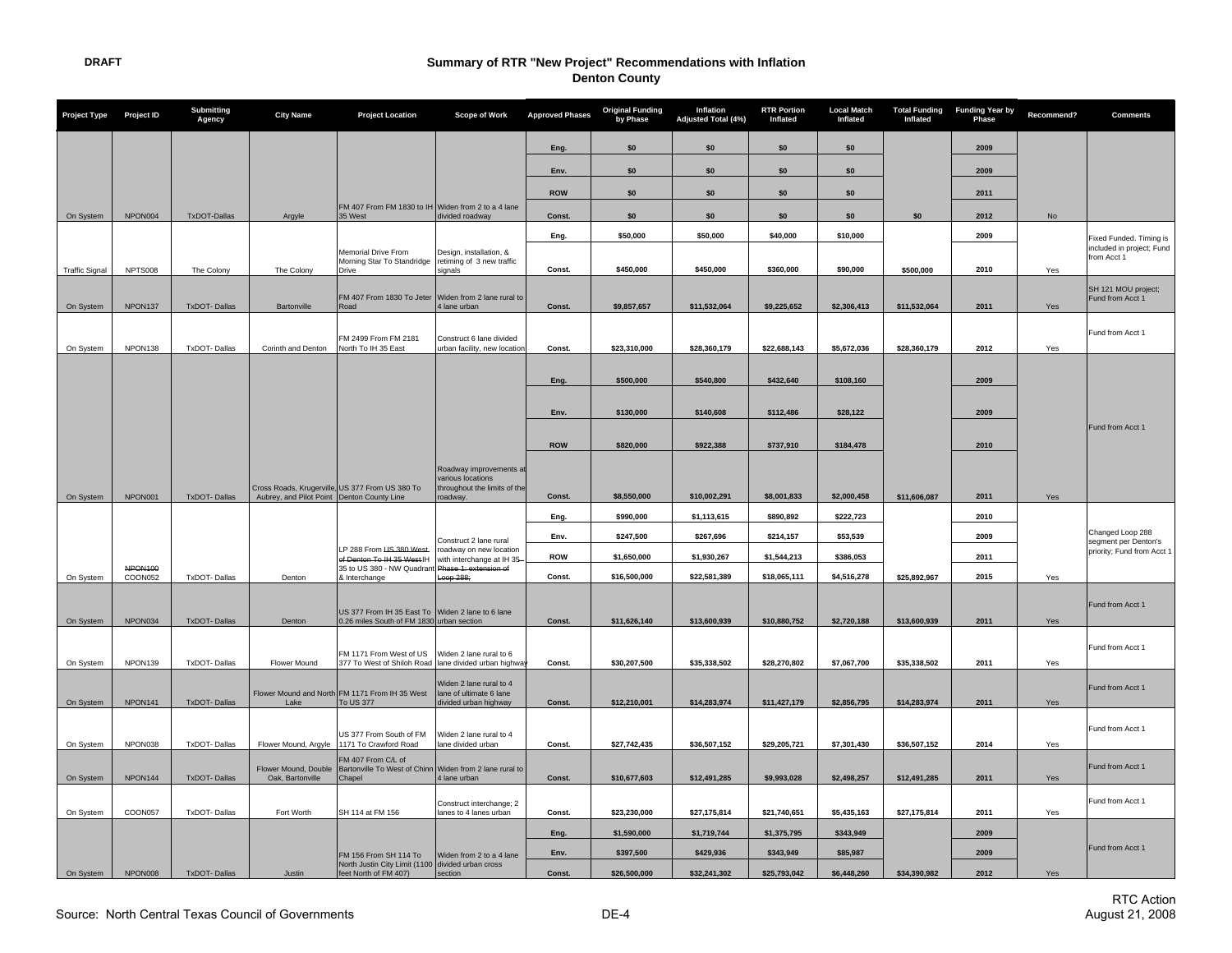| <b>Project Type</b>   | Project ID         | <b>Submitting</b><br>Agency | <b>City Name</b>                           | <b>Project Location</b>                                                                                 | <b>Scope of Work</b>                                 | <b>Approved Phases</b> | <b>Original Funding</b><br>by Phase | Inflation<br>Adjusted Total (4%) | <b>RTR Portion</b><br>Inflated | <b>Local Match</b><br>Inflated | <b>Total Funding</b><br>Inflated | <b>Funding Year by</b><br>Phase | Recommend? | <b>Comments</b>                          |
|-----------------------|--------------------|-----------------------------|--------------------------------------------|---------------------------------------------------------------------------------------------------------|------------------------------------------------------|------------------------|-------------------------------------|----------------------------------|--------------------------------|--------------------------------|----------------------------------|---------------------------------|------------|------------------------------------------|
|                       |                    |                             |                                            |                                                                                                         |                                                      | Eng.                   | \$0                                 | \$0                              | \$0                            | \$0                            |                                  | 2009                            |            |                                          |
|                       |                    |                             |                                            |                                                                                                         |                                                      | Env.                   | \$0                                 | \$0                              | \$0                            | \$0                            |                                  | 2009                            |            |                                          |
|                       |                    |                             |                                            |                                                                                                         |                                                      | <b>ROW</b>             | \$0                                 | \$0                              | \$0                            | \$0                            |                                  | 2011                            |            |                                          |
| On System             | NPON004            | TxDOT-Dallas                | Argyle                                     | FM 407 From FM 1830 to IH Widen from 2 to a 4 lane<br>35 West                                           | divided roadway                                      | Const.                 | \$0                                 | \$0                              | \$0                            | \$0                            | \$0                              | 2012                            | No         |                                          |
|                       |                    |                             |                                            |                                                                                                         |                                                      | Eng.                   | \$50,000                            | \$50,000                         | \$40,000                       | \$10,000                       |                                  | 2009                            |            | Fixed Funded. Timing is                  |
|                       |                    |                             |                                            | Memorial Drive From<br>Morning Star To Standridge                                                       | Design, installation, &<br>retiming of 3 new traffic |                        |                                     |                                  |                                |                                |                                  |                                 |            | included in project; Fund<br>from Acct 1 |
| <b>Traffic Signal</b> | NPTS008            | The Colony                  | The Colony                                 | Drive                                                                                                   | signals                                              | Const.                 | \$450,000                           | \$450,000                        | \$360,000                      | \$90,000                       | \$500.000                        | 2010                            | Yes        |                                          |
|                       |                    |                             |                                            | FM 407 From 1830 To Jeter Widen from 2 lane rural to                                                    |                                                      |                        |                                     |                                  |                                |                                |                                  |                                 |            | SH 121 MOU project;<br>Fund from Acct 1  |
| On System             | NPON137            | <b>TxDOT-Dallas</b>         | Bartonville                                | Road                                                                                                    | 4 lane urban                                         | Const.                 | \$9,857,657                         | \$11,532,064                     | \$9,225,652                    | \$2,306,413                    | \$11,532,064                     | 2011                            | Yes        |                                          |
|                       |                    |                             |                                            | FM 2499 From FM 2181                                                                                    | Construct 6 lane divided                             |                        |                                     |                                  |                                |                                |                                  |                                 |            | Fund from Acct 1                         |
| On System             | NPON138            | <b>TxDOT-Dallas</b>         | Corinth and Denton                         | North To IH 35 East                                                                                     | urban facility, new location                         | Const.                 | \$23,310,000                        | \$28,360,179                     | \$22,688,143                   | \$5,672,036                    | \$28,360,179                     | 2012                            | Yes        |                                          |
|                       |                    |                             |                                            |                                                                                                         |                                                      | Eng.                   | \$500,000                           | \$540,800                        | \$432,640                      | \$108,160                      |                                  | 2009                            |            |                                          |
|                       |                    |                             |                                            |                                                                                                         |                                                      |                        |                                     |                                  |                                |                                |                                  |                                 |            |                                          |
|                       |                    |                             |                                            |                                                                                                         |                                                      | Env.                   | \$130,000                           | \$140,608                        | \$112,486                      | \$28,122                       |                                  | 2009                            |            |                                          |
|                       |                    |                             |                                            |                                                                                                         |                                                      |                        |                                     |                                  |                                |                                |                                  |                                 |            | Fund from Acct 1                         |
|                       |                    |                             |                                            |                                                                                                         |                                                      | <b>ROW</b>             | \$820,000                           | \$922,388                        | \$737,910                      | \$184,478                      |                                  | 2010                            |            |                                          |
|                       |                    |                             |                                            |                                                                                                         | Roadway improvements at<br>various locations         |                        |                                     |                                  |                                |                                |                                  |                                 |            |                                          |
| On System             | NPON001            | TxDOT-Dallas                | Aubrey, and Pilot Point Denton County Line | Cross Roads, Krugerville, US 377 From US 380 To                                                         | throughout the limits of the<br>roadway.             | Const.                 | \$8,550,000                         | \$10,002,291                     | \$8,001,833                    | \$2,000,458                    | \$11,606,087                     | 2011                            | Yes        |                                          |
|                       |                    |                             |                                            |                                                                                                         |                                                      | Eng.                   | \$990,000                           | \$1,113,615                      | \$890,892                      | \$222,723                      |                                  | 2010                            |            |                                          |
|                       |                    |                             |                                            |                                                                                                         | Construct 2 lane rural                               | Env.                   | \$247,500                           | \$267,696                        | \$214,157                      | \$53,539                       |                                  | 2009                            |            | Changed Loop 288<br>segment per Denton's |
|                       |                    |                             |                                            | LP 288 From US 380 West-<br>of Denton To IH 35 West IH                                                  | roadway on new location<br>with interchange at IH 35 | ROW                    | \$1,650,000                         | \$1,930,267                      | \$1,544,213                    | \$386,053                      |                                  | 2011                            |            | priority; Fund from Acct 1               |
| On System             | NPON100<br>COON052 | <b>TxDOT-Dallas</b>         | Denton                                     | 35 to US 380 - NW Quadrant Phase 1: extension of<br>& Interchange                                       | Loop 288:                                            | Const.                 | \$16,500,000                        | \$22,581,389                     | \$18,065,111                   | \$4,516,278                    | \$25.892.967                     | 2015                            | Yes        |                                          |
|                       |                    |                             |                                            |                                                                                                         |                                                      |                        |                                     |                                  |                                |                                |                                  |                                 |            |                                          |
| On System             | NPON034            | <b>TxDOT-Dallas</b>         | Denton                                     | US 377 From IH 35 East To Widen 2 lane to 6 lane<br>0.26 miles South of FM 1830 urban section           |                                                      | Const.                 | \$11,626,140                        | \$13,600,939                     | \$10,880,752                   | \$2,720,188                    | \$13,600,939                     | 2011                            | Yes        | <b>Fund from Acct 1</b>                  |
|                       |                    |                             |                                            |                                                                                                         |                                                      |                        |                                     |                                  |                                |                                |                                  |                                 |            |                                          |
|                       | NPON139            | <b>TxDOT-Dallas</b>         | Flower Mound                               | FM 1171 From West of US Widen 2 lane rural to 6<br>377 To West of Shiloh Road lane divided urban highwa |                                                      | Const.                 | \$30,207,500                        | \$35,338,502                     | \$28,270,802                   | \$7,067,700                    | \$35,338,502                     | 2011                            | Yes        | Fund from Acct 1                         |
| On System             |                    |                             |                                            |                                                                                                         | Widen 2 lane rural to 4                              |                        |                                     |                                  |                                |                                |                                  |                                 |            |                                          |
| On System             | NPON141            | <b>TxDOT-Dallas</b>         | Lake                                       | Flower Mound and North FM 1171 From IH 35 West<br>To US 377                                             | lane of ultimate 6 lane<br>divided urban highway     | Const.                 | \$12,210,001                        | \$14,283,974                     | \$11,427,179                   | \$2,856,795                    | \$14,283,974                     | 2011                            | Yes        | Fund from Acct 1                         |
|                       |                    |                             |                                            |                                                                                                         |                                                      |                        |                                     |                                  |                                |                                |                                  |                                 |            |                                          |
|                       | NPON038            | TxDOT-Dallas                |                                            | US 377 From South of FM<br>1171 To Crawford Road                                                        | Widen 2 lane rural to 4<br>lane divided urban        | Const.                 |                                     |                                  |                                |                                |                                  | 2014                            | Yes        | Fund from Acct 1                         |
| On System             |                    |                             | Flower Mound, Argyle                       | FM 407 From C/L of                                                                                      |                                                      |                        | \$27,742,435                        | \$36,507,152                     | \$29,205,721                   | \$7,301,430                    | \$36,507,152                     |                                 |            |                                          |
| On System             | NPON144            | <b>TxDOT-Dallas</b>         | Oak, Bartonville                           | Flower Mound, Double   Bartonville To West of Chinn   Widen from 2 lane rural to<br>Chapel              | 4 lane urban                                         | Const.                 | \$10,677,603                        | \$12,491,285                     | \$9,993,028                    | \$2,498,257                    | \$12,491,285                     | 2011                            | Yes        | Fund from Acct 1                         |
|                       |                    |                             |                                            |                                                                                                         | Construct interchange; 2                             |                        |                                     |                                  |                                |                                |                                  |                                 |            | Fund from Acct 1                         |
| On System             | COON057            | <b>TxDOT-Dallas</b>         | Fort Worth                                 | SH 114 at FM 156                                                                                        | lanes to 4 lanes urban                               | Const.                 | \$23,230,000                        | \$27,175,814                     | \$21,740,651                   | \$5,435,163                    | \$27,175,814                     | 2011                            | Yes        |                                          |
|                       |                    |                             |                                            |                                                                                                         |                                                      | Eng.                   | \$1,590,000                         | \$1,719,744                      | \$1,375,795                    | \$343,949                      |                                  | 2009                            |            |                                          |
|                       |                    |                             |                                            | FM 156 From SH 114 To                                                                                   | Widen from 2 to a 4 lane                             | Env.                   | \$397,500                           | \$429,936                        | \$343,949                      | \$85,987                       |                                  | 2009                            |            | Fund from Acct 1                         |
| On System             | NPON008            | <b>TxDOT-Dallas</b>         | Justin                                     | North Justin City Limit (1100 divided urban cross<br>feet North of FM 407)                              | section                                              | Const.                 | \$26,500,000                        | \$32,241,302                     | \$25,793,042                   | \$6,448,260                    | \$34,390,982                     | 2012                            | Yes        |                                          |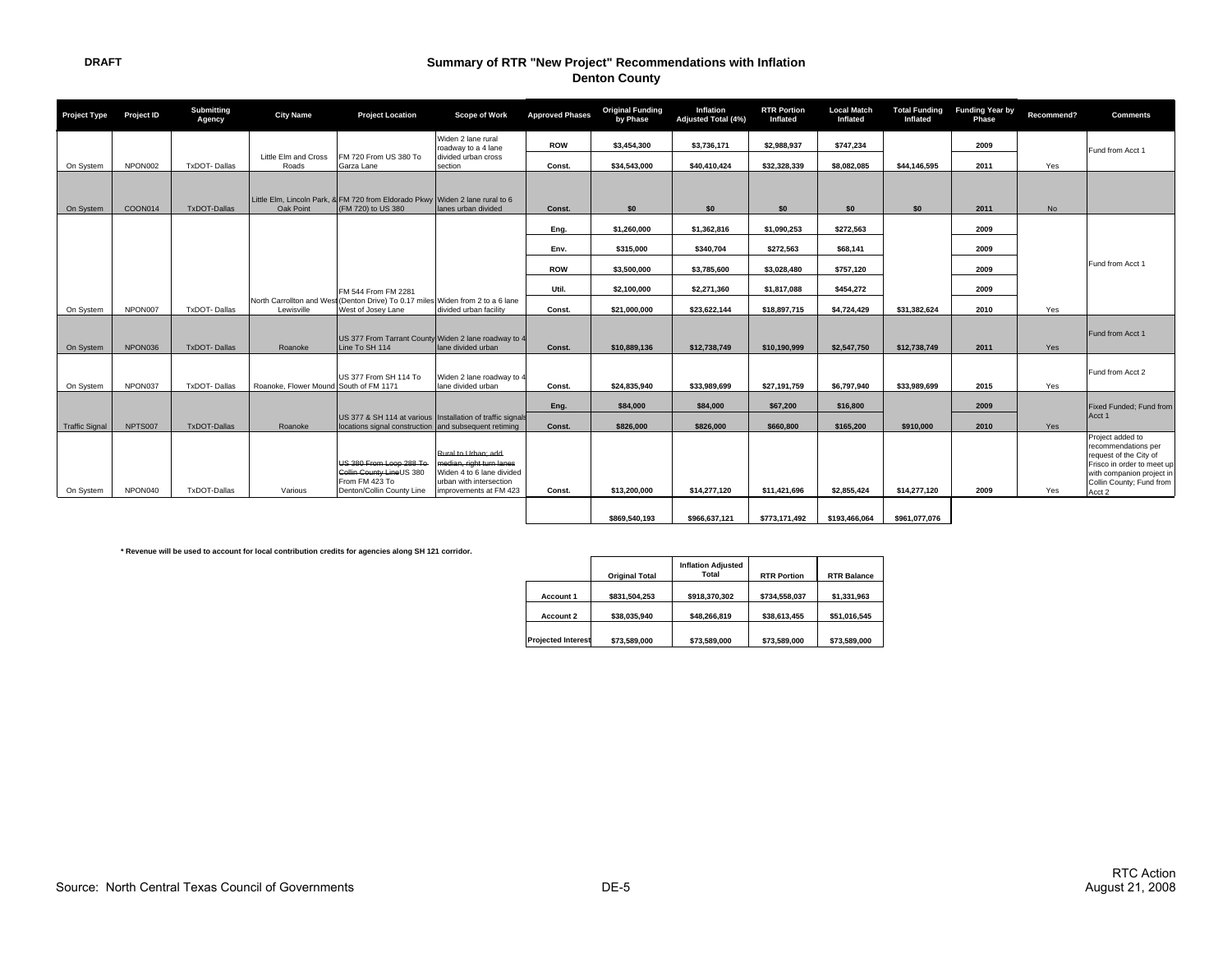| <b>Project Type</b>   | Project ID | Submitting<br>Agency | <b>City Name</b>                       | <b>Project Location</b>                                                                                               | <b>Scope of Work</b>                                                                                                              | <b>Approved Phases</b> | <b>Original Funding</b><br>by Phase | Inflation<br>Adjusted Total (4%) | <b>RTR Portion</b><br>Inflated | <b>Local Match</b><br>Inflated | Inflated      | <b>Total Funding Funding Year by</b><br>Phase | Recommend? | <b>Comments</b>                                                                                                                                                    |
|-----------------------|------------|----------------------|----------------------------------------|-----------------------------------------------------------------------------------------------------------------------|-----------------------------------------------------------------------------------------------------------------------------------|------------------------|-------------------------------------|----------------------------------|--------------------------------|--------------------------------|---------------|-----------------------------------------------|------------|--------------------------------------------------------------------------------------------------------------------------------------------------------------------|
|                       |            |                      | Little Elm and Cross                   | FM 720 From US 380 To                                                                                                 | Widen 2 lane rural<br>roadway to a 4 lane<br>divided urban cross                                                                  | <b>ROW</b>             | \$3,454,300                         | \$3,736,171                      | \$2,988,937                    | \$747.234                      |               | 2009                                          |            | Fund from Acct 1                                                                                                                                                   |
| On System             | NPON002    | TxDOT-Dallas         | Roads                                  | Garza Lane                                                                                                            | section                                                                                                                           | Const.                 | \$34,543,000                        | \$40,410,424                     | \$32,328,339                   | \$8,082,085                    | \$44.146.595  | 2011                                          | Yes        |                                                                                                                                                                    |
| On System             | COON014    | TxDOT-Dallas         | Oak Point                              | Little Elm, Lincoln Park, & FM 720 from Eldorado Pkwy Widen 2 lane rural to 6<br>(FM 720) to US 380                   | lanes urban divided                                                                                                               | Const.                 | \$0                                 | \$0                              | \$0                            | \$0                            | \$0           | 2011                                          | No         |                                                                                                                                                                    |
|                       |            |                      |                                        |                                                                                                                       |                                                                                                                                   | Eng.                   | \$1,260,000                         | \$1,362,816                      | \$1,090,253                    | \$272.563                      |               | 2009                                          |            |                                                                                                                                                                    |
|                       |            |                      |                                        |                                                                                                                       |                                                                                                                                   | Env.                   | \$315,000                           | \$340,704                        | \$272,563                      | \$68,141                       |               | 2009                                          |            |                                                                                                                                                                    |
|                       |            |                      |                                        |                                                                                                                       |                                                                                                                                   | <b>ROW</b>             | \$3,500,000                         | \$3,785,600                      | \$3,028,480                    | \$757,120                      |               | 2009                                          |            | Fund from Acct 1                                                                                                                                                   |
|                       |            |                      |                                        | FM 544 From FM 2281                                                                                                   |                                                                                                                                   | Util.                  | \$2.100.000                         | \$2.271.360                      | \$1,817,088                    | \$454.272                      |               | 2009                                          |            |                                                                                                                                                                    |
| On System             | NPON007    | <b>TxDOT-Dallas</b>  | Lewisville                             | North Carrollton and West (Denton Drive) To 0.17 miles Widen from 2 to a 6 lane<br>West of Josey Lane                 | divided urban facility                                                                                                            | Const.                 | \$21.000.000                        | \$23.622.144                     | \$18,897,715                   | \$4.724.429                    | \$31,382,624  | 2010                                          | Yes        |                                                                                                                                                                    |
| On System             | NPON036    | <b>TxDOT-Dallas</b>  | Roanoke                                | US 377 From Tarrant County Widen 2 lane roadway to 4<br>Line To SH 114                                                | lane divided urban                                                                                                                | Const.                 | \$10.889.136                        | \$12,738,749                     | \$10,190,999                   | \$2,547,750                    | \$12,738,749  | 2011                                          | Yes        | Fund from Acct 1                                                                                                                                                   |
| On System             | NPON037    | <b>TxDOT-Dallas</b>  | Roanoke, Flower Mound South of FM 1171 | US 377 From SH 114 To                                                                                                 | Widen 2 lane roadway to 4<br>lane divided urban                                                                                   | Const.                 | \$24.835.940                        | \$33.989.699                     | \$27,191,759                   | \$6,797.940                    | \$33.989.699  | 2015                                          | Yes        | Fund from Acct 2                                                                                                                                                   |
|                       |            |                      |                                        |                                                                                                                       |                                                                                                                                   | Eng.                   | \$84,000                            | \$84,000                         | \$67,200                       | \$16,800                       |               | 2009                                          |            | Fixed Funded; Fund from                                                                                                                                            |
| <b>Traffic Signal</b> | NPTS007    | TxDOT-Dallas         | Roanoke                                | US 377 & SH 114 at various   Installation of traffic signals<br>locations signal construction and subsequent retiming |                                                                                                                                   | Const.                 | \$826,000                           | \$826,000                        | \$660,800                      | \$165,200                      | \$910,000     | 2010                                          | Yes        | Acct 1                                                                                                                                                             |
| On System             | NPON040    | TxDOT-Dallas         | Various                                | US 380 From Loop 288 To-<br>Collin County LineUS 380<br>From FM 423 To<br>Denton/Collin County Line                   | Rural to Urban: add<br>median, right turn lanes<br>Widen 4 to 6 lane divided<br>urban with intersection<br>improvements at FM 423 | Const.                 | \$13,200,000                        | \$14,277,120                     | \$11,421,696                   | \$2,855,424                    | \$14,277,120  | 2009                                          | Yes        | Project added to<br>recommendations per<br>request of the City of<br>Frisco in order to meet up<br>with companion project in<br>Collin County; Fund from<br>Acct 2 |
|                       |            |                      |                                        |                                                                                                                       |                                                                                                                                   |                        | \$869,540,193                       | \$966,637,121                    | \$773,171,492                  | \$193,466,064                  | \$961,077,076 |                                               |            |                                                                                                                                                                    |

**\* Revenue will be used to account for local contribution credits for agencies along SH 121 corridor.**

|                           | <b>Original Total</b> | <b>Inflation Adiusted</b><br>Total | <b>RTR Portion</b> | <b>RTR Balance</b> |
|---------------------------|-----------------------|------------------------------------|--------------------|--------------------|
| <b>Account 1</b>          | \$831.504.253         | \$918.370.302                      | \$734.558.037      | \$1,331,963        |
| Account 2                 | \$38.035.940          | \$48,266,819                       | \$38.613.455       | \$51,016,545       |
| <b>Projected Interest</b> | \$73,589,000          | \$73,589,000                       | \$73,589,000       | \$73,589,000       |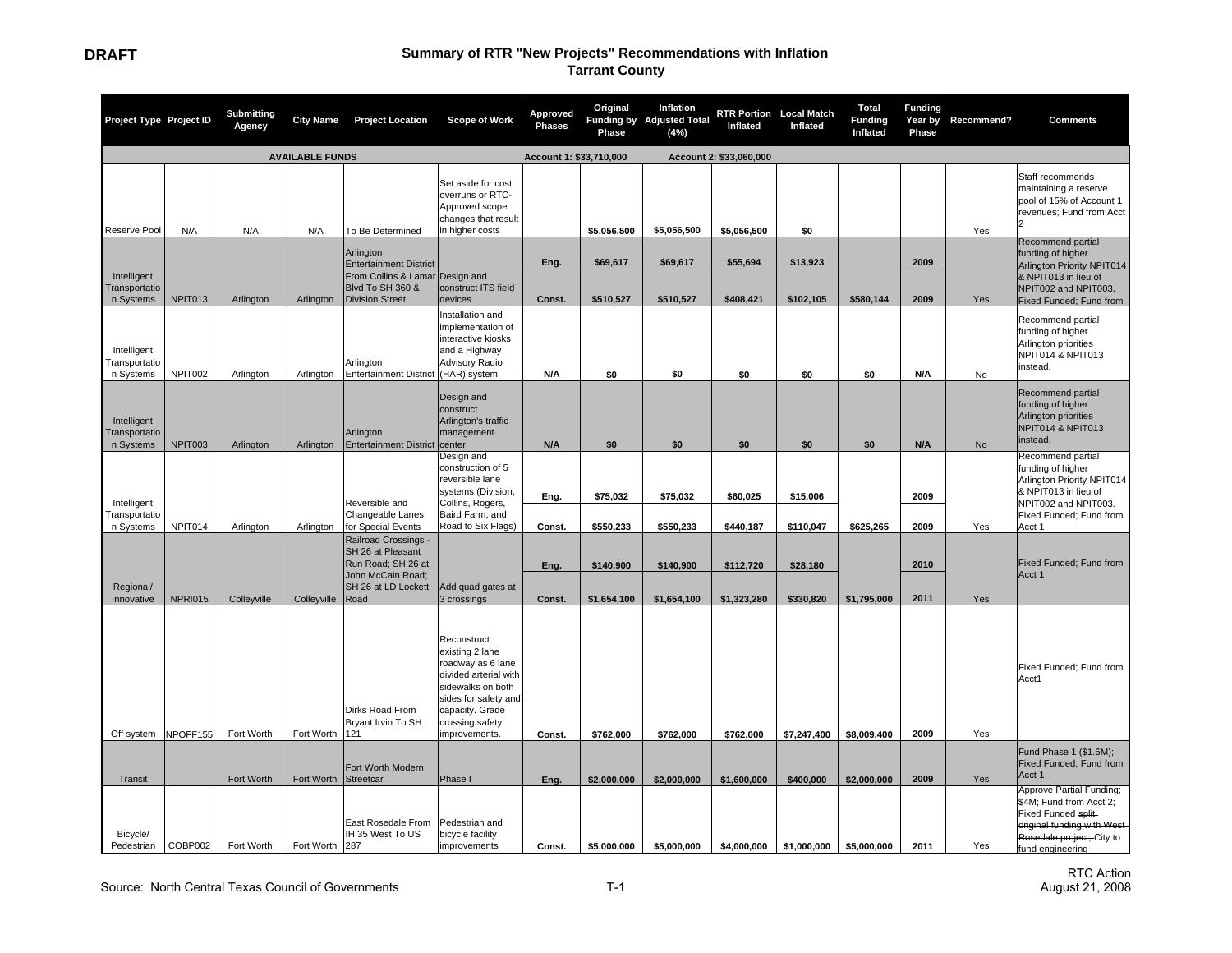| Project Type Project ID                   |                        | Submitting<br>Agency | <b>City Name</b> | <b>Project Location</b>                                                                                                     | <b>Scope of Work</b>                                                                                                                                                             | Approved<br><b>Phases</b> | Original<br>Phase        | Inflation<br>Funding by Adjusted Total<br>(4%) | <b>RTR Portion Local Match</b><br>Inflated | Inflated              | Total<br><b>Funding</b><br>Inflated | <b>Funding</b><br>Year by<br>Phase | Recommend? | <b>Comments</b>                                                                                                                                           |
|-------------------------------------------|------------------------|----------------------|------------------|-----------------------------------------------------------------------------------------------------------------------------|----------------------------------------------------------------------------------------------------------------------------------------------------------------------------------|---------------------------|--------------------------|------------------------------------------------|--------------------------------------------|-----------------------|-------------------------------------|------------------------------------|------------|-----------------------------------------------------------------------------------------------------------------------------------------------------------|
|                                           | <b>AVAILABLE FUNDS</b> |                      |                  |                                                                                                                             |                                                                                                                                                                                  | Account 1: \$33,710,000   |                          |                                                | Account 2: \$33,060,000                    |                       |                                     |                                    |            |                                                                                                                                                           |
| Reserve Pool                              | N/A                    | N/A                  | N/A              | To Be Determined                                                                                                            | Set aside for cost<br>overruns or RTC-<br>Approved scope<br>changes that result<br>in higher costs                                                                               |                           | \$5,056,500              | \$5,056,500                                    | \$5,056,500                                | \$0                   |                                     |                                    | Yes        | Staff recommends<br>maintaining a reserve<br>pool of 15% of Account 1<br>revenues; Fund from Acct                                                         |
| Intelligent<br>Transportatio<br>n Systems | NPIT013                | Arlington            | Arlington        | Arlington<br><b>Entertainment District</b><br>From Collins & Lamar<br><b>Blvd To SH 360 &amp;</b><br><b>Division Street</b> | Design and<br>construct ITS field<br>devices                                                                                                                                     | Eng.<br>Const.            | \$69,617<br>\$510,527    | \$69,617<br>\$510,527                          | \$55,694<br>\$408,421                      | \$13,923<br>\$102,105 | \$580,144                           | 2009<br>2009                       | Yes        | Recommend partial<br>funding of higher<br>Arlington Priority NPIT014<br>& NPIT013 in lieu of<br>NPIT002 and NPIT003.<br>Fixed Funded; Fund from           |
| Intelligent<br>Transportatio<br>n Systems | NPIT002                | Arlington            | Arlington        | Arlington<br><b>Entertainment District</b>                                                                                  | Installation and<br>implementation of<br>interactive kiosks<br>and a Highway<br><b>Advisory Radio</b><br>(HAR) system                                                            | N/A                       | \$0                      | \$0                                            | \$0                                        | \$0                   | \$0                                 | N/A                                | No         | Recommend partial<br>funding of higher<br>Arlington priorities<br>NPIT014 & NPIT013<br>instead.                                                           |
| Intelligent<br>Transportatio<br>n Systems | NPIT003                | Arlington            | Arlington        | Arlington<br><b>Entertainment District</b>                                                                                  | Design and<br>construct<br>Arlington's traffic<br>management<br>center                                                                                                           | N/A                       | \$0                      | \$0                                            | \$0                                        | \$0                   | \$0                                 | N/A                                | No         | Recommend partial<br>funding of higher<br>Arlington priorities<br>NPIT014 & NPIT013<br>instead.                                                           |
| Intelligent<br>Transportatio<br>n Systems | NPIT014                | Arlington            | Arlington        | Reversible and<br>Changeable Lanes<br>for Special Events                                                                    | Design and<br>construction of 5<br>reversible lane<br>systems (Division,<br>Collins, Rogers,<br>Baird Farm, and<br>Road to Six Flags)                                            | Eng.<br>Const.            | \$75,032<br>\$550,233    | \$75,032<br>\$550,233                          | \$60,025<br>\$440,187                      | \$15,006<br>\$110,047 | \$625,265                           | 2009<br>2009                       | Yes        | Recommend partial<br>funding of higher<br>Arlington Priority NPIT014<br>& NPIT013 in lieu of<br>NPIT002 and NPIT003.<br>Fixed Funded; Fund from<br>Acct 1 |
| Regional/<br>Innovative                   | <b>NPRI015</b>         | Colleyville          | Colleyville      | Railroad Crossings -<br>SH 26 at Pleasant<br>Run Road; SH 26 at<br>John McCain Road:<br>SH 26 at LD Lockett<br>Road         | Add quad gates at<br>3 crossings                                                                                                                                                 | Eng.<br>Const.            | \$140,900<br>\$1,654,100 | \$140,900<br>\$1,654,100                       | \$112,720<br>\$1,323,280                   | \$28,180<br>\$330,820 | \$1,795,000                         | 2010<br>2011                       | Yes        | Fixed Funded; Fund from<br>Acct 1                                                                                                                         |
| Off system                                | NPOFF155               | Fort Worth           | Fort Worth       | Dirks Road From<br>Bryant Irvin To SH<br>121                                                                                | Reconstruct<br>existing 2 lane<br>roadway as 6 lane<br>divided arterial with<br>sidewalks on both<br>sides for safety and<br>capacity. Grade<br>crossing safety<br>improvements. | Const.                    | \$762,000                | \$762,000                                      | \$762,000                                  | \$7,247,400           | \$8,009,400                         | 2009                               | Yes        | Fixed Funded; Fund from<br>Acct1                                                                                                                          |
| Transit                                   |                        | Fort Worth           | Fort Worth       | Fort Worth Modern<br>Streetcar                                                                                              | Phase I                                                                                                                                                                          | Eng.                      | \$2,000,000              | \$2,000,000                                    | \$1,600,000                                | \$400,000             | \$2,000,000                         | 2009                               | Yes        | Fund Phase 1 (\$1.6M);<br>Fixed Funded; Fund from<br>Acct 1                                                                                               |
| Bicycle/<br>Pedestrian                    | COBP002                | Fort Worth           | Fort Worth       | East Rosedale From<br>IH 35 West To US<br>287                                                                               | Pedestrian and<br>bicycle facility<br>improvements                                                                                                                               | Const.                    | \$5,000,000              | \$5,000,000                                    | \$4,000,000                                | \$1,000,000           | \$5,000,000                         | 2011                               | Yes        | Approve Partial Funding;<br>\$4M; Fund from Acct 2;<br>Fixed Funded split<br>original funding with West<br>Rosedale project; City to<br>fund engineering  |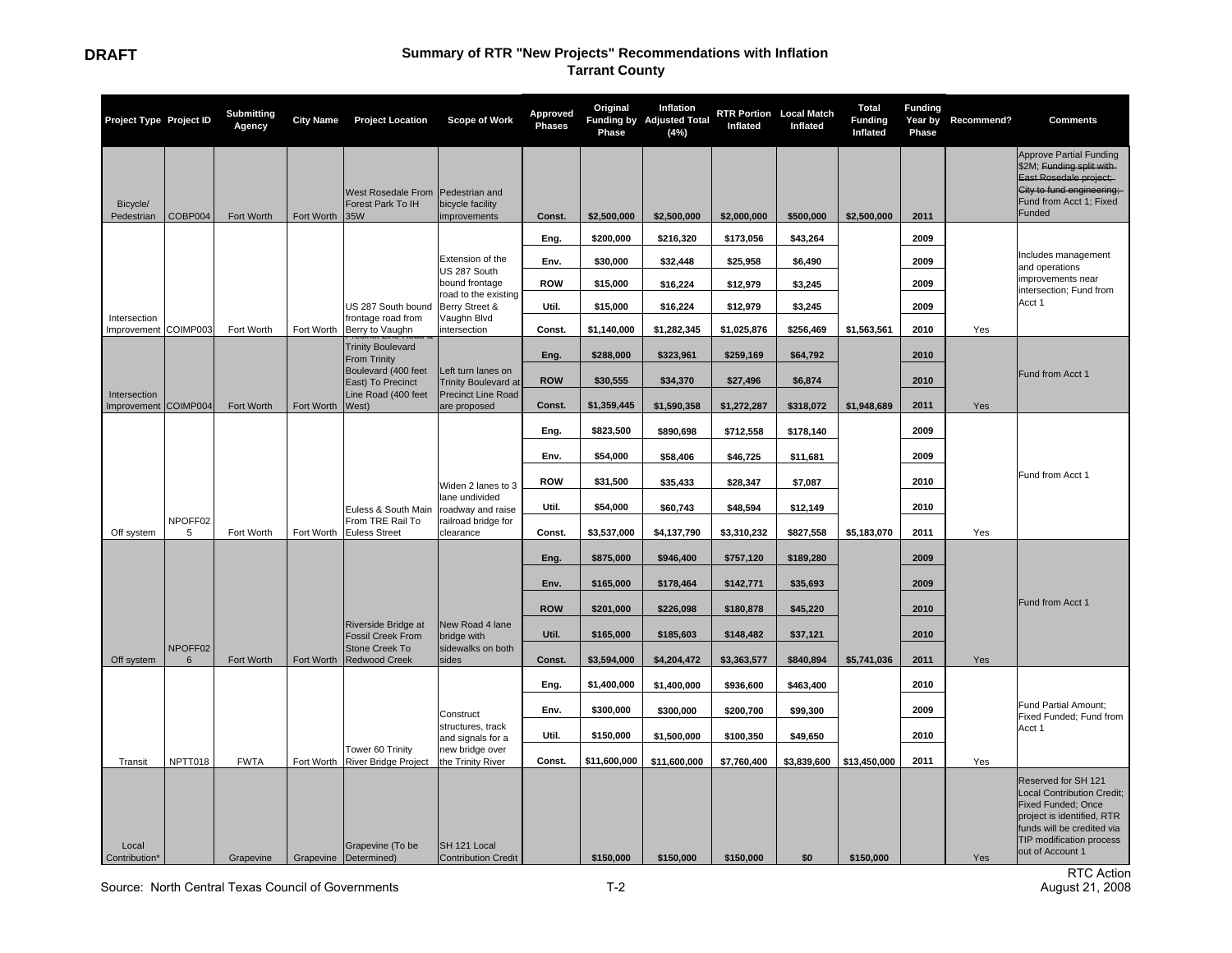| Project Type Project ID              |              | <b>Submitting</b><br>Agency | <b>City Name</b>        | <b>Project Location</b>                                        | Scope of Work                                                   | <b>Approved</b><br><b>Phases</b> | Original<br>Phase         | Inflation<br>Funding by Adjusted Total<br>(4% ) | <b>RTR Portion</b> Local Match<br>Inflated | Inflated           | Total<br><b>Funding</b><br>Inflated | <b>Funding</b><br>Year by<br>Phase | Recommend? | <b>Comments</b>                                                                                                                                                                                   |
|--------------------------------------|--------------|-----------------------------|-------------------------|----------------------------------------------------------------|-----------------------------------------------------------------|----------------------------------|---------------------------|-------------------------------------------------|--------------------------------------------|--------------------|-------------------------------------|------------------------------------|------------|---------------------------------------------------------------------------------------------------------------------------------------------------------------------------------------------------|
| Bicycle/<br>Pedestrian               | COBP004      | Fort Worth                  | Fort Worth              | West Rosedale From<br>Forest Park To IH<br>35W                 | Pedestrian and<br>bicycle facility<br>improvements              | Const.                           | \$2,500,000               | \$2,500,000                                     | \$2,000,000                                | \$500,000          | \$2,500,000                         | 2011                               |            | <b>Approve Partial Funding</b><br>\$2M; Funding split with<br>East Rosedale project:<br>City to fund engineering;<br>Fund from Acct 1; Fixed<br>Funded                                            |
|                                      |              |                             |                         |                                                                |                                                                 | Eng.                             | \$200,000                 | \$216,320                                       | \$173,056                                  | \$43,264           |                                     | 2009                               |            |                                                                                                                                                                                                   |
|                                      |              |                             |                         |                                                                | Extension of the                                                | Env.                             | \$30,000                  | \$32,448                                        | \$25,958                                   | \$6,490            |                                     | 2009                               |            | Includes management<br>and operations                                                                                                                                                             |
|                                      |              |                             |                         |                                                                | US 287 South<br>bound frontage                                  | <b>ROW</b>                       | \$15,000                  | \$16,224                                        | \$12,979                                   | \$3,245            |                                     | 2009                               |            | improvements near<br>intersection; Fund from                                                                                                                                                      |
|                                      |              |                             |                         | US 287 South bound                                             | road to the existing<br>Berry Street &                          | Util.                            | \$15,000                  | \$16,224                                        | \$12,979                                   | \$3,245            |                                     | 2009                               |            | Acct 1                                                                                                                                                                                            |
| Intersection<br>Improvement COIMP003 |              | Fort Worth                  | Fort Worth              | frontage road from<br>Berry to Vaughn                          | Vaughn Blvd<br>intersection                                     | Const.                           | \$1,140,000               | \$1,282,345                                     | \$1,025,876                                | \$256,469          | \$1,563,561                         | 2010                               | Yes        |                                                                                                                                                                                                   |
|                                      |              |                             |                         | <b>Trinity Boulevard</b><br><b>From Trinity</b>                |                                                                 | Eng.                             | \$288,000                 | \$323,961                                       | \$259,169                                  | \$64,792           |                                     | 2010                               |            |                                                                                                                                                                                                   |
|                                      |              |                             |                         | Boulevard (400 feet<br>East) To Precinct                       | Left turn lanes on<br><b>Trinity Boulevard at</b>               | <b>ROW</b>                       | \$30.555                  | \$34,370                                        | \$27,496                                   | \$6,874            |                                     | 2010                               |            | Fund from Acct 1                                                                                                                                                                                  |
| Intersection<br>Improvement COIMP004 |              | Fort Worth                  | Fort Worth              | Line Road (400 feet<br>West)                                   | Precinct Line Road<br>are proposed                              | Const.                           | \$1,359,445               | \$1,590,358                                     | \$1,272,287                                | \$318,072          | \$1,948,689                         | 2011                               | Yes        |                                                                                                                                                                                                   |
|                                      |              |                             |                         |                                                                |                                                                 | Eng.                             | \$823,500                 | \$890,698                                       | \$712,558                                  | \$178,140          |                                     | 2009                               |            |                                                                                                                                                                                                   |
|                                      |              |                             |                         |                                                                |                                                                 | Env.                             | \$54,000                  |                                                 |                                            |                    |                                     | 2009                               |            |                                                                                                                                                                                                   |
|                                      |              |                             |                         |                                                                |                                                                 |                                  |                           | \$58,406                                        | \$46,725                                   | \$11,681           |                                     |                                    |            | Fund from Acct 1                                                                                                                                                                                  |
|                                      |              |                             |                         |                                                                | Widen 2 lanes to 3<br>lane undivided                            | <b>ROW</b>                       | \$31,500                  | \$35,433                                        | \$28,347                                   | \$7,087            |                                     | 2010                               |            |                                                                                                                                                                                                   |
|                                      | NPOFF02      |                             |                         | Euless & South Main<br>From TRE Rail To                        | roadway and raise<br>railroad bridge for                        | Util.                            | \$54,000                  | \$60,743                                        | \$48,594                                   | \$12,149           |                                     | 2010                               |            |                                                                                                                                                                                                   |
| Off system                           | 5            | Fort Worth                  | Fort Worth              | <b>Euless Street</b>                                           | clearance                                                       | Const.                           | \$3,537,000               | \$4,137,790                                     | \$3,310,232                                | \$827,558          | \$5,183,070                         | 2011                               | Yes        |                                                                                                                                                                                                   |
|                                      |              |                             |                         |                                                                |                                                                 | Eng.                             | \$875,000                 | \$946,400                                       | \$757,120                                  | \$189,280          |                                     | 2009                               |            |                                                                                                                                                                                                   |
|                                      |              |                             |                         |                                                                |                                                                 | Env.                             | \$165,000                 | \$178,464                                       | \$142,771                                  | \$35,693           |                                     | 2009                               |            |                                                                                                                                                                                                   |
|                                      |              |                             |                         |                                                                |                                                                 | <b>ROW</b>                       | \$201,000                 | \$226,098                                       | \$180,878                                  | \$45.220           |                                     | 2010                               |            | Fund from Acct 1                                                                                                                                                                                  |
|                                      |              |                             |                         | Riverside Bridge at<br><b>Fossil Creek From</b>                | New Road 4 lane<br>bridge with                                  | Util.                            | \$165,000                 | \$185,603                                       | \$148,482                                  | \$37,121           |                                     | 2010                               |            |                                                                                                                                                                                                   |
| Off system                           | NPOFF02<br>6 | Fort Worth                  | Fort Worth              | Stone Creek To<br><b>Redwood Creek</b>                         | sidewalks on both<br>sides                                      | Const.                           | \$3,594,000               | \$4,204,472                                     | \$3,363,577                                | \$840,894          | \$5,741,036                         | 2011                               | Yes        |                                                                                                                                                                                                   |
|                                      |              |                             |                         |                                                                |                                                                 | Eng.                             | \$1,400,000               | \$1,400,000                                     | \$936,600                                  | \$463,400          |                                     | 2010                               |            |                                                                                                                                                                                                   |
|                                      |              |                             |                         |                                                                |                                                                 | Env.                             | \$300,000                 | \$300,000                                       | \$200,700                                  | \$99,300           |                                     | 2009                               |            | Fund Partial Amount;                                                                                                                                                                              |
|                                      |              |                             |                         |                                                                | Construct<br>structures, track                                  | Util.                            |                           |                                                 |                                            |                    |                                     | 2010                               |            | Fixed Funded; Fund from<br>Acct 1                                                                                                                                                                 |
|                                      |              |                             |                         | Tower 60 Trinity                                               | and signals for a<br>new bridge over                            |                                  | \$150,000                 | \$1,500,000                                     | \$100,350                                  | \$49,650           |                                     |                                    |            |                                                                                                                                                                                                   |
| Transit<br>Local<br>Contribution*    | NPTT018      | <b>FWTA</b><br>Grapevine    | Fort Worth<br>Grapevine | <b>River Bridge Project</b><br>Grapevine (To be<br>Determined) | the Trinity River<br>SH 121 Local<br><b>Contribution Credit</b> | Const.                           | \$11,600,000<br>\$150,000 | \$11,600,000<br>\$150,000                       | \$7,760,400                                | \$3,839,600<br>\$0 | \$13,450,000<br>\$150,000           | 2011                               | Yes<br>Yes | Reserved for SH 121<br><b>Local Contribution Credit;</b><br><b>Fixed Funded; Once</b><br>project is identified, RTR<br>funds will be credited via<br>TIP modification process<br>out of Account 1 |
|                                      |              |                             |                         |                                                                |                                                                 |                                  |                           |                                                 | \$150,000                                  |                    |                                     |                                    |            |                                                                                                                                                                                                   |

Source: North Central Texas Council of Governments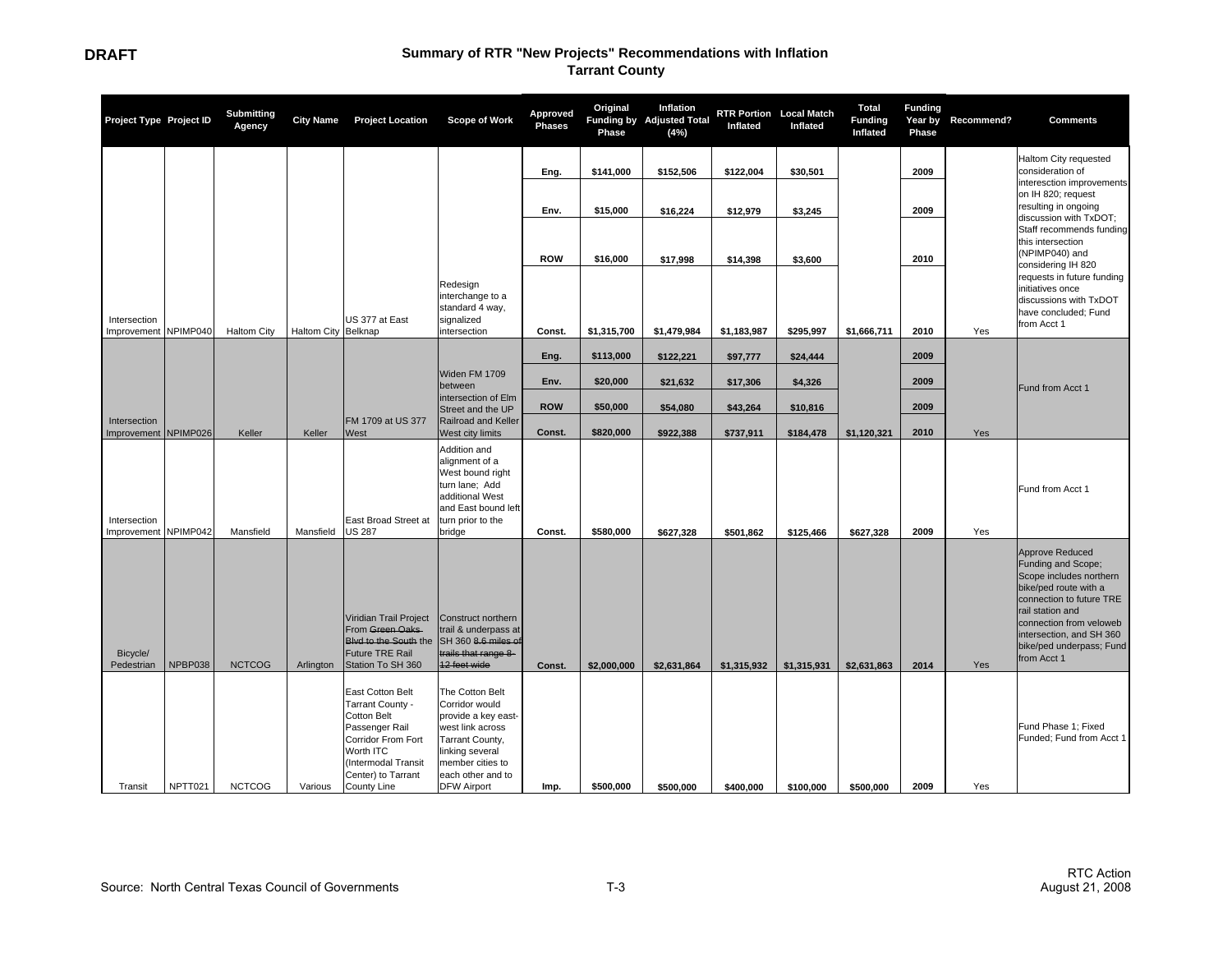| Project Type Project ID              |          | <b>Submitting</b><br>Agency | <b>City Name</b>    | <b>Project Location</b>                                                                                                                                                     | <b>Scope of Work</b>                                                                                                                                                              | Approved<br><b>Phases</b> | Original<br>Phase | Inflation<br>Funding by Adjusted Total<br>(4%) | <b>RTR Portion</b> Local Match<br>Inflated | Inflated    | <b>Total</b><br><b>Funding</b><br>Inflated | <b>Funding</b><br>Year by<br>Phase | Recommend? | <b>Comments</b>                                                                                                                                                                                                                                    |
|--------------------------------------|----------|-----------------------------|---------------------|-----------------------------------------------------------------------------------------------------------------------------------------------------------------------------|-----------------------------------------------------------------------------------------------------------------------------------------------------------------------------------|---------------------------|-------------------|------------------------------------------------|--------------------------------------------|-------------|--------------------------------------------|------------------------------------|------------|----------------------------------------------------------------------------------------------------------------------------------------------------------------------------------------------------------------------------------------------------|
|                                      |          |                             |                     |                                                                                                                                                                             |                                                                                                                                                                                   | Eng.                      | \$141,000         | \$152,506                                      | \$122,004                                  | \$30,501    |                                            | 2009                               |            | Haltom City requested<br>consideration of<br>interesction improvements                                                                                                                                                                             |
|                                      |          |                             |                     |                                                                                                                                                                             |                                                                                                                                                                                   | Env.                      | \$15,000          | \$16,224                                       | \$12,979                                   | \$3,245     |                                            | 2009                               |            | on IH 820; request<br>resulting in ongoing<br>discussion with TxDOT;                                                                                                                                                                               |
|                                      |          |                             |                     |                                                                                                                                                                             |                                                                                                                                                                                   |                           |                   |                                                |                                            |             |                                            |                                    |            | Staff recommends funding<br>this intersection<br>(NPIMP040) and                                                                                                                                                                                    |
|                                      |          |                             |                     |                                                                                                                                                                             | Redesign                                                                                                                                                                          | <b>ROW</b>                | \$16,000          | \$17,998                                       | \$14,398                                   | \$3,600     |                                            | 2010                               |            | considering IH 820<br>requests in future funding<br>initiatives once                                                                                                                                                                               |
| Intersection                         |          |                             |                     | US 377 at East                                                                                                                                                              | interchange to a<br>standard 4 way,<br>signalized                                                                                                                                 |                           |                   |                                                |                                            |             |                                            |                                    |            | discussions with TxDOT<br>have concluded; Fund<br>from Acct 1                                                                                                                                                                                      |
| Improvement NPIMP040                 |          | Haltom City                 | Haltom City Belknap |                                                                                                                                                                             | ntersection                                                                                                                                                                       | Const.                    | \$1,315,700       | \$1,479,984                                    | \$1,183,987                                | \$295,997   | \$1,666,711                                | 2010                               | Yes        |                                                                                                                                                                                                                                                    |
|                                      |          |                             |                     |                                                                                                                                                                             |                                                                                                                                                                                   | Eng.                      | \$113,000         | \$122,221                                      | \$97,777                                   | \$24,444    |                                            | 2009                               |            |                                                                                                                                                                                                                                                    |
|                                      |          |                             |                     |                                                                                                                                                                             | Widen FM 1709<br>between                                                                                                                                                          | Env.                      | \$20,000          | \$21,632                                       | \$17,306                                   | \$4,326     |                                            | 2009                               |            | Fund from Acct 1                                                                                                                                                                                                                                   |
|                                      |          |                             |                     |                                                                                                                                                                             | intersection of Elm<br>Street and the UP                                                                                                                                          | <b>ROW</b>                | \$50,000          | \$54,080                                       | \$43,264                                   | \$10,816    |                                            | 2009                               |            |                                                                                                                                                                                                                                                    |
| Intersection<br>Improvement          | NPIMP026 | Keller                      | Keller              | FM 1709 at US 377<br>West                                                                                                                                                   | Railroad and Keller<br>West city limits                                                                                                                                           | Const.                    | \$820,000         | \$922,388                                      | \$737,911                                  | \$184,478   | \$1,120,321                                | 2010                               | Yes        |                                                                                                                                                                                                                                                    |
| Intersection<br>Improvement NPIMP042 |          | Mansfield                   | Mansfield           | East Broad Street at<br><b>US 287</b>                                                                                                                                       | Addition and<br>alignment of a<br>West bound right<br>turn lane; Add<br>additional West<br>and East bound left<br>turn prior to the<br>bridge                                     | Const.                    | \$580,000         | \$627,328                                      | \$501,862                                  | \$125,466   | \$627,328                                  | 2009                               | Yes        | Fund from Acct 1                                                                                                                                                                                                                                   |
| Bicycle/<br>Pedestrian               | NPBP038  | <b>NCTCOG</b>               | Arlington           | Viridian Trail Project<br>From Green Oaks<br>Blvd to the South the<br>Future TRE Rail<br>Station To SH 360                                                                  | Construct northern<br>trail & underpass at<br>SH 360 8.6 miles of<br>trails that range 8-<br>12 feet wide                                                                         | Const.                    | \$2,000,000       | \$2,631,864                                    | \$1,315,932                                | \$1,315,931 | \$2,631,863                                | 2014                               | Yes        | <b>Approve Reduced</b><br>Funding and Scope;<br>Scope includes northern<br>bike/ped route with a<br>connection to future TRE<br>rail station and<br>connection from veloweb<br>intersection, and SH 360<br>bike/ped underpass; Fund<br>from Acct 1 |
| Transit                              | NPTT021  | <b>NCTCOG</b>               | Various             | East Cotton Belt<br>Tarrant County -<br>Cotton Belt<br>Passenger Rail<br>Corridor From Fort<br>Worth ITC<br>(Intermodal Transit<br>Center) to Tarrant<br><b>County Line</b> | The Cotton Belt<br>Corridor would<br>provide a key east-<br>west link across<br>Tarrant County,<br>linking several<br>member cities to<br>each other and to<br><b>DFW Airport</b> | Imp.                      | \$500,000         | \$500,000                                      | \$400,000                                  | \$100,000   | \$500,000                                  | 2009                               | Yes        | Fund Phase 1; Fixed<br>Funded; Fund from Acct 1                                                                                                                                                                                                    |